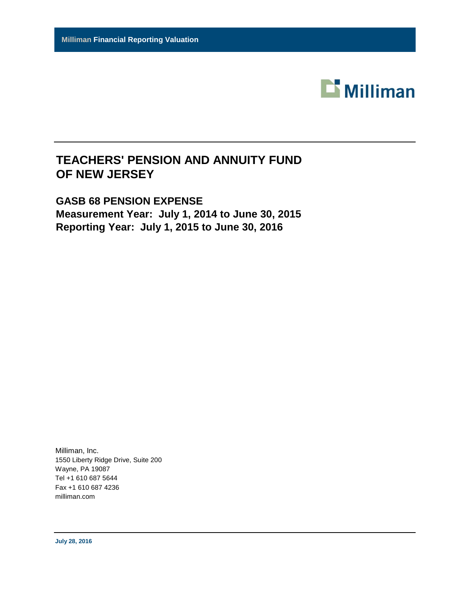

# **GASB 68 PENSION EXPENSE Measurement Year: July 1, 2014 to June 30, 2015 Reporting Year: July 1, 2015 to June 30, 2016**

Milliman, Inc. 1550 Liberty Ridge Drive, Suite 200 Wayne, PA 19087 Tel +1 610 687 5644 Fax +1 610 687 4236 milliman.com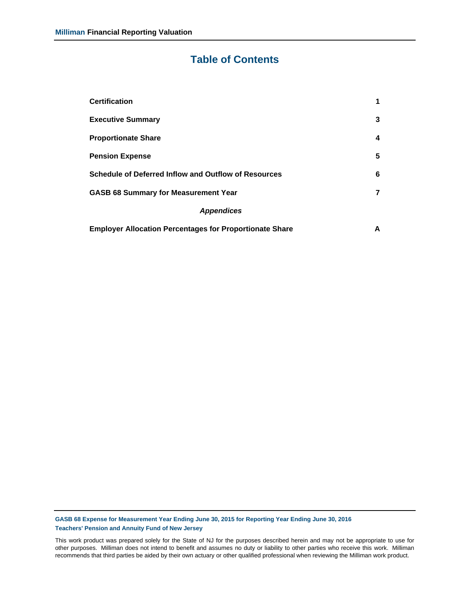# **Table of Contents**

| <b>Certification</b>                                           | 1 |
|----------------------------------------------------------------|---|
| <b>Executive Summary</b>                                       | 3 |
| <b>Proportionate Share</b>                                     | 4 |
| <b>Pension Expense</b>                                         | 5 |
| <b>Schedule of Deferred Inflow and Outflow of Resources</b>    | 6 |
| <b>GASB 68 Summary for Measurement Year</b>                    | 7 |
| <b>Appendices</b>                                              |   |
| <b>Employer Allocation Percentages for Proportionate Share</b> | А |

**GASB 68 Expense for Measurement Year Ending June 30, 2015 for Reporting Year Ending June 30, 2016 Teachers' Pension and Annuity Fund of New Jersey**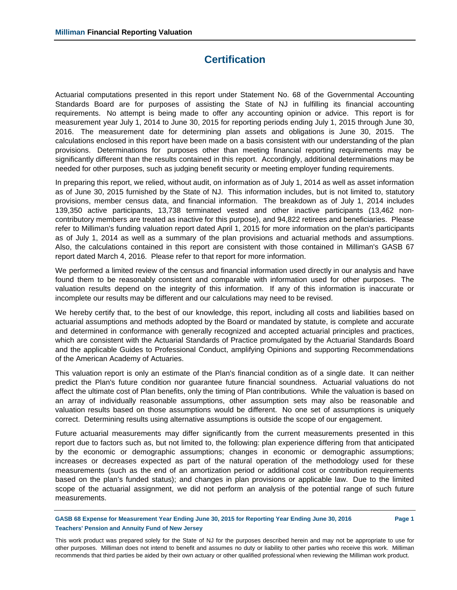# **Certification**

Actuarial computations presented in this report under Statement No. 68 of the Governmental Accounting Standards Board are for purposes of assisting the State of NJ in fulfilling its financial accounting requirements. No attempt is being made to offer any accounting opinion or advice. This report is for measurement year July 1, 2014 to June 30, 2015 for reporting periods ending July 1, 2015 through June 30, 2016. The measurement date for determining plan assets and obligations is June 30, 2015. The calculations enclosed in this report have been made on a basis consistent with our understanding of the plan provisions. Determinations for purposes other than meeting financial reporting requirements may be significantly different than the results contained in this report. Accordingly, additional determinations may be needed for other purposes, such as judging benefit security or meeting employer funding requirements.

In preparing this report, we relied, without audit, on information as of July 1, 2014 as well as asset information as of June 30, 2015 furnished by the State of NJ. This information includes, but is not limited to, statutory provisions, member census data, and financial information. The breakdown as of July 1, 2014 includes 139,350 active participants, 13,738 terminated vested and other inactive participants (13,462 noncontributory members are treated as inactive for this purpose), and 94,822 retirees and beneficiaries. Please refer to Milliman's funding valuation report dated April 1, 2015 for more information on the plan's participants as of July 1, 2014 as well as a summary of the plan provisions and actuarial methods and assumptions. Also, the calculations contained in this report are consistent with those contained in Milliman's GASB 67 report dated March 4, 2016. Please refer to that report for more information.

We performed a limited review of the census and financial information used directly in our analysis and have found them to be reasonably consistent and comparable with information used for other purposes. The valuation results depend on the integrity of this information. If any of this information is inaccurate or incomplete our results may be different and our calculations may need to be revised.

We hereby certify that, to the best of our knowledge, this report, including all costs and liabilities based on actuarial assumptions and methods adopted by the Board or mandated by statute, is complete and accurate and determined in conformance with generally recognized and accepted actuarial principles and practices, which are consistent with the Actuarial Standards of Practice promulgated by the Actuarial Standards Board and the applicable Guides to Professional Conduct, amplifying Opinions and supporting Recommendations of the American Academy of Actuaries.

This valuation report is only an estimate of the Plan's financial condition as of a single date. It can neither predict the Plan's future condition nor guarantee future financial soundness. Actuarial valuations do not affect the ultimate cost of Plan benefits, only the timing of Plan contributions. While the valuation is based on an array of individually reasonable assumptions, other assumption sets may also be reasonable and valuation results based on those assumptions would be different. No one set of assumptions is uniquely correct. Determining results using alternative assumptions is outside the scope of our engagement.

Future actuarial measurements may differ significantly from the current measurements presented in this report due to factors such as, but not limited to, the following: plan experience differing from that anticipated by the economic or demographic assumptions; changes in economic or demographic assumptions; increases or decreases expected as part of the natural operation of the methodology used for these measurements (such as the end of an amortization period or additional cost or contribution requirements based on the plan's funded status); and changes in plan provisions or applicable law. Due to the limited scope of the actuarial assignment, we did not perform an analysis of the potential range of such future measurements.

**GASB 68 Expense for Measurement Year Ending June 30, 2015 for Reporting Year Ending June 30, 2016 Page 1 Teachers' Pension and Annuity Fund of New Jersey**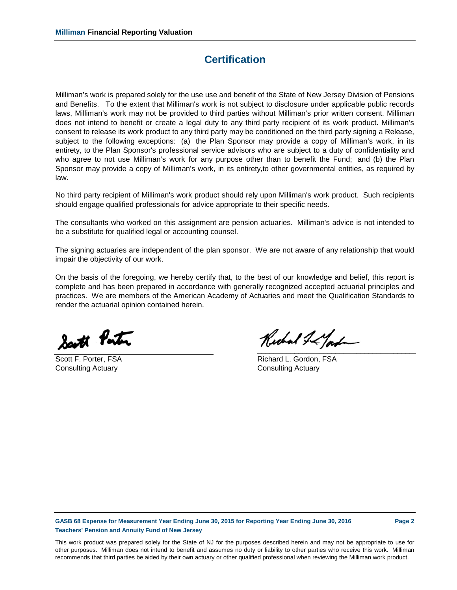### **Certification**

Milliman's work is prepared solely for the use use and benefit of the State of New Jersey Division of Pensions and Benefits. To the extent that Milliman's work is not subject to disclosure under applicable public records laws, Milliman's work may not be provided to third parties without Milliman's prior written consent. Milliman does not intend to benefit or create a legal duty to any third party recipient of its work product. Milliman's consent to release its work product to any third party may be conditioned on the third party signing a Release, subject to the following exceptions: (a) the Plan Sponsor may provide a copy of Milliman's work, in its entirety, to the Plan Sponsor's professional service advisors who are subject to a duty of confidentiality and who agree to not use Milliman's work for any purpose other than to benefit the Fund; and (b) the Plan Sponsor may provide a copy of Milliman's work, in its entirety,to other governmental entities, as required by law.

No third party recipient of Milliman's work product should rely upon Milliman's work product. Such recipients should engage qualified professionals for advice appropriate to their specific needs.

The consultants who worked on this assignment are pension actuaries. Milliman's advice is not intended to be a substitute for qualified legal or accounting counsel.

The signing actuaries are independent of the plan sponsor. We are not aware of any relationship that would impair the objectivity of our work.

On the basis of the foregoing, we hereby certify that, to the best of our knowledge and belief, this report is complete and has been prepared in accordance with generally recognized accepted actuarial principles and practices. We are members of the American Academy of Actuaries and meet the Qualification Standards to render the actuarial opinion contained herein.

Satt Porter

Consulting Actuary **Consulting Actuary** Consulting Actuary

 ${\mathcal R}$ whal I is fast

Scott F. Porter, FSA **Richard L. Gordon, FSA** 

**GASB 68 Expense for Measurement Year Ending June 30, 2015 for Reporting Year Ending June 30, 2016 Page 2 Teachers' Pension and Annuity Fund of New Jersey**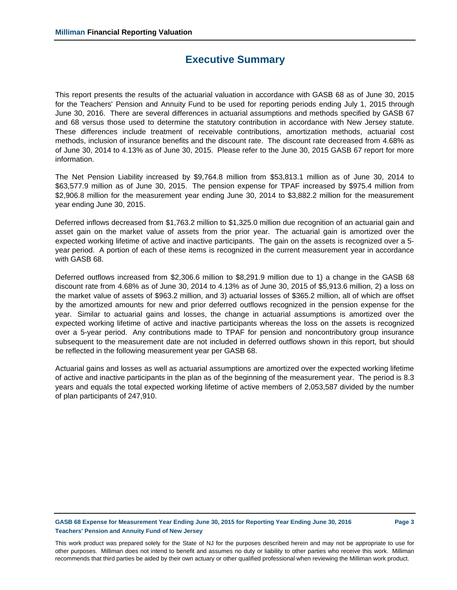### **Executive Summary**

This report presents the results of the actuarial valuation in accordance with GASB 68 as of June 30, 2015 for the Teachers' Pension and Annuity Fund to be used for reporting periods ending July 1, 2015 through June 30, 2016. There are several differences in actuarial assumptions and methods specified by GASB 67 and 68 versus those used to determine the statutory contribution in accordance with New Jersey statute. These differences include treatment of receivable contributions, amortization methods, actuarial cost methods, inclusion of insurance benefits and the discount rate. The discount rate decreased from 4.68% as of June 30, 2014 to 4.13% as of June 30, 2015. Please refer to the June 30, 2015 GASB 67 report for more information.

The Net Pension Liability increased by \$9,764.8 million from \$53,813.1 million as of June 30, 2014 to \$63,577.9 million as of June 30, 2015. The pension expense for TPAF increased by \$975.4 million from \$2,906.8 million for the measurement year ending June 30, 2014 to \$3,882.2 million for the measurement year ending June 30, 2015.

Deferred inflows decreased from \$1,763.2 million to \$1,325.0 million due recognition of an actuarial gain and asset gain on the market value of assets from the prior year. The actuarial gain is amortized over the expected working lifetime of active and inactive participants. The gain on the assets is recognized over a 5 year period. A portion of each of these items is recognized in the current measurement year in accordance with GASB 68.

Deferred outflows increased from \$2,306.6 million to \$8,291.9 million due to 1) a change in the GASB 68 discount rate from 4.68% as of June 30, 2014 to 4.13% as of June 30, 2015 of \$5,913.6 million, 2) a loss on the market value of assets of \$963.2 million, and 3) actuarial losses of \$365.2 million, all of which are offset by the amortized amounts for new and prior deferred outflows recognized in the pension expense for the year. Similar to actuarial gains and losses, the change in actuarial assumptions is amortized over the expected working lifetime of active and inactive participants whereas the loss on the assets is recognized over a 5-year period. Any contributions made to TPAF for pension and noncontributory group insurance subsequent to the measurement date are not included in deferred outflows shown in this report, but should be reflected in the following measurement year per GASB 68.

Actuarial gains and losses as well as actuarial assumptions are amortized over the expected working lifetime of active and inactive participants in the plan as of the beginning of the measurement year. The period is 8.3 years and equals the total expected working lifetime of active members of 2,053,587 divided by the number of plan participants of 247,910.

### **GASB 68 Expense for Measurement Year Ending June 30, 2015 for Reporting Year Ending June 30, 2016 Page 3 Teachers' Pension and Annuity Fund of New Jersey**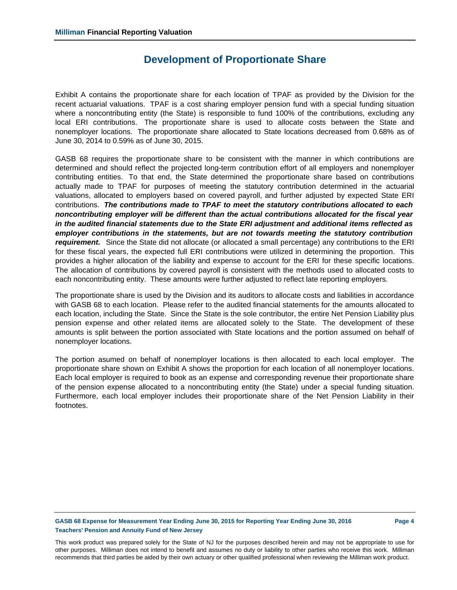### **Development of Proportionate Share**

Exhibit A contains the proportionate share for each location of TPAF as provided by the Division for the recent actuarial valuations. TPAF is a cost sharing employer pension fund with a special funding situation where a noncontributing entity (the State) is responsible to fund 100% of the contributions, excluding any local ERI contributions. The proportionate share is used to allocate costs between the State and nonemployer locations. The proportionate share allocated to State locations decreased from 0.68% as of June 30, 2014 to 0.59% as of June 30, 2015.

GASB 68 requires the proportionate share to be consistent with the manner in which contributions are determined and should reflect the projected long-term contribution effort of all employers and nonemployer contributing entities. To that end, the State determined the proportionate share based on contributions actually made to TPAF for purposes of meeting the statutory contribution determined in the actuarial valuations, allocated to employers based on covered payroll, and further adjusted by expected State ERI contributions. *The contributions made to TPAF to meet the statutory contributions allocated to each noncontributing employer will be different than the actual contributions allocated for the fiscal year in the audited financial statements due to the State ERI adjustment and additional items reflected as employer contributions in the statements, but are not towards meeting the statutory contribution requirement.* Since the State did not allocate (or allocated a small percentage) any contributions to the ERI for these fiscal years, the expected full ERI contributions were utilized in determining the proportion. This provides a higher allocation of the liability and expense to account for the ERI for these specific locations. The allocation of contributions by covered payroll is consistent with the methods used to allocated costs to each noncontributing entity. These amounts were further adjusted to reflect late reporting employers.

The proportionate share is used by the Division and its auditors to allocate costs and liabilities in accordance with GASB 68 to each location. Please refer to the audited financial statements for the amounts allocated to each location, including the State. Since the State is the sole contributor, the entire Net Pension Liability plus pension expense and other related items are allocated solely to the State. The development of these amounts is split between the portion associated with State locations and the portion assumed on behalf of nonemployer locations.

The portion asumed on behalf of nonemployer locations is then allocated to each local employer. The proportionate share shown on Exhibit A shows the proportion for each location of all nonemployer locations. Each local employer is required to book as an expense and corresponding revenue their proportionate share of the pension expense allocated to a noncontributing entity (the State) under a special funding situation. Furthermore, each local employer includes their proportionate share of the Net Pension Liability in their footnotes.

### **GASB 68 Expense for Measurement Year Ending June 30, 2015 for Reporting Year Ending June 30, 2016 Page 4 Teachers' Pension and Annuity Fund of New Jersey**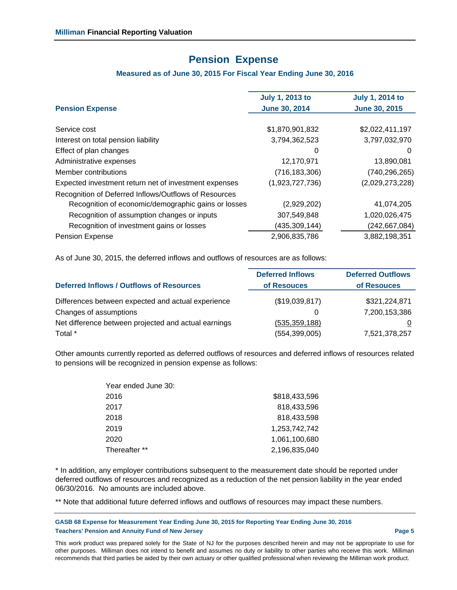### **Pension Expense**

### **Measured as of June 30, 2015 For Fiscal Year Ending June 30, 2016**

| <b>Pension Expense</b>                                | <b>July 1, 2013 to</b><br><b>June 30, 2014</b> | <b>July 1, 2014 to</b><br><b>June 30, 2015</b> |
|-------------------------------------------------------|------------------------------------------------|------------------------------------------------|
|                                                       |                                                |                                                |
| Service cost                                          | \$1,870,901,832                                | \$2,022,411,197                                |
| Interest on total pension liability                   | 3,794,362,523                                  | 3,797,032,970                                  |
| Effect of plan changes                                | 0                                              | $\Omega$                                       |
| Administrative expenses                               | 12,170,971                                     | 13,890,081                                     |
| Member contributions                                  | (716, 183, 306)                                | (740, 296, 265)                                |
| Expected investment return net of investment expenses | (1,923,727,736)                                | (2,029,273,228)                                |
| Recognition of Deferred Inflows/Outflows of Resources |                                                |                                                |
| Recognition of economic/demographic gains or losses   | (2,929,202)                                    | 41,074,205                                     |
| Recognition of assumption changes or inputs           | 307,549,848                                    | 1,020,026,475                                  |
| Recognition of investment gains or losses             | (435,309,144)                                  | (242,667,084)                                  |
| <b>Pension Expense</b>                                | 2,906,835,786                                  | 3,882,198,351                                  |
|                                                       |                                                |                                                |

As of June 30, 2015, the deferred inflows and outflows of resources are as follows:

|                                                      | <b>Deferred Inflows</b> | <b>Deferred Outflows</b> |
|------------------------------------------------------|-------------------------|--------------------------|
| <b>Deferred Inflows / Outflows of Resources</b>      | of Resouces             | of Resouces              |
| Differences between expected and actual experience   | (\$19,039,817)          | \$321,224,871            |
| Changes of assumptions                               | O                       | 7,200,153,386            |
| Net difference between projected and actual earnings | (535, 359, 188)         | 0                        |
| Total *                                              | (554, 399, 005)         | 7,521,378,257            |

Other amounts currently reported as deferred outflows of resources and deferred inflows of resources related to pensions will be recognized in pension expense as follows:

| Year ended June 30: |               |
|---------------------|---------------|
| 2016                | \$818,433,596 |
| 2017                | 818,433,596   |
| 2018                | 818.433.598   |
| 2019                | 1,253,742,742 |
| 2020                | 1,061,100,680 |
| Thereafter **       | 2,196,835,040 |

\* In addition, any employer contributions subsequent to the measurement date should be reported under deferred outflows of resources and recognized as a reduction of the net pension liability in the year ended 06/30/2016. No amounts are included above.

\*\* Note that additional future deferred inflows and outflows of resources may impact these numbers.

**GASB 68 Expense for Measurement Year Ending June 30, 2015 for Reporting Year Ending June 30, 2016 Teachers' Pension and Annuity Fund of New Jersey Page 5**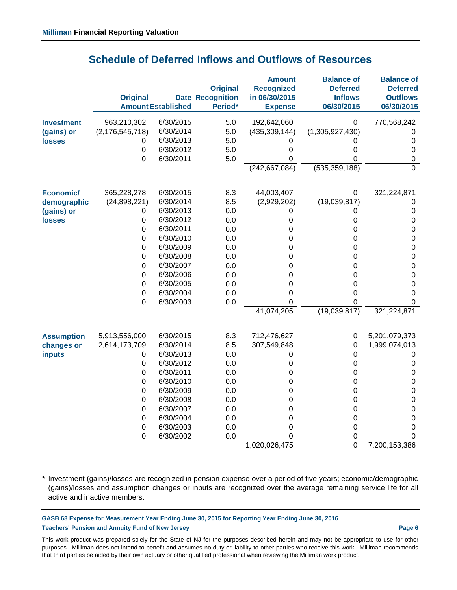|                   |                    |                           |                         | <b>Amount</b>     | <b>Balance of</b> | <b>Balance of</b> |
|-------------------|--------------------|---------------------------|-------------------------|-------------------|-------------------|-------------------|
|                   |                    |                           | <b>Original</b>         | <b>Recognized</b> | <b>Deferred</b>   | <b>Deferred</b>   |
|                   | <b>Original</b>    |                           | <b>Date Recognition</b> | in 06/30/2015     | <b>Inflows</b>    | <b>Outflows</b>   |
|                   |                    | <b>Amount Established</b> | Period*                 | <b>Expense</b>    | 06/30/2015        | 06/30/2015        |
| <b>Investment</b> | 963,210,302        | 6/30/2015                 | 5.0                     | 192,642,060       | $\pmb{0}$         | 770,568,242       |
| (gains) or        | (2, 176, 545, 718) | 6/30/2014                 | 5.0                     | (435, 309, 144)   | (1,305,927,430)   | 0                 |
| <b>losses</b>     | 0                  | 6/30/2013                 | 5.0                     | 0                 | 0                 | $\boldsymbol{0}$  |
|                   | $\boldsymbol{0}$   | 6/30/2012                 | 5.0                     | 0                 | 0                 | $\mathbf 0$       |
|                   | $\mathbf 0$        | 6/30/2011                 | 5.0                     | $\mathbf 0$       | 0                 | 0                 |
|                   |                    |                           |                         | (242, 667, 084)   | (535, 359, 188)   | $\overline{0}$    |
| Economic/         | 365,228,278        | 6/30/2015                 | 8.3                     | 44,003,407        | $\pmb{0}$         | 321,224,871       |
| demographic       | (24,898,221)       | 6/30/2014                 | 8.5                     | (2,929,202)       | (19,039,817)      | 0                 |
| (gains) or        | 0                  | 6/30/2013                 | 0.0                     | 0                 | 0                 | $\boldsymbol{0}$  |
| <b>losses</b>     | $\boldsymbol{0}$   | 6/30/2012                 | 0.0                     | 0                 | 0                 | $\boldsymbol{0}$  |
|                   | $\boldsymbol{0}$   | 6/30/2011                 | 0.0                     | $\mathbf 0$       | 0                 | $\mathbf 0$       |
|                   | $\boldsymbol{0}$   | 6/30/2010                 | 0.0                     | 0                 | 0                 | $\mathbf 0$       |
|                   | $\mathbf 0$        | 6/30/2009                 | 0.0                     | 0                 | 0                 | $\mathbf 0$       |
|                   | $\boldsymbol{0}$   | 6/30/2008                 | 0.0                     | 0                 | 0                 | $\mathbf 0$       |
|                   | $\boldsymbol{0}$   | 6/30/2007                 | 0.0                     | 0                 | 0                 | $\mathbf 0$       |
|                   | $\boldsymbol{0}$   | 6/30/2006                 | 0.0                     | 0                 | 0                 | $\pmb{0}$         |
|                   | $\boldsymbol{0}$   | 6/30/2005                 | 0.0                     | $\mathbf 0$       | $\boldsymbol{0}$  | 0                 |
|                   | $\boldsymbol{0}$   | 6/30/2004                 | 0.0                     | 0                 | 0                 | 0                 |
|                   | $\mathbf 0$        | 6/30/2003                 | 0.0                     | $\Omega$          | 0                 | 0                 |
|                   |                    |                           |                         | 41,074,205        | (19,039,817)      | 321,224,871       |
| <b>Assumption</b> | 5,913,556,000      | 6/30/2015                 | 8.3                     | 712,476,627       | $\pmb{0}$         | 5,201,079,373     |
| changes or        | 2,614,173,709      | 6/30/2014                 | 8.5                     | 307,549,848       | $\pmb{0}$         | 1,999,074,013     |
| <b>inputs</b>     | 0                  | 6/30/2013                 | 0.0                     | $\boldsymbol{0}$  | $\pmb{0}$         | 0                 |
|                   | $\pmb{0}$          | 6/30/2012                 | 0.0                     | $\boldsymbol{0}$  | $\mathbf 0$       | 0                 |
|                   | $\boldsymbol{0}$   | 6/30/2011                 | 0.0                     | $\mathbf 0$       | $\boldsymbol{0}$  | $\mathbf 0$       |
|                   | $\boldsymbol{0}$   | 6/30/2010                 | 0.0                     | 0                 | $\boldsymbol{0}$  | 0                 |
|                   | $\mathbf 0$        | 6/30/2009                 | 0.0                     | 0                 | $\boldsymbol{0}$  | $\mathbf 0$       |
|                   | $\boldsymbol{0}$   | 6/30/2008                 | 0.0                     | 0                 | $\boldsymbol{0}$  | $\mathbf 0$       |
|                   | $\boldsymbol{0}$   | 6/30/2007                 | 0.0                     | 0                 | $\pmb{0}$         | $\mathbf 0$       |
|                   | $\boldsymbol{0}$   | 6/30/2004                 | 0.0                     | $\mathbf 0$       | 0                 | 0                 |
|                   | $\boldsymbol{0}$   | 6/30/2003                 | 0.0                     | $\mathbf 0$       | $\mathbf 0$       | 0                 |
|                   | $\boldsymbol{0}$   | 6/30/2002                 | 0.0                     | 0                 | 0                 | 0                 |
|                   |                    |                           |                         | 1,020,026,475     | $\overline{0}$    | 7,200,153,386     |

## **Schedule of Deferred Inflows and Outflows of Resources**

\* Investment (gains)/losses are recognized in pension expense over a period of five years; economic/demographic (gains)/losses and assumption changes or inputs are recognized over the average remaining service life for all active and inactive members.

**GASB 68 Expense for Measurement Year Ending June 30, 2015 for Reporting Year Ending June 30, 2016 Teachers' Pension and Annuity Fund of New Jersey Page 6**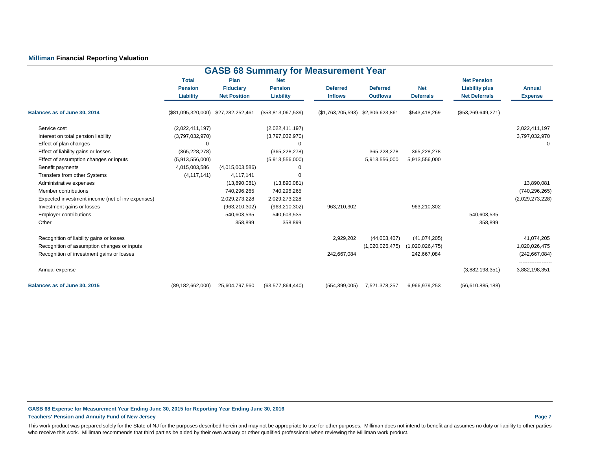### **Milliman Financial Reporting Valuation**

| <b>GASB 68 Summary for Measurement Year</b>      |                                |                          |                              |                   |                 |                  |                                             |                   |  |  |  |  |
|--------------------------------------------------|--------------------------------|--------------------------|------------------------------|-------------------|-----------------|------------------|---------------------------------------------|-------------------|--|--|--|--|
|                                                  | <b>Total</b><br><b>Pension</b> | Plan<br><b>Fiduciary</b> | <b>Net</b><br><b>Pension</b> | <b>Deferred</b>   | <b>Deferred</b> | <b>Net</b>       | <b>Net Pension</b><br><b>Liability plus</b> | <b>Annual</b>     |  |  |  |  |
|                                                  | Liability                      | <b>Net Position</b>      | Liability                    | <b>Inflows</b>    | <b>Outflows</b> | <b>Deferrals</b> | <b>Net Deferrals</b>                        | <b>Expense</b>    |  |  |  |  |
| Balances as of June 30, 2014                     | (\$81,095,320,000)             | \$27,282,252,461         | (\$53,813,067,539)           | (\$1,763,205,593) | \$2,306,623,861 | \$543,418,269    | (\$53,269,649,271)                          |                   |  |  |  |  |
| Service cost                                     | (2,022,411,197)                |                          | (2,022,411,197)              |                   |                 |                  |                                             | 2,022,411,197     |  |  |  |  |
| Interest on total pension liability              | (3,797,032,970)                |                          | (3,797,032,970)              |                   |                 |                  |                                             | 3,797,032,970     |  |  |  |  |
| Effect of plan changes                           | $\Omega$                       |                          | $\Omega$                     |                   |                 |                  |                                             | $\Omega$          |  |  |  |  |
| Effect of liability gains or losses              | (365, 228, 278)                |                          | (365, 228, 278)              |                   | 365,228,278     | 365,228,278      |                                             |                   |  |  |  |  |
| Effect of assumption changes or inputs           | (5,913,556,000)                |                          | (5,913,556,000)              |                   | 5,913,556,000   | 5,913,556,000    |                                             |                   |  |  |  |  |
| Benefit payments                                 | 4,015,003,586                  | (4,015,003,586)          | $\Omega$                     |                   |                 |                  |                                             |                   |  |  |  |  |
| Transfers from other Systems                     | (4, 117, 141)                  | 4,117,141                | $\Omega$                     |                   |                 |                  |                                             |                   |  |  |  |  |
| Administrative expenses                          |                                | (13,890,081)             | (13,890,081)                 |                   |                 |                  |                                             | 13,890,081        |  |  |  |  |
| Member contributions                             |                                | 740,296,265              | 740,296,265                  |                   |                 |                  |                                             | (740, 296, 265)   |  |  |  |  |
| Expected investment income (net of inv expenses) |                                | 2,029,273,228            | 2,029,273,228                |                   |                 |                  |                                             | (2,029,273,228)   |  |  |  |  |
| Investment gains or losses                       |                                | (963, 210, 302)          | (963, 210, 302)              | 963,210,302       |                 | 963,210,302      |                                             |                   |  |  |  |  |
| <b>Employer contributions</b>                    |                                | 540,603,535              | 540,603,535                  |                   |                 |                  | 540,603,535                                 |                   |  |  |  |  |
| Other                                            |                                | 358,899                  | 358,899                      |                   |                 |                  | 358,899                                     |                   |  |  |  |  |
| Recognition of liability gains or losses         |                                |                          |                              | 2,929,202         | (44,003,407)    | (41,074,205)     |                                             | 41,074,205        |  |  |  |  |
| Recognition of assumption changes or inputs      |                                |                          |                              |                   | (1,020,026,475) | (1,020,026,475)  |                                             | 1,020,026,475     |  |  |  |  |
| Recognition of investment gains or losses        |                                |                          |                              | 242,667,084       |                 | 242,667,084      |                                             | (242, 667, 084)   |  |  |  |  |
| Annual expense                                   |                                |                          |                              |                   |                 |                  | (3,882,198,351)                             | <br>3,882,198,351 |  |  |  |  |
| Balances as of June 30, 2015                     | <br>(89, 182, 662, 000)        | 25,604,797,560           | <br>(63,577,864,440)         | (554, 399, 005)   | 7,521,378,257   | 6,966,979,253    | <br>(56,610,885,188)                        |                   |  |  |  |  |

**GASB 68 Expense for Measurement Year Ending June 30, 2015 for Reporting Year Ending June 30, 2016 Teachers' Pension and Annuity Fund of New Jersey Page 7**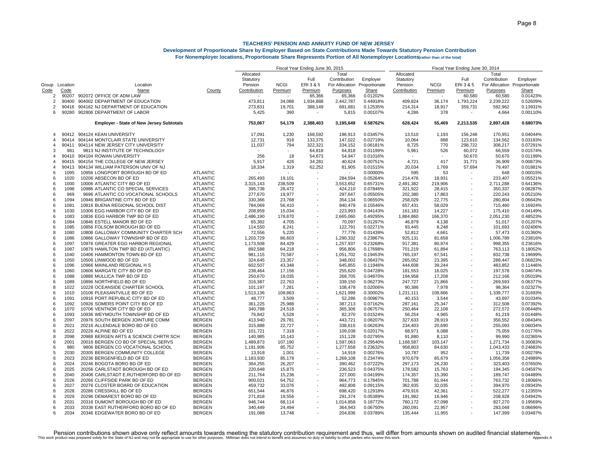|                         |              |                                                       |                                    | Fiscal Year Ending June 30, 2015<br>Fiscal Year Ending June 30, 2014 |                  |                          |                    |                      |                    |                  |                          |                              |                      |
|-------------------------|--------------|-------------------------------------------------------|------------------------------------|----------------------------------------------------------------------|------------------|--------------------------|--------------------|----------------------|--------------------|------------------|--------------------------|------------------------------|----------------------|
|                         |              |                                                       |                                    | Allocated                                                            |                  |                          | Total              |                      | Allocated          |                  |                          | Total                        |                      |
|                         |              |                                                       |                                    | Statutory                                                            |                  | Full                     | Contribution       | Employer             | Statutory          |                  | Full                     | Contribution                 | Employer             |
| Group Location          |              | Location                                              |                                    | Pension                                                              | <b>NCGI</b>      | ERI 3 & 5                | For Allocation     | Proportionate        | Pension            | <b>NCGI</b>      | ERI 3 & 5                | For Allocation Proportionate |                      |
| Code                    | Code         | <b>Name</b>                                           | County                             | Contribution                                                         | Premium          | Premium                  | Purposes           | Share                | Contribution       | Premium          | Premium                  | Purposes                     | Share                |
| 2                       | 90207        | 902072 OFFICE OF ADM LAW                              |                                    |                                                                      |                  | 65,366                   | 65,366             | 0.01202%             |                    |                  | 60,580                   | 60,580                       | 0.01423%             |
| 2                       | 90400        | 904002 DEPARTMENT OF EDUCATION                        |                                    | 473,811                                                              | 34,088           | 1,934,888                | 2,442,787          | 0.44918%             | 409,824            | 36,174           | 1,793,224                | 2,239,222                    | 0.52609%             |
| 2                       | 90416        | 904162 NJ DEPARTMENT OF EDUCATION                     |                                    | 273,831                                                              | 19,701           | 388,149                  | 681,681            | 0.12535%             | 214,314            | 18,917           | 359,731                  | 592,962                      | 0.13931%             |
| 6                       | 90280        | 902806 DEPARTMENT OF LABOR                            |                                    | 5,425                                                                | 390              | $\sim$                   | 5,815              | 0.00107%             | 4,286              | 378              |                          | 4,664                        | 0.00110%             |
|                         |              | <b>Employer - State of New Jersey Subtotals</b>       |                                    | 753,067                                                              | 54,179           | 2,388,403                | 3,195,649          | 0.58762%             | 628,424            | 55,469           | 2,213,535                | 2,897,428                    | 0.68073%             |
| $\overline{\mathbf{4}}$ |              | 90412 904124 KEAN UNIVERSITY                          |                                    | 17.091                                                               | 1,230            | 168.592                  | 186.913            | 0.03457%             | 13.510             | 1.193            | 156.248                  | 170.951                      | 0.04044%             |
| 4                       | 90414        | 904144 MONTCLAIR STATE UNIVERSITY                     |                                    | 12,731                                                               | 916              | 133,375                  | 147,022            | 0.02719%             | 10,064             | 888              | 123,610                  | 134,562                      | 0.03183%             |
| 4                       | 90411        | 904114 NEW JERSEY CITY UNIVERSITY                     |                                    | 11,037                                                               | 794              | 322,321                  | 334,152            | 0.06181%             | 8,725              | 770              | 298,722                  | 308,217                      | 0.07291%             |
| 3                       | 981          | 9813 NJ INSTITUTE OF TECHNOLOGY                       |                                    |                                                                      |                  | 64,818                   | 64,818             | 0.01199%             | 5,961              | 526              | 60,072                   | 66.559                       | 0.01574%             |
| $\overline{\mathbf{4}}$ | 90410        | 904104 ROWAN UNIVERSITY                               |                                    | 256                                                                  | 18               | 54,673                   | 54,947             | 0.01016%             | $\sim$             |                  | 50,670                   | 50,670                       | 0.01199%             |
| Δ                       | 90415        | 904154 THE COLLEGE OF NEW JERSEY                      |                                    | 5,917                                                                | 426              | 34,281                   | 40,624             | 0.00751%             | 4,721              | 417              | 31,771                   | 36,909                       | 0.00873%             |
|                         | 90413        | 904134 WILLIAM PATERSON UNIV OF NJ                    |                                    | 18,334                                                               | 1,319            | 62,252                   | 81,905             | 0.01515%             | 20,034             | 1,769            | 57,694                   | 79,497                       | 0.01881%             |
| -6                      | 1095         | 10956 LONGPORT BOROUGH BD OF ED                       | <b>ATLANTIC</b>                    |                                                                      |                  |                          |                    | 0.00000%             | 595                | 53               |                          | 648                          | 0.00015%             |
| 6                       | 1020         | 10206 ABSECON BD OF ED                                | <b>ATLANTIC</b>                    | 265,493                                                              | 19,101           |                          | 284,594            | 0.05264%             | 214,476            | 18,931           | $\overline{\phantom{a}}$ | 233,407                      | 0.05521%             |
| 6                       | 1000         | 10006 ATLANTIC CITY BD OF ED                          | <b>ATLANTIC</b>                    | 3,315,143                                                            | 238,509          |                          | 3,553,652          | 0.65731%             | 2,491,382          | 219,906          |                          | 2,711,288                    | 0.64136%             |
| $\epsilon$              | 1098         | 10986 ATLANTIC CO SPECIAL SERVICES                    | <b>ATLANTIC</b>                    | 395,738                                                              | 28,472           |                          | 424,210            | 0.07846%             | 321,922            | 28,415           |                          | 350,337                      | 0.08287%             |
| 6                       | 969          | 9696 ATLANTIC CO VOCATIONAL SCHOOLS                   | <b>ATLANTIC</b>                    | 277,670                                                              | 19,977           |                          | 297,647            | 0.05505%             | 202,380            | 17,863           | ÷                        | 220,243                      | 0.05210%             |
| 6                       | 1094         | 10946 BRIGANTINE CITY BD OF ED                        | <b>ATLANTIC</b>                    | 330,366                                                              | 23,768           |                          | 354,134            | 0.06550%             | 258,029            | 22,775           |                          | 280,804                      | 0.06643%             |
| 6                       | 1081         | 10816 BUENA REGIONAL SCHOOL DIST                      | <b>ATLANTIC</b>                    | 784,069                                                              | 56,410           |                          | 840,479            | 0.15546%             | 657,431            | 58,029           | $\overline{\phantom{a}}$ | 715,460                      | 0.16924%             |
| 6                       | 1030         | 10306 EGG HARBOR CITY BD OF ED                        | <b>ATLANTIC</b>                    | 208,959                                                              | 15,034           |                          | 223,993            | 0.04143%             | 161,183            | 14,227           | $\overline{\phantom{a}}$ | 175,410                      | 0.04149%             |
| 6                       | 1083         | 10836 EGG HARBOR TWP BD OF ED                         | <b>ATLANTIC</b>                    | 2,486,190                                                            | 178,870          |                          | 2,665,060          | 0.49295%             | 1,884,860          | 166,370          |                          | 2,051,230                    | 0.48523%             |
| 6                       | 1084         | 10846 ESTELL MANOR BD OF ED                           | <b>ATLANTIC</b>                    | 65,392                                                               | 4,705            |                          | 70,097             | 0.01297%             | 46,879             | 4,138            |                          | 51.017                       | 0.01207%             |
| 6                       | 1085         | 10856 FOLSOM BOROUGH BD OF ED                         | <b>ATLANTIC</b>                    | 114,550                                                              | 8,241            |                          | 122,791            | 0.02271%             | 93,445             | 8,248            | ÷                        | 101,693                      | 0.02406%             |
| 8                       | 1080         | 10808 GALLOWAY COMMUNITY CHARTER SCH                  | <b>ATLANTIC</b>                    | 72,556                                                               | 5,220            |                          | 77,776             | 0.01439%             | 52,812             | 4,661            |                          | 57,473                       | 0.01360%             |
| 6                       | 1086         | 10866 GALLOWAY TOWNSHIP BD OF ED                      | <b>ATLANTIC</b>                    | 1,203,729                                                            | 86,603           |                          | 1,290,332          | 0.23867%             | 925,131            | 81,658           | ÷,                       | 1,006,789                    | 0.23816%             |
| 6                       | 1097         | 10976 GREATER EGG HARBOR REGIONAL                     | <b>ATLANTIC</b>                    | 1,173,508                                                            | 84,429           |                          | 1,257,937          | 0.23268%             | 917,381            | 80,974           | $\overline{\phantom{a}}$ | 998,355                      | 0.23616%             |
| 6                       | 1087         | 10876 HAMILTON TWP BD ED (ATLANTIC)                   | <b>ATLANTIC</b>                    | 892,588                                                              | 64,218           |                          | 956,806            | 0.17698%             | 701,219            | 61,894           |                          | 763,113                      | 0.18052%             |
| $\epsilon$              | 1040         | 10406 HAMMONTON TOWN BD OF ED                         | <b>ATLANTIC</b>                    | 981.115                                                              | 70.587           |                          | 1.051.702          | 0.19453%             | 765.197            | 67,541           |                          | 832.738                      | 0.19699%             |
| 6                       | 1050<br>1096 | 10506 LINWOOD BD OF ED<br>10966 MAINLAND REGIONAL H S | <b>ATLANTIC</b>                    | 324,645                                                              | 23,357           |                          | 348,002            | 0.06437%             | 265,052            | 23,395           |                          | 288,447                      | 0.06823%             |
| 6<br>6                  | 1060         | 10606 MARGATE CITY BD OF ED                           | <b>ATLANTIC</b><br><b>ATLANTIC</b> | 602,507<br>238,464                                                   | 43,348<br>17,156 |                          | 645,855<br>255,620 | 0.11946%<br>0.04728% | 444,608<br>181,553 | 39,244<br>16,025 | $\overline{\phantom{a}}$ | 483,852<br>197,578           | 0.11446%<br>0.04674% |
| 6                       | 1088         | 10886 MULLICA TWP BD OF ED                            | <b>ATLANTIC</b>                    | 250,670                                                              | 18,035           |                          | 268,705            | 0.04970%             | 194,958            | 17,208           | ÷                        | 212,166                      | 0.05019%             |
| $\epsilon$              | 1089         | 10896 NORTHFIELD BD OF ED                             | <b>ATLANTIC</b>                    | 316,387                                                              | 22.763           |                          | 339,150            | 0.06273%             | 247,727            | 21.866           |                          | 269,593                      | 0.06377%             |
| 8                       | 1022         | 10228 OCEANSIDE CHARTER SCHOOL                        | <b>ATLANTIC</b>                    | 101,197                                                              | 7,281            |                          | 108.478            | 0.02006%             | 90,386             | 7,978            |                          | 98.364                       | 0.02327%             |
| 6                       | 1010         | 10106 PLEASANTVILLE BD OF ED                          | <b>ATLANTIC</b>                    | 1,513,136                                                            | 108,863          |                          | 1,621,999          | 0.30002%             | 1,231,111          | 108,666          |                          | 1,339,777                    | 0.31693%             |
| 6                       | 1091         | 10916 PORT REPUBLIC CITY BD OF ED                     | <b>ATLANTIC</b>                    | 48,777                                                               | 3,509            |                          | 52,286             | 0.00967%             | 40,153             | 3,544            |                          | 43,697                       | 0.01034%             |
| 6                       | 1092         | 10926 SOMERS POINT CITY BD OF ED                      | <b>ATLANTIC</b>                    | 361,225                                                              | 25,988           |                          | 387,213            | 0.07162%             | 287,161            | 25,347           |                          | 312,508                      | 0.07392%             |
| 6                       | 1070         | 10706 VENTNOR CITY BD OF ED                           | <b>ATLANTIC</b>                    | 340,788                                                              | 24,518           |                          | 365,306            | 0.06757%             | 250,464            | 22,108           |                          | 272,572                      | 0.06448%             |
| $\epsilon$              | 1093         | 10936 WEYMOUTH TOWNSHIP BD OF ED                      | <b>ATLANTIC</b>                    | 76,842                                                               | 5,528            |                          | 82,370             | 0.01524%             | 56,254             | 4,965            |                          | 61,219                       | 0.01448%             |
| $\epsilon$              | 2097         | 20976 SOUTH BERGEN JOINTURE COMM                      | BERGEN                             | 413.940                                                              | 29.781           |                          | 443.721            | 0.08207%             | 327,633            | 28,919           |                          | 356.552                      | 0.08434%             |
| 6                       | 2021         | 20216 ALLENDALE BORO BD OF ED                         | <b>BERGEN</b>                      | 315,888                                                              | 22,727           |                          | 338,615            | 0.06263%             | 234,403            | 20,690           |                          | 255,093                      | 0.06034%             |
| 6                       | 2022         | 20226 ALPINE BD OF ED                                 | <b>BERGEN</b>                      | 101,721                                                              | 7,318            |                          | 109,039            | 0.02017%             | 68,971             | 6,088            |                          | 75,059                       | 0.01776%             |
| 8                       | 2098         | 20988 BERGEN ARTS & SCIENCE CHRTR SCH                 | <b>BERGEN</b>                      | 140,985                                                              | 10,143           |                          | 151,128            | 0.02795%             | 91,880             | 8,110            | $\overline{\phantom{a}}$ | 99,990                       | 0.02365%             |
| 6                       | 2001         | 20016 BERGEN CO BD OF SPECIAL SERVS                   | <b>BERGEN</b>                      | 1,489,873                                                            | 107,190          | $\overline{\phantom{a}}$ | 1,597,063          | 0.29540%             | 1,168,587          | 103,147          | $\overline{a}$           | 1,271,734                    | 0.30083%             |
| $\epsilon$              | 980          | 9806 BERGEN CO VOCATIONAL SCHOOL                      | <b>BERGEN</b>                      | 1,191,906                                                            | 85,752           | $\sim$                   | 1,277,658          | 0.23632%             | 958,803            | 84,630           |                          | 1,043,433                    | 0.24683%             |
| 5                       | 2030         | 20305 BERGEN COMMUNITY COLLEGE                        | BERGEN                             | 13,918                                                               | 1,001            |                          | 14,919             | 0.00276%             | 10,787             | 952              |                          | 11,739                       | 0.00278%             |
| 6                       | 2023         | 20236 BERGENFIELD BD OF ED                            | <b>BERGEN</b>                      | 1,183,930                                                            | 85,178           |                          | 1,269,108          | 0.23474%             | 970,679            | 85,679           | ÷                        | 1,056,358                    | 0.24989%             |
| 6                       | 2024         | 20246 BOGOTA BORO BD OF ED                            | <b>BERGEN</b>                      | 364,255                                                              | 26,207           | $\overline{a}$           | 390,462            | 0.07222%             | 297,173            | 26,230           |                          | 323,403                      | 0.07650%             |
| 6                       | 2025         | 20256 CARLSTADT BOROUGH BD OF ED                      | <b>BERGEN</b>                      | 220,648                                                              | 15,875           |                          | 236,523            | 0.04375%             | 178,582            | 15,763           |                          | 194,345                      | 0.04597%             |
| $\epsilon$              | 2040         | 20406 CARLSTADT E.RUTHERFORD BD OF ED                 | <b>BERGEN</b>                      | 211,764                                                              | 15,236           |                          | 227,000            | 0.04199%             | 174,357            | 15,390           |                          | 189,747                      | 0.04489%             |
| $\epsilon$              | 2026         | 20266 CLIFFSIDE PARK BD OF ED                         | <b>BERGEN</b>                      | 900,021                                                              | 64,752           |                          | 964,773            | 0.17845%             | 701,788            | 61,944           |                          | 763,732                      | 0.18066%             |
| $\epsilon$              | 2027         | 20276 CLOSTER BOARD OF EDUCATION                      | BERGEN                             | 459,732                                                              | 33,076           |                          | 492,808            | 0.09115%             | 362,935            | 32,035           |                          | 394,970                      | 0.09343%             |
| $\epsilon$              | 2028         | 20286 CRESSKILL BD OF ED                              | <b>BERGEN</b>                      | 651,544                                                              | 46,876           |                          | 698,420            | 0.12918%             | 479,916            | 42,361           |                          | 522,277                      | 0.123559             |
| 6                       | 2029         | 20296 DEMAREST BORO BD OF ED                          | <b>BERGEN</b>                      | 271,818                                                              | 19,556           |                          | 291,374            | 0.05389%             | 191,982            | 16,946           |                          | 208,928                      | 0.04942%             |
| $\epsilon$              | 2031         | 20316 DUMONT BOROUGH BD OF ED                         | <b>BERGEN</b>                      | 946,744                                                              | 68,114           |                          | 1,014,858          | 0.18772%             | 760,172            | 67,098           |                          | 827,270                      | 0.19569%             |
| $\epsilon$              | 2033         | 20336 EAST RUTHERFORD BORO BD OF ED                   | <b>BERGEN</b>                      | 340,449                                                              | 24,494           |                          | 364,943            | 0.06750%             | 260,091            | 22,957           |                          | 283,048                      | 0.06696%             |
| 6                       | 2034         | 20346 EDGEWATER BORO BD OF ED                         | <b>BERGEN</b>                      | 191,088                                                              | 13,748           |                          | 204,836            | 0.03789%             | 135,444            | 11,955           |                          | 147,399                      | 0.03487%             |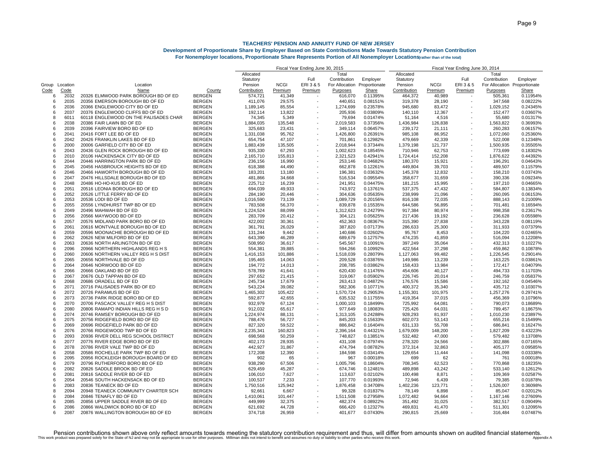|       |             |                                       |               | Fiscal Year Ending June 30, 2015 |             |                          |                |               | Fiscal Year Ending June 30, 2014 |             |                          |                              |              |
|-------|-------------|---------------------------------------|---------------|----------------------------------|-------------|--------------------------|----------------|---------------|----------------------------------|-------------|--------------------------|------------------------------|--------------|
|       |             |                                       |               | Allocated                        |             |                          | Total          |               | Allocated                        |             |                          | Total                        |              |
|       |             |                                       |               | Statutory                        |             | Full                     | Contribution   | Employer      | Statutory                        |             | Full                     | Contribution                 | Employer     |
| Group | Location    | Location                              |               | Pension                          | <b>NCGI</b> | ERI 3 & 5                | For Allocation | Proportionate | Pension                          | <b>NCGI</b> | ERI 3 & 5                | For Allocation Proportionate |              |
| Code  | <u>Code</u> | Name                                  | <u>County</u> | Contribution                     | Premium     | Premium                  | Purposes       | Share         | Contribution                     | Premium     | Premium                  | Purposes                     | <b>Share</b> |
| 6     | 2032        | 20326 ELMWOOD PARK BOROUGH BD OF ED   | <b>BERGEN</b> | 574,721                          | 41,349      |                          | 616,070        | 0.11395%      | 464,372                          | 40,989      |                          | 505,361                      | 0.11954%     |
| 6     | 2035        | 20356 EMERSON BOROUGH BD OF ED        | <b>BERGEN</b> | 411,076                          | 29,575      |                          | 440,651        | 0.08151%      | 319,378                          | 28,190      |                          | 347,568                      | 0.08222%     |
| 6     | 2036        | 20366 ENGLEWOOD CITY BD OF ED         | <b>BERGEN</b> | 1,189,145                        | 85,554      |                          | 1,274,699      | 0.23578%      | 945,680                          | 83,472      |                          | 1,029,152                    | 0.24345%     |
| 6     | 2037        | 20376 ENGLEWOOD CLIFFS BD OF ED       | <b>BERGEN</b> | 192,114                          | 13,822      |                          | 205,936        | 0.03809%      | 140,110                          | 12,367      |                          | 152,477                      | 0.03607%     |
| 8     | 6011        | 60118 ENGLEWOOD ON THE PALISADES CHAR | <b>BERGEN</b> | 74,345                           | 5,349       |                          | 79,694         | 0.01474%      | 51,164                           | 4,516       |                          | 55,680                       | 0.01317%     |
| 6     | 2038        | 20386 FAIR LAWN BD OF ED              | <b>BERGEN</b> | 1,884,035                        | 135,548     |                          | 2,019,583      | 0.37356%      | 1,436,984                        | 126,838     |                          | 1,563,822                    | 0.36993%     |
| 6     | 2039        | 20396 FAIRVIEW BORO BD OF ED          | <b>BERGEN</b> | 325,683                          | 23,431      |                          | 349,114        | 0.06457%      | 239,172                          | 21,111      |                          | 260,283                      | 0.06157%     |
| 6     | 2041        | 20416 FORT LEE BD OF ED               | <b>BERGEN</b> | 1,331,038                        | 95,762      |                          | 1,426,800      | 0.26391%      | 985,108                          | 86,952      |                          | 1,072,060                    | 0.25360%     |
| 6     | 2042        | 20426 FRANKLIN LAKES BD OF ED         | <b>BERGEN</b> | 654,754                          | 47,107      | $\overline{\phantom{a}}$ | 701,861        | 0.12982%      | 479,669                          | 42,339      | $\overline{\phantom{a}}$ | 522,008                      | 0.12348%     |
| 6     | 2000        | 20006 GARFIELD CITY BD OF ED          | <b>BERGEN</b> | 1,883,439                        | 135,505     |                          | 2,018,944      | 0.37344%      | 1,379,198                        | 121,737     | $\overline{\phantom{a}}$ | 1,500,935                    | 0.35505%     |
| 6     | 2043        | 20436 GLEN ROCK BOROUGH BD OF ED      | <b>BERGEN</b> | 935,330                          | 67,293      | $\overline{\phantom{a}}$ | 1,002,623      | 0.18545%      | 710,946                          | 62,753      |                          | 773,699                      | 0.18302%     |
| 6     | 2010        | 20106 HACKENSACK CITY BD OF ED        | <b>BERGEN</b> | 2,165,710                        | 155,813     |                          | 2,321,523      | 0.42941%      | 1,724,414                        | 152,208     |                          | 1,876,622                    | 0.44392%     |
| 6     | 2044        | 20446 HARRINGTON PARK BD OF ED        | <b>BERGEN</b> | 236,156                          | 16,990      |                          | 253,146        | 0.04682%      | 180,370                          | 15,921      |                          | 196,291                      | 0.04643%     |
| 6     | 2045        | 20456 HASBROUCK HEIGHTS BD OF ED      | <b>BERGEN</b> | 618,388                          | 44,490      |                          | 662,878        | 0.12261%      | 449,804                          | 39,703      |                          | 489,507                      | 0.11579%     |
| 6     | 2046        | 20466 HAWORTH BOROUGH BD OF ED        | <b>BERGEN</b> | 183,201                          | 13,180      |                          | 196,381        | 0.03632%      | 145,378                          | 12,832      |                          | 158,210                      | 0.03743%     |
| 6     | 2047        | 20476 HILLSDALE BOROUGH BD OF ED      | <b>BERGEN</b> | 481,866                          | 34,668      |                          | 516,534        | 0.09554%      | 358,677                          | 31,659      |                          | 390,336                      | 0.09234%     |
| 6     | 2048        | 20486 HO-HO-KUS BD OF ED              | <b>BERGEN</b> | 225,712                          | 16,239      |                          | 241,951        | 0.04475%      | 181,215                          | 15,995      |                          | 197,210                      | 0.04665%     |
| 6     | 2051        | 20516 LEONIA BOROUGH BD OF ED         | <b>BERGEN</b> | 694,039                          | 49,933      |                          | 743,972        | 0.13761%      | 537,375                          | 47,432      |                          | 584,807                      | 0.13834%     |
| 6     | 2052        | 20526 LITTLE FERRY BD OF ED           | <b>BERGEN</b> | 284,190                          | 20,446      |                          | 304,636        | 0.05635%      | 238,999                          | 21,096      |                          | 260,095                      | 0.06153%     |
| 6     | 2053        | 20536 LODI BD OF ED                   | <b>BERGEN</b> | 1,016,590                        | 73,139      |                          | 1,089,729      | 0.20156%      | 816,108                          | 72,035      |                          | 888,143                      | 0.21009%     |
| 6     | 2055        | 20556 LYNDHURST TWP BD OF ED          | <b>BERGEN</b> | 783,508                          | 56,370      | $\blacksquare$           | 839,878        | 0.15535%      | 644,586                          | 56,895      |                          | 701,481                      | 0.16594%     |
| 6     | 2049        | 20496 MAHWAH BD OF ED                 | <b>BERGEN</b> | 1,224,524                        | 88,099      |                          | 1,312,623      | 0.24279%      | 917,384                          | 80,974      |                          | 998,358                      | 0.23617%     |
| 6     | 2056        | 20566 MAYWOOD BD OF ED                | <b>BERGEN</b> | 283,709                          | 20,412      |                          | 304,121        | 0.05625%      | 217,436                          | 19,192      |                          | 236,628                      | 0.05598%     |
| 6     | 2057        | 20576 MIDLAND PARK BORO BD OF ED      | <b>BERGEN</b> | 422,002                          | 30,361      |                          | 452,363        | 0.08367%      | 315,390                          | 27,838      |                          | 343,228                      | 0.08119%     |
| 6     | 2061        | 20616 MONTVALE BOROUGH BD OF ED       | <b>BERGEN</b> | 361,791                          | 26,029      |                          | 387,820        | 0.07173%      | 286,633                          | 25,300      |                          | 311,933                      | 0.07379%     |
| 6     | 2059        | 20596 MOONACHIE BOROUGH BD OF ED      | <b>BERGEN</b> | 131,244                          | 9,442       |                          | 140,686        | 0.02602%      | 95,767                           | 8,453       |                          | 104,220                      | 0.02465%     |
| 6     | 2062        | 20626 NEW MILFORD BD OF ED            | <b>BERGEN</b> | 643,390                          | 46,289      |                          | 689,679        | 0.12757%      | 474,235                          | 41,859      |                          | 516,094                      | 0.12208%     |
| 6     | 2063        | 20636 NORTH ARLINGTON BD OF ED        | <b>BERGEN</b> | 508,950                          | 36,617      |                          | 545,567        | 0.10091%      | 397,249                          | 35,064      |                          | 432,313                      | 0.10227%     |
| 6     | 2096        | 20966 NORTHERN HIGHLANDS REG H S      | <b>BERGEN</b> | 554,381                          | 39,885      |                          | 594,266        | 0.10992%      | 422,564                          | 37,298      |                          | 459,862                      | 0.10878%     |
| 6     | 2060        | 20606 NORTHERN VALLEY REG H S DIST    | <b>BERGEN</b> | 1,416,153                        | 101,886     |                          | 1,518,039      | 0.28079%      | 1,127,063                        | 99.482      |                          | 1,226,545                    | 0.29014%     |
| 6     | 2065        | 20656 NORTHVALE BD OF ED              | <b>BERGEN</b> | 195,465                          | 14,063      |                          | 209,528        | 0.03876%      | 149,986                          | 13,239      |                          | 163,225                      | 0.03861%     |
| 6     | 2064        | 20646 NORWOOD BD OF ED                | <b>BERGEN</b> | 194,772                          | 14,013      |                          | 208,785        | 0.03862%      | 158,433                          | 13,984      |                          | 172,417                      | 0.04079%     |
| 6     | 2066        | 20666 OAKLAND BD OF ED                | <b>BERGEN</b> | 578,789                          | 41,641      |                          | 620,430        | 0.11476%      | 454,606                          | 40,127      |                          | 494,733                      | 0.11703%     |
| 6     | 2067        | 20676 OLD TAPPAN BD OF ED             | <b>BERGEN</b> | 297,652                          | 21,415      |                          | 319,067        | 0.05902%      | 226,745                          | 20,014      |                          | 246,759                      | 0.05837%     |
| 6     | 2068        | 20686 ORADELL BD OF ED                | <b>BERGEN</b> | 245,734                          | 17,679      |                          | 263,413        | 0.04872%      | 176,576                          | 15,586      |                          | 192,162                      | 0.04546%     |
| 6     | 2071        | 20716 PALISADES PARK BD OF ED         | <b>BERGEN</b> | 543,224                          | 39,082      |                          | 582,306        | 0.10771%      | 400,372                          | 35,340      |                          | 435.712                      | 0.10307%     |
| 6     | 2072        | 20726 PARAMUS BD OF ED                | <b>BERGEN</b> | 1,465,302                        | 105,422     |                          | 1,570,724      | 0.29053%      | 1,155,301                        | 101,975     |                          | 1,257,276                    | 0.29741%     |
| 6     | 2073        | 20736 PARK RIDGE BORO BD OF ED        | <b>BERGEN</b> | 592,877                          | 42,655      |                          | 635,532        | 0.11755%      | 419,354                          | 37,015      |                          | 456,369                      | 0.10796%     |
| 6     | 2070        | 20706 PASCACK VALLEY REG H S DIST     | <b>BERGEN</b> | 932,979                          | 67,124      |                          | 1,000,103      | 0.18499%      | 725,992                          | 64,081      |                          | 790,073                      | 0.18689%     |
| 6     | 2080        | 20806 RAMAPO INDIAN HILLS REG H S D   | <b>BERGEN</b> | 912,032                          | 65,617      |                          | 977,649        | 0.18083%      | 725,426                          | 64,031      |                          | 789,457                      | 0.18675%     |
| 6     | 2074        | 20746 RAMSEY BOROUGH BD OF ED         | <b>BERGEN</b> | 1,224,974                        | 88,131      |                          | 1,313,105      | 0.24288%      | 928,293                          | 81,937      |                          | 1,010,230                    | 0.23897%     |
| 6     | 2075        | 20756 RIDGEFIELD BORO BD OF ED        | <b>BERGEN</b> | 788.476                          | 56,727      |                          | 845,203        | 0.15633%      | 602,073                          | 53,143      |                          | 655,216                      | 0.15499%     |
| 6     | 2069        | 20696 RIDGEFIELD PARK BD OF ED        | <b>BERGEN</b> | 827,320                          | 59,522      |                          | 886,842        | 0.16404%      | 631,133                          | 55,708      |                          | 686,841                      | 0.16247%     |
| 6     | 2076        | 20766 RIDGEWOOD TWP BD OF ED          | <b>BERGEN</b> | 2,235,341                        | 160,823     |                          | 2,396,164      | 0.44321%      | 1,679,009                        | 148,200     |                          | 1,827,209                    | 0.43223%     |
| 6     | 2093        | 20936 RIVER DELL REG SCHOOL DISTRICT  | <b>BERGEN</b> | 698,568                          | 50,259      |                          | 748,827        | 0.13851%      | 532,482                          | 47,000      |                          | 579,482                      | 0.13708%     |
| 6     | 2077        | 20776 RIVER EDGE BORO BD OF ED        | <b>BERGEN</b> | 402,173                          | 28,935      |                          | 431,108        | 0.07974%      | 278,320                          | 24,566      |                          | 302,886                      | 0.07165%     |
| 6     | 2078        | 20786 RIVER VALE TWP BD OF ED         | <b>BERGEN</b> | 442,927                          | 31,867      |                          | 474,794        | 0.08782%      | 372,314                          | 32,863      |                          | 405,177                      | 0.09585%     |
| 6     | 2058        | 20586 ROCHELLE PARK TWP BD OF ED      | <b>BERGEN</b> | 172,208                          | 12,390      |                          | 184,598        | 0.03414%      | 129,654                          | 11.444      |                          | 141.098                      | 0.03338%     |
| 6     | 2095        | 20956 ROCKLEIGH BOROUGH BOARD OF ED   | <b>BERGEN</b> | 902                              | 65          |                          | 967            | 0.00018%      | 699                              | 62          |                          | 761                          | 0.00018%     |
| 6     | 2079        | 20796 RUTHERFORD BORO BD OF ED        | <b>BERGEN</b> | 938,290                          | 67,506      | $\blacksquare$           | 1,005,796      | 0.18604%      | 708,345                          | 62,523      |                          | 770,868                      | 0.18235%     |
| 6     | 2082        | 20826 SADDLE BROOK BD OF ED           | <b>BERGEN</b> | 629,459                          | 45,287      |                          | 674,746        | 0.12481%      | 489,898                          | 43,242      |                          | 533,140                      | 0.12612%     |
| 6     | 2081        | 20816 SADDLE RIVER BD OF ED           | <b>BERGEN</b> | 106,010                          | 7,627       |                          | 113,637        | 0.02102%      | 100,498                          | 8,871       |                          | 109,369                      | 0.02587%     |
| 6     | 2054        | 20546 SOUTH HACKENSACK BD OF ED       | <b>BERGEN</b> | 100,537                          | 7,233       |                          | 107,770        | 0.01993%      | 72,946                           | 6,439       |                          | 79,385                       | 0.01878%     |
| 6     | 2083        | 20836 TEANECK BD OF ED                | <b>BERGEN</b> | 1,750,516                        | 125,942     |                          | 1,876,458      | 0.34708%      | 1,402,236                        | 123,771     |                          | 1,526,007                    | 0.36098%     |
| 8     | 2094        | 20948 TEANECK COMMUNITY CHARTER SCH   | <b>BERGEN</b> | 92,661                           | 6,667       |                          | 99,328         | 0.01837%      | 78,149                           | 6,898       |                          | 85,047                       | 0.020129     |
| 6     | 2084        | 20846 TENAFLY BD OF ED                | <b>BERGEN</b> | 1,410,061                        | 101,447     |                          | 1,511,508      | 0.27958%      | 1,072,482                        | 94,664      |                          | 1,167,146                    | 0.27609%     |
| 6     | 2085        | 20856 UPPER SADDLE RIVER BD OF ED     | <b>BERGEN</b> | 449,999                          | 32,375      |                          | 482,374        | 0.08922%      | 351,492                          | 31,025      |                          | 382,517                      | 0.09049%     |
| 6     | 2086        | 20866 WALDWICK BORO BD OF ED          | <b>BERGEN</b> | 621,692                          | 44,728      |                          | 666,420        | 0.12327%      | 469,831                          | 41,470      |                          | 511,301                      | 0.12095%     |
| 6     | 2087        | 20876 WALLINGTON BOROUGH BD OF ED     | <b>BERGEN</b> | 374,718                          | 26,959      |                          | 401,677        | 0.07430%      | 290,815                          | 25,669      |                          | 316,484                      | 0.07487%     |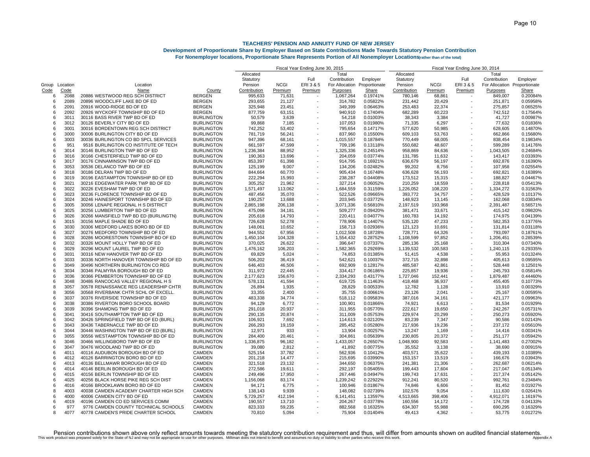|                |      |                                                               |                                | Fiscal Year Ending June 30, 2015 |             |         |                              | Fiscal Year Ending June 30, 2014 |              |                  |                          |                              |              |
|----------------|------|---------------------------------------------------------------|--------------------------------|----------------------------------|-------------|---------|------------------------------|----------------------------------|--------------|------------------|--------------------------|------------------------------|--------------|
|                |      |                                                               |                                | Allocated                        |             |         | Total                        |                                  | Allocated    |                  |                          | Total                        |              |
|                |      |                                                               |                                | Statutory                        |             | Full    | Contribution                 | Employer                         | Statutory    |                  | Full                     | Contribution                 | Employer     |
| Group Location |      | Location                                                      |                                | Pension                          | <b>NCGI</b> | ERI3&5  | For Allocation Proportionate |                                  | Pension      | <b>NCGI</b>      | ERI 3 & 5                | For Allocation Proportionate |              |
| Code           | Code | Name                                                          | County                         | Contribution                     | Premium     | Premium | Purposes                     | <b>Share</b>                     | Contribution | Premium          | Premium                  | Purposes                     | <u>Share</u> |
| 6              | 2088 | 20886 WESTWOOD REG SCH DISTRICT                               | <b>BERGEN</b>                  | 995,633                          | 71,631      |         | 1,067,264                    | 0.19741%                         | 780,146      | 68,861           |                          | 849,007                      | 0.20084%     |
| 6              | 2089 | 20896 WOODCLIFF LAKE BD OF ED                                 | <b>BERGEN</b>                  | 293,655                          | 21,127      |         | 314,782                      | 0.05822%                         | 231,442      | 20,429           | $\overline{\phantom{a}}$ | 251,871                      | 0.05958%     |
| $\epsilon$     | 2091 | 20916 WOOD-RIDGE BD OF ED                                     | <b>BERGEN</b>                  | 325,948                          | 23,451      |         | 349,399                      | 0.06463%                         | 253,483      | 22,374           |                          | 275,857                      | 0.06525%     |
| -6             | 2092 | 20926 WYCKOFF TOWNSHIP BD OF ED                               | BERGEN                         | 877,759                          | 63,151      |         | 940,910                      | 0.17404%                         | 682,289      | 60,223           |                          | 742,512                      | 0.17564%     |
| 6              | 3011 | 30116 BASS RIVER TWP BD OF ED                                 | <b>BURLINGTON</b>              | 50,579                           | 3,639       |         | 54,218                       | 0.01003%                         | 38,343       | 3,384            |                          | 41,727                       | 0.00987%     |
| 6              | 3012 | 30126 BEVERLY CITY BD OF ED                                   | <b>BURLINGTON</b>              | 99,868                           | 7,185       |         | 107,053                      | 0.01980%                         | 71,335       | 6,297            |                          | 77,632                       | 0.01836%     |
| $\epsilon$     | 3001 | 30016 BORDENTOWN REG SCH DISTRICT                             | <b>BURLINGTON</b>              | 742,252                          | 53,402      |         | 795,654                      | 0.14717%                         | 577,620      | 50,985           |                          | 628,605                      | 0.14870%     |
| $\epsilon$     | 3000 | 30006 BURLINGTON CITY BD OF ED                                | <b>BURLINGTON</b>              | 781,719                          | 56,241      |         | 837,960                      | 0.15500%                         | 609,103      | 53,763           |                          | 662,866                      | 0.15680%     |
| 6              | 3003 | 30036 BURLINGTON CO BD SPCL SERVICES                          | <b>BURLINGTON</b>              | 947,396                          | 68,161      |         | 1,015,557                    | 0.18784%                         | 770,449      | 68,005           |                          | 838,454                      | 0.19834%     |
| 6              | 951  | 9516 BURLINGTON CO INSTITUTE OF TECH                          | <b>BURLINGTON</b>              | 661,597                          | 47,599      |         | 709,196                      | 0.13118%                         | 550,682      | 48,607           |                          | 599,289                      | 0.14176%     |
| 6              | 3014 | 30146 BURLINGTON TWP BD OF ED                                 | <b>BURLINGTON</b>              | 1,236,384                        | 88,952      |         | 1,325,336                    | 0.24514%                         | 958,869      | 84,636           | $\overline{a}$           | 1,043,505                    | 0.24684%     |
| 6              | 3016 | 30166 CHESTERFIELD TWP BD OF ED                               | <b>BURLINGTON</b>              | 190,363                          | 13,696      |         | 204,059                      | 0.03774%                         | 131,785      | 11,632           |                          | 143,417                      | 0.03393%     |
| $\epsilon$     | 3017 | 30176 CINNAMINSON TWP BD OF ED                                | <b>BURLINGTON</b>              | 853,397                          | 61,398      |         | 914,795                      | 0.16921%                         | 636,679      | 56,197           |                          | 692.876                      | 0.16390%     |
| 6              | 3053 | 30536 DELANCO TWP BD OF ED                                    | <b>BURLINGTON</b>              | 125,199                          | 9,007       |         | 134,206                      | 0.02482%                         | 99,202       | 8,756            |                          | 107,958                      | 0.02554%     |
| 6              | 3018 | 30186 DELRAN TWP BD OF ED                                     | <b>BURLINGTON</b>              | 844,664                          | 60,770      |         | 905,434                      | 0.16748%                         | 636,628      | 56,193           |                          | 692,821                      | 0.16389%     |
| $\epsilon$     | 3019 | 30196 EASTAMPTON TOWNSHIP BD OF ED                            | <b>BURLINGTON</b>              | 222,294                          | 15,993      |         | 238,287                      | 0.04408%                         | 173,512      | 15,315           |                          | 188,827                      | 0.04467%     |
| $\epsilon$     | 3021 | 30216 EDGEWATER PARK TWP BD OF ED                             | <b>BURLINGTON</b>              | 305,252                          | 21,962      |         | 327,214                      | 0.06052%                         | 210,259      | 18,559           |                          | 228,818                      | 0.05413%     |
| -6             | 3022 | 30226 EVESHAM TWP BD OF ED                                    | <b>BURLINGTON</b>              | 1,571,497                        | 113,062     |         | 1,684,559                    | 0.31159%                         | 1,226,052    | 108,220          |                          | 1,334,272                    | 0.31563%     |
| $\epsilon$     | 3023 | 30236 FLORENCE TOWNSHIP BD OF ED                              | <b>BURLINGTON</b>              | 487,456                          | 35,070      |         | 522,526                      | 0.09665%                         | 393,772      | 34,757           |                          | 428,529                      | 0.10137%     |
| $\epsilon$     | 3024 | 30246 HAINESPORT TOWNSHIP BD OF ED                            | <b>BURLINGTON</b>              | 190,257                          | 13,688      |         | 203,945                      | 0.03772%                         | 148,923      | 13,145           | ÷                        | 162,068                      | 0.03834%     |
| 6              | 3005 | 30056 LENAPE REGIONAL H S DISTRICT                            | <b>BURLINGTON</b>              | 2,865,198                        | 206,138     |         | 3,071,336                    | 0.56810%                         | 2,197,519    | 193,968          |                          | 2,391,487                    | 0.56571%     |
| $\epsilon$     | 3025 | 30256 LUMBERTON TWP BD OF ED                                  | <b>BURLINGTON</b>              | 475,096                          | 34,181      |         | 509,277                      | 0.09420%                         | 381,471      | 33,671           |                          | 415,142                      | 0.09820%     |
| 6              | 3026 | 30266 MANSFIELD TWP BD ED (BURLINGTN)                         | <b>BURLINGTON</b>              | 205,618                          | 14,793      |         | 220,411                      | 0.04077%                         | 160,783      | 14,192           |                          | 174,975                      | 0.04139%     |
| $\epsilon$     | 3015 | 30156 MAPLE SHADE BD OF ED                                    | <b>BURLINGTON</b>              | 726,628                          | 52,278      |         | 778,906                      | 0.14407%                         | 535,120      | 47,233           |                          | 582,353                      | 0.13776%     |
| $\epsilon$     | 3030 | 30306 MEDFORD LAKES BORO BD OF ED                             | <b>BURLINGTON</b>              | 148,061                          | 10,652      |         | 158,713                      | 0.02936%                         | 121,123      | 10,691           |                          | 131,814                      | 0.03118%     |
| -6             | 3027 | 30276 MEDFORD TOWNSHIP BD OF ED                               | <b>BURLINGTON</b>              | 944,552                          | 67,956      |         | 1,012,508                    | 0.18728%                         | 728,771      | 64,326           |                          | 793,097                      | 0.18761%     |
| 6              | 3028 | 30286 MOORESTOWN TOWNSHIP BD OF ED                            | <b>BURLINGTON</b>              | 1,450,104                        | 104,328     |         | 1,554,432                    | 0.28752%                         | 1,108,599    | 97,852           | $\overline{\phantom{a}}$ | 1,206,451                    | 0.28539%     |
| 6              | 3032 | 30326 MOUNT HOLLY TWP BD OF ED                                | <b>BURLINGTON</b>              | 370,025                          | 26,622      |         | 396,647                      | 0.07337%                         | 285,136      | 25,168           |                          | 310,304                      | 0.07340%     |
| $\epsilon$     | 3029 | 30296 MOUNT LAUREL TWP BD OF ED                               | <b>BURLINGTON</b>              | 1,476,162                        | 106,203     |         | 1,582,365                    | 0.29269%                         | 1,139,532    | 100.583          |                          | 1,240,115                    | 0.29335%     |
| հ              | 3031 | 30316 NEW HANOVER TWP BD OF ED                                | <b>BURLINGTON</b>              | 69,829                           | 5,024       |         | 74,853                       | 0.01385%                         | 51,415       | 4,538            |                          | 55,953                       | 0.01324%     |
| $\epsilon$     | 3033 | 30336 NORTH HANOVER TOWNSHIP BD OF ED                         | <b>BURLINGTON</b>              | 506,202                          | 36,419      |         | 542,621                      | 0.10037%                         | 372,715      | 32,898           |                          | 405,613                      | 0.09595%     |
| 6              | 3049 | 30496 NORTHERN BURLINGTON CO REG                              | <b>BURLINGTON</b>              | 646,403                          | 46,506      |         | 692,909                      | 0.12817%                         | 485,587      |                  |                          | 528,448                      | 0.12501%     |
| 6              | 3034 | 30346 PALMYRA BOROUGH BD OF ED                                | <b>BURLINGTON</b>              | 311,972                          | 22,445      |         | 334,417                      | 0.06186%                         | 225,857      | 42,861<br>19,936 |                          | 245,793                      | 0.05814%     |
| $\epsilon$     | 3036 | 30366 PEMBERTON TOWNSHIP BD OF ED                             | <b>BURLINGTON</b>              | 2,177,623                        | 156,670     |         | 2,334,293                    | 0.43177%                         | 1,727,046    | 152,441          |                          | 1,879,487                    | 0.44460%     |
| -6             | 3048 | 30486 RANCOCAS VALLEY REGIONAL H S                            | <b>BURLINGTON</b>              | 578,131                          | 41,594      |         | 619,725                      | 0.11463%                         | 418,468      | 36,937           |                          | 455,405                      | 0.10773%     |
|                | 3057 | 30578 RENAISSANCE REG LEADERSHIP CHTR                         | <b>BURLINGTON</b>              | 26,894                           | 1,935       |         | 28,829                       | 0.00533%                         | 12,782       | 1,128            |                          | 13,910                       | 0.00329%     |
| 8              | 3056 | 30568 RIVERBANK CHTR SCHL OF EXCELL                           | <b>BURLINGTON</b>              | 33,355                           | 2,400       |         | 35,755                       | 0.00661%                         | 23,126       | 2,041            |                          | 25,167                       | 0.00595%     |
| $\epsilon$     | 3037 | 30376 RIVERSIDE TOWNSHIP BD OF ED                             | <b>BURLINGTON</b>              | 483,338                          | 34,774      |         | 518,112                      | 0.09583%                         | 387,016      | 34,161           |                          | 421.177                      | 0.09963%     |
| -6             | 3038 | 30386 RIVERTON BORO SCHOOL BOARD                              | <b>BURLINGTON</b>              | 94,129                           | 6,772       |         | 100,901                      | 0.01866%                         | 74,921       | 6,613            |                          | 81,534                       | 0.01929%     |
| 6              | 3039 | 30396 SHAMONG TWP BD OF ED                                    | <b>BURLINGTON</b>              |                                  | 20,937      |         | 311,955                      | 0.05770%                         | 222,617      |                  |                          | 242,267                      | 0.05731%     |
| $\epsilon$     | 3041 | 30416 SOUTHAMPTON TWP BD OF ED                                | <b>BURLINGTON</b>              | 291,018<br>290,135               | 20,874      |         | 311,009                      | 0.05753%                         | 229,974      | 19,650<br>20,299 |                          | 250,273                      | 0.05920%     |
| $\epsilon$     | 3042 | 30426 SPRINGFIELD TWP BD OF ED (BURL)                         | <b>BURLINGTON</b>              | 106,921                          | 7,692       |         | 114,613                      | 0.02120%                         | 83,239       | 7,347            |                          | 90.586                       | 0.02143%     |
| 6              | 3043 | 30436 TABERNACLE TWP BD OF ED                                 | <b>BURLINGTON</b>              | 266,293                          | 19,159      |         | 285,452                      | 0.05280%                         | 217,936      | 19,236           |                          | 237,172                      | 0.05610%     |
| 6              | 3044 | 30446 WASHINGTON TWP BD OF ED (BURL)                          | <b>BURLINGTON</b>              | 12,971                           | 933         |         | 13,904                       | 0.00257%                         | 13,247       | 1,169            |                          | 14,416                       | 0.00341%     |
| 6              | 3055 | 30556 WESTAMPTON TOWNSHIP BD OF ED                            | <b>BURLINGTON</b>              |                                  | 20,461      |         |                              |                                  |              |                  |                          | 251,177                      | 0.05942%     |
| $\epsilon$     | 3046 | 30466 WILLINGBORO TWP BD OF ED                                |                                | 284,400                          |             |         | 304,861                      | 0.05639%                         | 230,805      | 20,372           |                          |                              |              |
|                | 3047 |                                                               | <b>BURLINGTON</b>              | 1,336,875                        | 96,182      |         | 1,433,057                    | 0.26507%                         | 1,048,900    | 92,583           |                          | 1,141,483                    | 0.27002%     |
| -6<br>6        | 4011 | 30476 WOODLAND TWP BD OF ED<br>40116 AUDUBON BOROUGH BD OF ED | <b>BURLINGTON</b>              | 39,080                           | 2,812       |         | 41,892                       | 0.00775%                         | 35,552       | 3,138            |                          | 38,690                       | 0.00915%     |
| 6              | 4012 |                                                               | <b>CAMDEN</b><br><b>CAMDEN</b> | 525,154                          | 37,782      |         | 562,936                      | 0.10412%                         | 403,571      | 35,622           |                          | 439,193                      | 0.10389%     |
|                | 4013 | 40126 BARRINGTON BORO BD OF ED                                |                                | 201,218                          | 14,477      |         | 215,695                      | 0.03990%                         | 153,157      | 13,519           |                          | 166,676                      | 0.03943%     |
| 6              |      | 40136 BELLMAWR BOROUGH BD OF ED                               | CAMDEN                         | 321,518                          | 23,132      |         | 344,650                      | 0.06375%                         | 241,381      | 21,306           |                          | 262,687                      | 0.06214%     |
| $\epsilon$     | 4014 | 40146 BERLIN BOROUGH BD OF ED                                 | <b>CAMDEN</b>                  | 272,586                          | 19,611      |         | 292,197                      | 0.05405%                         | 199,443      | 17,604           |                          | 217,047                      | 0.05134%     |
| -6             | 4015 | 40156 BERLIN TOWNSHIP BD OF ED                                | <b>CAMDEN</b>                  | 249,496                          | 17,950      |         | 267,446                      | 0.04947%                         | 199,743      | 17,631           |                          | 217,374                      | 0.05142%     |
| 6              | 4025 | 40256 BLACK HORSE PIKE REG SCH DIST                           | <b>CAMDEN</b>                  | 1,156,068                        | 83,174      |         | 1,239,242                    | 0.22922%                         | 912,241      | 80,520           |                          | 992,761                      | 0.23484%     |
| $\epsilon$     | 4016 | 40166 BROOKLAWN BORO BD OF ED                                 | <b>CAMDEN</b>                  | 94,171                           | 6,775       |         | 100,946                      | 0.01867%                         | 74,846       | 6,606            |                          | 81,452                       | 0.01927%     |
| 8              | 4003 | 40038 CAMDEN ACADEMY CHARTER HIGH SCH                         | <b>CAMDEN</b>                  | 138,143                          | 9,939       |         | 148,082                      | 0.02739%                         | 102,576      | 9,054            |                          | 111,630                      | 0.02641%     |
| -6             | 4000 | 40006 CAMDEN CITY BD OF ED                                    | <b>CAMDEN</b>                  | 5,729,257                        | 412,194     |         | 6,141,451                    | 1.13597%                         | 4,513,665    | 398,406          |                          | 4,912,071                    | 1.16197%     |
|                | 4019 | 40196 CAMDEN CO ED SERVICES COMM                              | <b>CAMDEN</b>                  | 190,557                          | 13,710      |         | 204,267                      | 0.03778%                         | 160,556      | 14,172           |                          | 174,728                      | 0.04133%     |
| 6              | 977  | 9776 CAMDEN COUNTY TECHNICAL SCHOOLS                          | <b>CAMDEN</b>                  | 823,333                          | 59,235      |         | 882,568                      | 0.16325%                         | 634,307      | 55,988           |                          | 690,295                      | 0.16329%     |
| я              | 4077 | 40778 CAMDEN'S PRIDE CHARTER SCHOOL                           | <b>CAMDEN</b>                  | 70,810                           | 5,094       |         | 75,904                       | 0.01404%                         | 49,413       | 4,362            |                          | 53.775                       | 0.01272%     |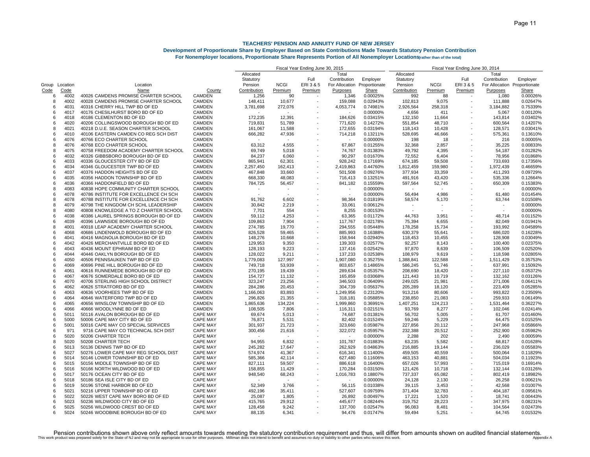|                |             |                                       |                 | Fiscal Year Ending June 30, 2015 |                |                          |                          |               | Fiscal Year Ending June 30, 2014 |             |           |                              |          |
|----------------|-------------|---------------------------------------|-----------------|----------------------------------|----------------|--------------------------|--------------------------|---------------|----------------------------------|-------------|-----------|------------------------------|----------|
|                |             |                                       |                 | Allocated                        |                |                          | Total                    |               | Allocated                        |             |           | Total                        |          |
|                |             |                                       |                 | Statutory                        |                | Full                     | Contribution             | Employer      | Statutory                        |             | Full      | Contribution                 | Employer |
| Group Location |             | Location                              |                 | Pension                          | <b>NCGI</b>    | ERI 3 & 5                | For Allocation           | Proportionate | Pension                          | <b>NCGI</b> | ERI 3 & 5 | For Allocation Proportionate |          |
| Code           | <u>Code</u> | Name                                  | County          | Contribution                     | Premium        | Premium                  | Purposes                 | Share         | Contribution                     | Premium     | Premium   | Purposes                     | Share    |
| 6              | 4002        | 40026 CAMDENS PROMISE CHARTER SCHOOL  | <b>CAMDEN</b>   | 1,256                            | 90             |                          | 1,346                    | 0.00025%      | 992                              | 88          |           | 1,080                        | 0.00026% |
| 8              | 4002        | 40028 CAMDENS PROMISE CHARTER SCHOOL  | <b>CAMDEN</b>   | 148,411                          | 10,677         |                          | 159,088                  | 0.02943%      | 102,813                          | 9,075       | ÷,        | 111,888                      | 0.02647% |
| 6              | 4031        | 40316 CHERRY HILL TWP BD OF ED        | <b>CAMDEN</b>   | 3,781,698                        | 272,076        |                          | 4,053,774                | 0.74981%      | 2,926,564                        | 258,318     |           | 3,184,882                    | 0.75339% |
| -6             | 4017        | 40176 CHESILHURST BORO BD OF ED       | CAMDEN          |                                  |                |                          |                          | 0.00000%      | 4,656                            | 411         |           | 5,067                        | 0.00120% |
| 6              | 4018        | 40186 CLEMENTON BD OF ED              | <b>CAMDEN</b>   | 172,235                          | 12.391         |                          | 184.626                  | 0.03415%      | 132.150                          | 11,664      |           | 143.814                      | 0.03402% |
| 6              | 4020        | 40206 COLLINGSWOOD BOROUGH BD OF ED   | <b>CAMDEN</b>   | 719,831                          | 51,789         |                          | 771,620                  | 0.14272%      | 551,854                          | 48,710      |           | 600,564                      | 0.14207% |
| 8              | 4021        | 40218 D.U.E. SEASON CHARTER SCHOOL    | <b>CAMDEN</b>   | 161,067                          | 11,588         |                          | 172,655                  | 0.03194%      | 118,143                          | 10,428      |           | 128,571                      | 0.03041% |
| 6              | 4010        | 40106 EASTERN CAMDEN CO REG SCH DIST  | <b>CAMDEN</b>   | 666,282                          | 47,936         |                          | 714,218                  | 0.13211%      | 528,695                          | 46,666      |           | 575,361                      | 0.13610% |
| 6              | 4076        | 40766 ECO CHARTER SCHOOL              | <b>CAMDEN</b>   |                                  |                |                          |                          | 0.00000%      | 198                              | 18          |           | 216                          | 0.00005% |
| 8              | 4076        | 40768 ECO CHARTER SCHOOL              | CAMDEN          | 63,312                           | 4,555          |                          | 67,867                   | 0.01255%      | 32,368                           | 2,857       |           | 35,225                       | 0.00833% |
| 8              | 4075        | 40758 FREEDOM ACADEMY CHARTER SCHOOL  | <b>CAMDEN</b>   | 69,749                           | 5,018          |                          | 74,767                   | 0.01383%      | 49,792                           | 4,395       |           | 54,187                       | 0.01282% |
| 6              | 4032        | 40326 GIBBSBORO BOROUGH BD OF ED      | <b>CAMDEN</b>   | 84,237                           | 6,060          |                          | 90,297                   | 0.01670%      | 72,552                           | 6,404       |           | 78,956                       | 0.01868% |
| 6              | 4033        | 40336 GLOUCESTER CITY BD OF ED        | CAMDEN          | 865,941                          | 62,301         |                          | 928,242                  | 0.17169%      | 674,185                          | 59,508      | ÷         | 733,693                      | 0.17356% |
| 6              | 4034        | 40346 GLOUCESTER TWP BD OF ED         | <b>CAMDEN</b>   | 2,257,450                        | 162,413        |                          | 2,419,863                | 0.44760%      | 1,812,459                        | 159,980     |           | 1,972,439                    | 0.46659% |
| 6              | 4037        | 40376 HADDON HEIGHTS BD OF ED         | <b>CAMDEN</b>   | 467,848                          | 33,660         |                          | 501,508                  | 0.09276%      | 377,934                          | 33,359      |           | 411,293                      | 0.09729% |
| 6              | 4035        | 40356 HADDON TOWNSHIP BD OF ED        | <b>CAMDEN</b>   | 668,330                          | 48,083         |                          | 716,413                  | 0.13251%      | 491,916                          | 43,420      |           | 535,336                      | 0.12664% |
| 6              | 4036        | 40366 HADDONFIELD BD OF ED            | <b>CAMDEN</b>   | 784,725                          | 56,457         |                          | 841,182                  | 0.15559%      | 597,564                          | 52,745      |           | 650,309                      | 0.15383% |
| 8              | 4083        | 40838 HOPE COMMUNITY CHARTER SCHOOL   | <b>CAMDEN</b>   |                                  |                |                          |                          | 0.00000%      |                                  |             |           | $\overline{\phantom{a}}$     | 0.00000% |
| 6              | 4078        | 40786 INSTITUTE FOR EXCELLENCE CH SCH | <b>CAMDEN</b>   |                                  | $\overline{a}$ |                          | $\overline{\phantom{a}}$ | 0.00000%      | 56,494                           | 4,986       |           | 61,480                       | 0.01454% |
| 8              | 4078        | 40788 INSTITUTE FOR EXCELLENCE CH SCH | <b>CAMDEN</b>   | 91,762                           | 6,602          |                          | 98,364                   | 0.01819%      | 58,574                           | 5,170       |           | 63,744                       | 0.01508% |
| 8              | 4079        | 40798 THE KINGDOM CH SCHL LEADERSHIP  | <b>CAMDEN</b>   | 30,842                           | 2,219          |                          | 33,061                   | 0.00612%      |                                  |             |           |                              | 0.00000% |
| 8              | 4080        | 40808 KNOWLEDGE A TO Z CHARTER SCHOOL | CAMDEN          | 7,701                            | 554            |                          | 8,255                    | 0.00153%      | $\overline{a}$                   |             |           | $\overline{\phantom{a}}$     | 0.00000% |
| 6              | 4038        | 40386 LAUREL SPRINGS BOROUGH BD OF ED | <b>CAMDEN</b>   | 59,112                           | 4,253          |                          | 63,365                   | 0.01172%      | 44.763                           | 3,951       |           | 48.714                       | 0.01152% |
| 6              | 4039        | 40396 LAWNSIDE BOROUGH BD OF ED       | CAMDEN          | 109,863                          | 7,904          |                          | 117,767                  | 0.02178%      | 75,394                           | 6,655       |           | 82,049                       | 0.01941% |
| 8              | 4001        | 40018 LEAP ACADEMY CHARTER SCHOOL     | <b>CAMDEN</b>   | 274,785                          | 19,770         |                          | 294,555                  | 0.05448%      | 178,258                          | 15,734      |           | 193,992                      | 0.04589% |
| 6              | 4068        | 40686 LINDENWOLD BOROUGH BD OF ED     | CAMDEN          | 826,528                          | 59,465         |                          | 885,993                  | 0.16388%      | 630,379                          | 55,641      |           | 686,020                      | 0.16228% |
| 6              | 4041        | 40416 MAGNOLIA BOROUGH BD OF ED       | <b>CAMDEN</b>   | 148,276                          | 10,668         |                          | 158.944                  | 0.02940%      | 118,453                          | 10,455      |           | 128.908                      | 0.03049% |
| 6              | 4042        | 40426 MERCHANTVILLE BORO BD OF ED     | <b>CAMDEN</b>   | 129,953                          | 9,350          |                          | 139,303                  | 0.02577%      | 92,257                           | 8,143       |           | 100,400                      | 0.02375% |
| 6              | 4043        | 40436 MOUNT EPHRAIM BD OF ED          | <b>CAMDEN</b>   | 128,193                          | 9,223          |                          | 137,416                  | 0.02542%      | 97,870                           | 8,639       |           | 106,509                      | 0.02520% |
| 6              | 4044        | 40446 OAKLYN BOROUGH BD OF ED         | <b>CAMDEN</b>   | 128,022                          | 9,211          |                          | 137,233                  | 0.02538%      | 108,979                          | 9,619       |           | 118,598                      | 0.02805% |
| 6              | 4050        | 40506 PENNSAUKEN TWP BD OF ED         | CAMDEN          | 1,779,083                        | 127,997        |                          | 1,907,080                | 0.35275%      | 1,388,841                        | 122,588     |           | 1,511,429                    | 0.357539 |
| 6              | 4069        | 40696 PINE HILL BOROUGH BD OF ED      | <b>CAMDEN</b>   | 749,718                          | 53,939         |                          | 803,657                  | 0.14865%      | 586,245                          | 51,746      |           | 637,991                      | 0.15092% |
| 6              | 4061        | 40616 RUNNEMEDE BOROUGH BD OF ED      | <b>CAMDEN</b>   | 270,195                          | 19,439         |                          | 289,634                  | 0.05357%      | 208,690                          | 18,420      |           | 227,110                      | 0.05372% |
| 6              | 4067        | 40676 SOMERDALE BORO BD OF ED         | <b>CAMDEN</b>   | 154,727                          | 11,132         |                          | 165,859                  | 0.03068%      | 121,443                          | 10,719      |           | 132,162                      | 0.03126% |
| 6              | 4070        | 40706 STERLING HIGH SCHOOL DISTRICT   | CAMDEN          | 323,247                          | 23,256         |                          | 346,503                  | 0.06409%      | 249,025                          | 21,981      |           | 271,006                      | 0.06411% |
| 6              | 4062        | 40626 STRATFORD BD OF ED              | <b>CAMDEN</b>   | 284,286                          | 20,453         |                          | 304,739                  | 0.05637%      | 205,289                          | 18,120      |           | 223,409                      | 0.05285% |
| 6              | 4063        | 40636 VOORHEES TWP BD OF ED           | <b>CAMDEN</b>   | 1,166,063                        | 83,893         |                          | 1,249,956                | 0.23120%      | 913,216                          | 80,606      |           | 993,822                      | 0.235099 |
| 6              | 4064        | 40646 WATERFORD TWP BD OF ED          | <b>CAMDEN</b>   | 296,826                          | 21,355         | ÷                        | 318,181                  | 0.05885%      | 238,850                          | 21,083      |           | 259,933                      | 0.06149% |
| 6              | 4065        | 40656 WINSLOW TOWNSHIP BD OF ED       | <b>CAMDEN</b>   | 1,865,636                        | 134,224        | $\overline{\phantom{a}}$ | 1,999,860                | 0.36991%      | 1,407,251                        | 124,213     | ÷,        | 1,531,464                    | 0.36227% |
| 6              | 4066        | 40666 WOODLYNNE BD OF ED              | <b>CAMDEN</b>   | 108,505                          | 7,806          |                          | 116,311                  | 0.02151%      | 93,769                           | 8,277       |           | 102,046                      | 0.02414% |
| 6              | 5011        | 50116 AVALON BOROUGH BD OF ED         | <b>CAPE MAY</b> | 69,674                           | 5,013          |                          | 74,687                   | 0.01381%      | 56,702                           | 5,005       |           | 61,707                       | 0.01460% |
| ĥ              | 5000        | 50006 CAPE MAY CITY BD OF ED          | <b>CAPE MAY</b> | 76,871                           | 5,531          |                          | 82,402                   | 0.01524%      | 59,246                           | 5,229       |           | 64,475                       | 0.01525% |
| 6              | 5001        | 50016 CAPE MAY CO SPECIAL SERVICES    | <b>CAPE MAY</b> | 301,937                          | 21,723         |                          | 323,660                  | 0.05987%      | 227,856                          | 20,112      |           | 247,968                      | 0.05866% |
| 6              | 971         | 9716 CAPE MAY CO TECHNICAL SCH DIST   | <b>CAPE MAY</b> | 300,456                          | 21,616         |                          | 322,072                  | 0.05957%      | 232,388                          | 20,512      |           | 252,900                      | 0.05982% |
| -6             | 5020        | 50206 CHARTER TECH                    | <b>CAPE MAY</b> |                                  |                |                          | $\overline{\phantom{a}}$ | 0.00000%      | 2,288                            | 202         |           | 2,490                        | 0.00059% |
| 8              | 5020        | 50208 CHARTER TECH                    | <b>CAPE MAY</b> | 94,955                           | 6,832          |                          | 101,787                  | 0.01883%      | 63,235                           | 5.582       |           | 68,817                       | 0.01628% |
| 6              | 5013        | 50136 DENNIS TWP BD OF ED             | <b>CAPE MAY</b> | 245,282                          | 17,647         |                          | 262,929                  | 0.04863%      | 216,885                          | 19,144      |           | 236,029                      | 0.05583% |
| 6              | 5027        | 50276 LOWER CAPE MAY REG SCHOOL DIST  | <b>CAPE MAY</b> | 574,974                          | 41,367         |                          | 616,341                  | 0.11400%      | 459,505                          | 40,559      |           | 500,064                      | 0.11829% |
| 6              | 5014        | 50146 LOWER TOWNSHIP BD OF ED         | <b>CAPE MAY</b> | 585,366                          | 42,114         |                          | 627,480                  | 0.11606%      | 463,153                          | 40,881      |           | 504,034                      | 0.11923% |
| 6              | 5015        | 50156 MIDDLE TOWNSHIP BD OF ED        | <b>CAPE MAY</b> | 827,111                          | 59,507         |                          | 886,618                  | 0.16400%      | 657,026                          | 57,993      |           | 715,019                      | 0.16914% |
| ĥ              | 5016        | 50166 NORTH WILDWOOD BD OF ED         | <b>CAPE MAY</b> | 158,855                          | 11,429         |                          | 170,284                  | 0.03150%      | 121,426                          | 10,718      |           | 132,144                      | 0.03126% |
| 6              | 5017        | 50176 OCEAN CITY BD OF ED             | <b>CAPE MAY</b> | 948,540                          | 68,243         |                          | 1,016,783                | 0.18807%      | 737,337                          | 65,082      |           | 802,419                      | 0.18982% |
| 6              | 5018        | 50186 SEA ISLE CITY BD OF ED          | <b>CAPE MAY</b> |                                  |                |                          |                          | 0.00000%      | 24,128                           | 2,130       |           | 26,258                       | 0.00621% |
| ĥ              | 5019        | 50196 STONE HARBOR BD OF ED           | <b>CAPE MAY</b> | 52,349                           | 3,766          |                          | 56,115                   | 0.01038%      | 39,115                           | 3,453       |           | 42,568                       | 0.01007% |
| 6              | 5021        | 50216 UPPER TOWNSHIP BD OF ED         | <b>CAPE MAY</b> | 492,196                          | 35,411         |                          | 527,607                  | 0.09759%      | 371,404                          | 32,783      |           | 404,187                      | 0.09561% |
| 6              | 5022        | 50226 WEST CAPE MAY BORO BD OF ED     | <b>CAPE MAY</b> | 25,087                           | 1,805          |                          | 26,892                   | 0.00497%      | 17,221                           | 1,520       |           | 18,741                       | 0.00443% |
| 6              | 5023        | 50236 WILDWOOD CITY BD OF ED          | <b>CAPE MAY</b> | 415,765                          | 29,912         |                          | 445,677                  | 0.08244%      | 319,752                          | 28,223      |           | 347,975                      | 0.08231% |
| 6              | 5025        | 50256 WILDWOOD CREST BD OF ED         | <b>CAPE MAY</b> | 128,458                          | 9,242          |                          | 137,700                  | 0.02547%      | 96,083                           | 8,481       |           | 104,564                      | 0.02473% |
| ĥ              | 5024        | 50246 WOODBINE BOROUGH BD OF ED       | <b>CAPE MAY</b> | 88.135                           | 6.341          |                          | 94.476                   | 0.01747%      | 59.494                           | 5.251       |           | 64.745                       | 0.01532% |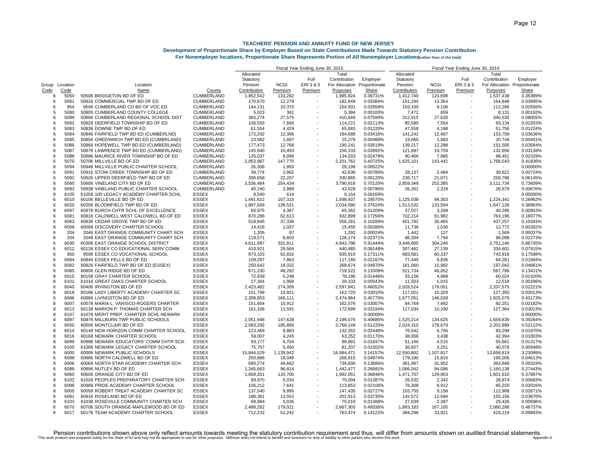|                |      |                                       |                   | Fiscal Year Ending June 30, 2015 |             |                |                | Fiscal Year Ending June 30, 2014 |              |             |                          |                              |          |
|----------------|------|---------------------------------------|-------------------|----------------------------------|-------------|----------------|----------------|----------------------------------|--------------|-------------|--------------------------|------------------------------|----------|
|                |      |                                       |                   | Allocated                        |             |                | Total          |                                  | Allocated    |             |                          | Total                        |          |
|                |      |                                       |                   | Statutory                        |             | Full           | Contribution   | Employer                         | Statutory    |             | Full                     | Contribution                 | Employer |
| Group Location |      | Location                              |                   | Pension                          | <b>NCGI</b> | ERI3&5         | For Allocation | Proportionate                    | Pension      | <b>NCGI</b> | ERI 3 & 5                | For Allocation Proportionate |          |
| Code           | Code | Name                                  | County            | Contribution                     | Premium     | <b>Premium</b> | Purposes       | <b>Share</b>                     | Contribution | Premium     | Premium                  | Purposes                     | Share    |
| 6              | 5050 | 50506 BRIDGETON BD OF ED              | <b>CUMBERLAND</b> | 1,852,542                        | 133,282     |                | 1,985,824      | 0.36731%                         | 1,412,740    | 124,698     |                          | 1,537,438                    | 0.36369% |
| 6              | 5081 | 50816 COMMERCIAL TWP BD OF ED         | CUMBERLAND        | 170,670                          | 12,279      |                | 182,949        | 0.03384%                         | 151,294      | 13,354      | $\overline{\phantom{a}}$ | 164,648                      | 0.03895% |
| $\epsilon$     | 954  | 9546 CUMBERLAND CO BD OF VOC ED       | CUMBERLAND        | 144,131                          | 10,370      |                | 154,501        | 0.02858%                         | 103,160      | 9,106       |                          | 112,266                      | 0.02656% |
| 5              | 5080 | 50805 CUMBERLAND COUNTY COLLEGE       | <b>CUMBERLAND</b> | 5,023                            | 361         |                | 5,384          | 0.00100%                         | 7,472        | 659         |                          | 8,131                        | 0.00192% |
| 6              | 5089 | 50896 CUMBERLAND REGIONAL SCHOOL DIST | CUMBERLAND        | 383,274                          | 27,575      |                | 410,849        | 0.07599%                         | 312,915      | 27,620      |                          | 340,535                      | 0.08055% |
| 6              | 5082 | 50826 DEERFIELD TOWNSHIP BD OF ED     | CUMBERLAND        | 106,555                          | 7,666       |                | 114,221        | 0.02113%                         | 85,580       | 7,554       |                          | 93,134                       | 0.02203% |
| $\epsilon$     | 5083 | 50836 DOWNE TWP BD OF ED              | <b>CUMBERLAND</b> | 61,554                           | 4,429       |                | 65,983         | 0.01220%                         | 47,558       | 4,198       |                          | 51,756                       | 0.01224% |
| $\epsilon$     | 5084 | 50846 FAIRFIELD TWP BD ED (CUMBERLND) | <b>CUMBERLAND</b> | 172,292                          | 12,396      |                | 184,688        | 0.03416%                         | 141,242      | 12,467      |                          | 153,709                      | 0.03636% |
| 6              | 5085 | 50856 GREENWICH TWP BD ED (CUMBRLAND) | <b>CUMBERLAND</b> | 23,582                           | 1,697       |                | 25,279         | 0.00468%                         | 19,065       | 1,683       |                          | 20,748                       | 0.00491% |
| 6              | 5086 | 50866 HOPEWELL TWP BD ED (CUMBERLAND) | CUMBERLAND        | 177,473                          | 12,768      |                | 190,241        | 0.03519%                         | 139,217      | 12,288      |                          | 151,505                      | 0.03584% |
| 6              | 5087 | 50876 LAWRENCE TWP BD ED (CUMBERLAND) | CUMBERLAND        | 145,840                          | 10,493      |                | 156,333        | 0.02892%                         | 121,897      | 10,759      |                          | 132,656                      | 0.03138% |
| $\epsilon$     | 5088 | 50886 MAURICE RIVER TOWNSHIP BD OF ED | <b>CUMBERLAND</b> | 125,037                          | 8,996       |                | 134,033        | 0.02479%                         | 90,466       | 7,985       |                          | 98,451                       | 0.02329% |
| $\epsilon$     | 5070 | 50706 MILLVILLE BD OF ED              | <b>CUMBERLAND</b> | 2,053,987                        | 147,775     |                | 2,201,762      | 0.40725%                         | 1,625,101    | 143,442     |                          | 1,768,543                    | 0.41836% |
| 8              | 5094 | 50948 MILLVILLE PUBLIC CHARTER SCHOOL | CUMBERLAND        | 26,306                           | 1,893       |                | 28,199         | 0.00522%                         |              |             |                          |                              | 0.00000% |
| 6              | 5091 | 50916 STOW CREEK TOWNSHIP BD OF ED    | CUMBERLAND        | 39,774                           | 2,862       |                | 42,636         | 0.00789%                         | 28,137       | 2,484       |                          | 30,621                       | 0.00724% |
| $\epsilon$     | 5092 | 50926 UPPER DEERFIELD TWP BD OF ED    | <b>CUMBERLAND</b> | 308,658                          | 22,207      |                | 330,865        | 0.06120%                         | 238.717      | 21,071      |                          | 259.788                      | 0.06145% |
| $\epsilon$     | 5060 | 50606 VINELAND CITY BD OF ED          | CUMBERLAND        | 3,536,484                        | 254,434     |                | 3,790,918      | 0.70120%                         | 2,859,349    | 252,385     |                          | 3,111,734                    | 0.73609% |
| 8              | 5093 | 50938 VINELAND PUBLIC CHARTER SCHOOL  | CUMBERLAND        | 40,140                           | 2,888       |                | 43,028         | 0.00796%                         | 26,261       | 2,318       |                          | 28,579                       | 0.00676% |
| 8              | 6105 | 61058 100 LEGACY ACADEMY CHARTER SCHL | <b>ESSEX</b>      | 8,540                            | 614         |                | 9,154          | 0.00169%                         |              |             |                          |                              | 0.00000% |
| $\epsilon$     | 6010 | 60106 BELLEVILLE BD OF ED             | ESSEX             | 1,491,622                        | 107,315     |                | 1,598,937      | 0.29575%                         | 1,125,038    | 99,303      | $\overline{\phantom{a}}$ | 1,224,341                    | 0.28962% |
| 6              | 6020 | 60206 BLOOMFIELD TWP BD OF ED         | <b>ESSEX</b>      | 1,897,569                        | 136,521     | $\sim$         | 2,034,090      | 0.37624%                         | 1,513,532    | 133,594     |                          | 1,647,126                    | 0.38963% |
| 8              | 6097 | 60978 BURCH CHTR SCHL OF EXCELLENCE   | ESSEX             | 60,975                           | 4,387       |                | 65,362         | 0.01209%                         | 37,027       | 3,268       |                          | 40,295                       | 0.00953% |
| 6              | 6081 | 60816 CALDWELL WEST CALDWELL BD OF ED | <b>ESSEX</b>      | 870,286                          | 62,613      |                | 932,899        | 0.17256%                         | 702,214      | 61,982      |                          | 764,196                      | 0.18077% |
| $\epsilon$     | 6083 | 60836 CEDAR GROVE TWP BD OF ED        | <b>ESSEX</b>      | 518,945                          | 37,336      |                | 556,281        | 0.10289%                         | 401,792      | 35,465      |                          | 437,257                      | 0.10343% |
| 8              | 6009 | 60098 DISCOVERY CHARTER SCHOOL        | <b>ESSEX</b>      | 14,418                           | 1,037       |                | 15,455         | 0.00286%                         | 11,736       | 1,036       |                          | 12,772                       | 0.00302% |
| 6              | 204  | 2046 EAST ORANGE COMMUNITY CHART SCH  | ESSEX             | 1,205                            | 87          |                | 1,292          | 0.00024%                         | 1,442        | 127         |                          | 1,569                        | 0.00037% |
| 8              | 204  | 2048 EAST ORANGE COMMUNITY CHART SCH  | <b>ESSEX</b>      | 119,571                          | 8,603       | $\blacksquare$ | 128,174        | 0.02371%                         | 88,304       | 7,794       |                          | 96,098                       | 0.02273% |
| 6              | 6030 | 60306 EAST ORANGE SCHOOL DISTRICT     | ESSEX             | 4,611,987                        | 331,811     |                | 4,943,798      | 0.91444%                         | 3,446,900    | 304,246     | $\overline{\phantom{a}}$ | 3,751,146                    | 0.88735% |
| $\epsilon$     | 6012 | 60126 ESSEX CO EDUCATIONAL SERV COMM  | ESSEX             | 410,921                          | 29,564      |                | 440,485        | 0.08148%                         | 307,462      | 27,139      |                          | 334.601                      | 0.07915% |
| -6             | 950  | 9506 ESSEX CO VOCATIONAL SCHOOL       | <b>ESSEX</b>      | 873,103                          | 62,816      |                | 935,919        | 0.17311%                         | 683,581      | 60,337      |                          | 743,918                      | 0.17598% |
| $\epsilon$     | 6084 | 60846 ESSEX FELLS BD OF ED            | ESSEX             | 109,297                          | 7,863       |                | 117,160        | 0.02167%                         | 77,445       | 6,836       |                          | 84,281                       | 0.01994% |
| 6              | 6082 | 60826 FAIRFIELD TWP BD OF ED (ESSEX)  | <b>ESSEX</b>      | 250,642                          | 18,032      |                | 268,674        | 0.04970%                         | 181,060      | 15,982      |                          | 197,042                      | 0.04661% |
| 6              | 6085 | 60856 GLEN RIDGE BD OF ED             | ESSEX             | 671,230                          | 48,292      |                | 719,522        | 0.13309%                         | 521,734      | 46,052      |                          | 567,786                      | 0.13431% |
| 8              | 6015 | 60158 GRAY CHARTER SCHOOL             | <b>ESSEX</b>      | 72,938                           | 5,248       |                | 78,186         | 0.01446%                         | 55,156       | 4,868       |                          | 60,024                       | 0.01420% |
| 8              | 6101 | 61018 GREAT OAKS CHARTER SCHOOL       | ESSEX             | 27,364                           | 1,969       |                | 29,333         | 0.00543%                         | 11,503       | 1,015       |                          | 12,518                       | 0.00296% |
|                | 6040 | 60406 IRVINGTON BD OF ED              | <b>ESSEX</b>      | 2,423,482                        | 174,359     |                | 2,597,841      | 0.48052%                         | 2,028,524    | 179,051     |                          | 2,207,575                    | 0.52221% |
| 8              | 6018 | 60188 LADY LIBERTY ACADEMY CHARTER SC | <b>ESSEX</b>      | 151,799                          | 10,921      |                | 162,720        | 0.03010%                         | 117,021      | 10,329      |                          | 127,350                      | 0.03013% |
| $\epsilon$     | 6086 | 60866 LIVINGSTON BD OF ED             | <b>ESSEX</b>      | 2,308,853                        | 166.111     |                | 2,474,964      | 0.45779%                         | 1,677,051    | 148,028     |                          | 1,825,079                    | 0.43173% |
| 8              | 6007 | 60078 MARIA L. VARISCO-ROGERS CHARTER | ESSEX             | 151,664                          | 10,912      |                | 162,576        | 0.03007%                         | 84,769       | 7,482       |                          | 92,251                       | 0.02182% |
| 8              | 6013 | 60138 MARION P. THOMAS CHARTER SCH    | <b>ESSEX</b>      | 161,108                          | 11,591      |                | 172,699        | 0.03194%                         | 117,034      | 10,330      |                          | 127,364                      | 0.03013% |
| 8              | 6107 | 61078 MERIT PREP. CHARTER SCHL NEWARK | <b>ESSEX</b>      |                                  |             |                |                | 0.00000%                         |              |             |                          |                              | 0.00000% |
| $\epsilon$     | 6087 | 60876 MILLBURN TWP PUBLIC SCHOOLS     | ESSEX             | 2,051,948                        | 147,628     |                | 2,199,576      | 0.40685%                         | 1,525,214    | 134,625     |                          | 1.659.839                    | 0.39264% |
| 6              | 6050 | 60506 MONTCLAIR BD OF ED              | ESSEX             | 2,583,292                        | 185,856     |                | 2,769,148      | 0.51220%                         | 2,024,310    | 178,679     |                          | 2,202,989                    | 0.52112% |
| 8              | 6014 | 60148 NEW HORIZON COMM CHARTER SCHOOL | <b>ESSEX</b>      | 123,469                          | 8,883       |                | 132,352        | 0.02448%                         | 76,542       | 6,756       |                          | 83,298                       | 0.01970% |
|                | 6016 | 60168 NEWARK CHARTER SCHOOL           | <b>ESSEX</b>      | 59,007                           | 4,245       |                | 63,252         | 0.01170%                         | 38,956       | 3,438       |                          | 42,394                       | 0.01003% |
| 8              | 6099 | 60998 NEWARK EDUCATORS' COMM CHTR SCH | <b>ESSEX</b>      | 93.177                           | 6.704       |                | 99,881         | 0.01847%                         | 51,146       | 4,515       |                          | 55,661                       | 0.01317% |
| 8              | 6100 | 61008 NEWARK LEGACY CHARTER SCHOOL    | ESSEX             | 75,757                           | 5,450       |                | 81,207         | 0.01502%                         | 36,827       | 3,251       |                          | 40,078                       | 0.00948% |
| 6              | 6000 | 60006 NEWARK PUBLIC SCHOOLS           | <b>ESSEX</b>      | 15,844,529                       | 1,139,942   |                | 16,984,471     | 3.14157%                         | 12,550,802   | 1,107,817   | $\overline{\phantom{a}}$ | 13,658,619                   | 3.23099% |
| 6              | 6088 | 60886 NORTH CALDWELL BD OF ED         | ESSEX             | 250,866                          | 18,049      |                | 268,915        | 0.04974%                         | 179,190      | 15,816      |                          | 195,006                      | 0.04613% |
| 8              | 6006 | 60068 NORTH STAR ACADEMY CHARTER SCH  | <b>ESSEX</b>      | 690,274                          | 49,662      |                | 739,936        | 0.13686%                         | 361,997      | 31,952      |                          | 393,949                      | 0.09319% |
| $\epsilon$     | 6089 | 60896 NUTLEY BD OF ED                 | ESSEX             | 1,345,663                        | 96,814      |                | 1,442,477      | 0.26681%                         | 1,066,042    | 94,096      |                          | 1,160,138                    | 0.27443% |
| -6             | 6060 | 60606 ORANGE CITY BD OF ED            | <b>ESSEX</b>      | 1,858,351                        | 133,700     |                | 1,992,051      | 0.36846%                         | 1,471,707    | 129,903     | $\overline{\phantom{a}}$ | 1,601,610                    | 0.37887% |
| 8              | 6102 | 61028 PEOPLES PREPARATORY CHARTER SCH | <b>ESSEX</b>      | 69,970                           | 5,034       |                | 75,004         | 0.01387%                         | 26,532       | 2,342       |                          | 28,874                       | 0.00683% |
| 8              | 6098 | 60988 PRIDE ACADEMY CHARTER SCHOOL    | <b>ESSEX</b>      | 106,212                          | 7,641       |                | 113,853        | 0.02106%                         | 78,308       | 6,912       |                          | 85,220                       | 0.02016% |
| 8              | 6005 | 60058 ROBERT TREAT ACADEMY CHARTER SC | ESSEX             | 137,540                          | 9,895       |                | 147,435        | 0.02727%                         | 103,750      | 9,158       |                          | 112.908                      | 0.02671% |
| -6             | 6091 | 60916 ROSELAND BD OF ED               | <b>ESSEX</b>      | 188,361                          | 13,552      |                | 201,913        | 0.03735%                         | 142,572      | 12,584      |                          | 155,156                      | 0.03670% |
|                | 6103 | 61038 ROSEVILLE COMMUNITY CHARTER SCH | <b>ESSEX</b>      | 69,984                           | 5,035       |                | 75,019         | 0.01388%                         | 27,039       | 2,387       |                          | 29,426                       | 0.00696% |
| 6              | 6070 | 60706 SOUTH ORANGE-MAPLEWOOD BD OF ED | <b>ESSEX</b>      | 2,488,282                        | 179,021     |                | 2,667,303      | 0.49336%                         | 1,893,183    | 167,105     |                          | 2,060,288                    | 0.48737% |
| я              | 6017 | 60178 TEAM ACADEMY CHARTER SCHOOL     | <b>ESSEX</b>      | 712,232                          | 51,242      |                | 763,474        | 0.14122%                         | 384,298      | 33.921      |                          | 418.219                      | 0.09893% |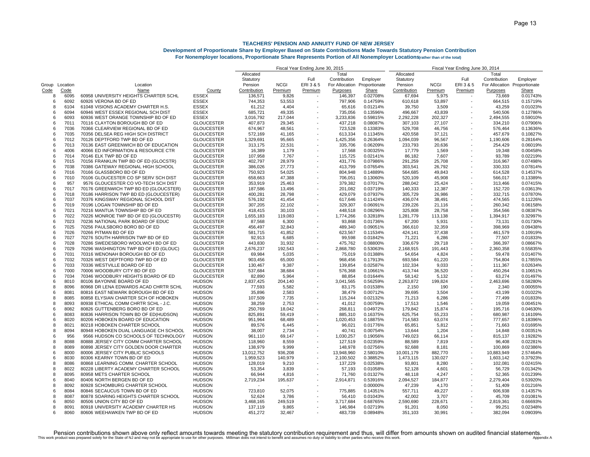|                |             |                                       |                   | Fiscal Year Ending June 30, 2015 |             |                          |                | Fiscal Year Ending June 30, 2014 |              |             |                          |                              |          |
|----------------|-------------|---------------------------------------|-------------------|----------------------------------|-------------|--------------------------|----------------|----------------------------------|--------------|-------------|--------------------------|------------------------------|----------|
|                |             |                                       |                   | Allocated                        |             |                          | Total          |                                  | Allocated    |             |                          | Total                        |          |
|                |             |                                       |                   | Statutory                        |             | Full                     | Contribution   | Employer                         | Statutory    |             | Full                     | Contribution                 | Employer |
| Group Location |             | Location                              |                   | Pension                          | <b>NCGI</b> | ERI3&5                   | For Allocation | Proportionate                    | Pension      | <b>NCGI</b> | ERI 3 & 5                | For Allocation Proportionate |          |
| Code           | <u>Code</u> | Name                                  | County            | Contribution                     | Premium     | <b>Premium</b>           | Purposes       | <b>Share</b>                     | Contribution | Premium     | Premium                  | Purposes                     | Share    |
| 8              | 6095        | 60958 UNIVERSITY HEIGHTS CHARTER SCHL | <b>ESSEX</b>      | 136,571                          | 9,826       |                          | 146,397        | 0.02708%                         | 67,694       | 5,975       |                          | 73,669                       | 0.01743% |
| -6             | 6092        | 60926 VERONA BD OF ED                 | <b>ESSEX</b>      | 744,353                          | 53,553      | $\overline{\phantom{a}}$ | 797,906        | 0.14759%                         | 610,618      | 53,897      | $\overline{\phantom{a}}$ | 664,515                      | 0.15719% |
| 8              | 6104        | 61048 VISIONS ACADEMY CHARTER H.S.    | <b>ESSEX</b>      | 61,212                           | 4,404       |                          | 65,616         | 0.01214%                         | 39,750       | 3,509       |                          | 43,259                       | 0.01023% |
| 6              | 6094        | 60946 WEST ESSEX REGIONAL SCH DIST    | <b>ESSEX</b>      | 685,721                          | 49,335      |                          | 735,056        | 0.13596%                         | 496,667      | 43,839      |                          | 540,506                      | 0.12786% |
| 6              | 6093        | 60936 WEST ORANGE TOWNSHIP BD OF ED   | <b>ESSEX</b>      | 3,016,792                        | 217,044     |                          | 3,233,836      | 0.59815%                         | 2,292,228    | 202,327     | $\overline{\phantom{a}}$ | 2,494,555                    | 0.59010% |
| 6              | 7011        | 70116 CLAYTON BOROUGH BD OF ED        | <b>GLOUCESTER</b> | 407,873                          | 29,345      |                          | 437,218        | 0.08087%                         | 307,103      | 27,107      |                          | 334,210                      | 0.07906% |
| ĥ              | 7036        | 70366 CLEARVIEW REGIONAL BD OF ED     | <b>GLOUCESTER</b> | 674,967                          | 48,561      |                          | 723,528        | 0.13383%                         | 529,708      | 46,756      |                          | 576,464                      | 0.13636% |
| 6              | 7035        | 70356 DELSEA REG HIGH SCH DISTRICT    | <b>GLOUCESTER</b> | 572,169                          | 41,165      |                          | 613,334        | 0.11345%                         | 420,558      | 37,121      |                          | 457,679                      | 0.10827% |
| 6              | 7012        | 70126 DEPTFORD TWP BD OF ED           | <b>GLOUCESTER</b> | 1,329,691                        | 95,665      | $\overline{\phantom{a}}$ | 1,425,356      | 0.26364%                         | 1,094,039    | 96,567      |                          | 1,190,606                    | 0.28164% |
| 6              | 7013        | 70136 EAST GREENWICH BD OF EDUCATION  | <b>GLOUCESTER</b> | 313,175                          | 22,531      |                          | 335,706        | 0.06209%                         | 233,793      | 20,636      |                          | 254,429                      | 0.06019% |
| 6              | 4006        | 40066 ED INFORMATION & RESOURCE CTR   | <b>GLOUCESTER</b> | 16,389                           | 1,179       |                          | 17,568         | 0.00325%                         | 17,779       | 1,569       |                          | 19,348                       | 0.00458% |
| 6              | 7014        | 70146 ELK TWP BD OF ED                | <b>GLOUCESTER</b> | 107,958                          | 7,767       |                          | 115,725        | 0.02141%                         | 86,182       | 7,607       |                          | 93,789                       | 0.02219% |
| 6              | 7015        | 70156 FRANKLIN TWP BD OF ED (GLOCSTR) | <b>GLOUCESTER</b> | 402,797                          | 28.979      |                          | 431.776        | 0.07986%                         | 291,259      | 25,708      |                          | 316.967                      | 0.07498% |
| 6              | 7038        | 70386 GATEWAY REGIONAL HIGH SCHOOL    | <b>GLOUCESTER</b> | 386,026                          | 27,773      |                          | 413,799        | 0.07654%                         | 303,541      | 26,792      |                          | 330,333                      | 0.07814% |
| 6              | 7016        | 70166 GLASSBORO BD OF ED              | <b>GLOUCESTER</b> | 750,923                          | 54,025      |                          | 804,948        | 0.14889%                         | 564,685      | 49,843      |                          | 614,528                      | 0.14537% |
| 6              | 7010        | 70106 GLOUCESTER CO SP SERV SCH DIST  | <b>GLOUCESTER</b> | 658,663                          | 47,388      |                          | 706,051        | 0.13060%                         | 520,109      | 45,908      |                          | 566,017                      | 0.13389% |
| 6              | 957         | 9576 GLOUCESTER CO VO-TECH SCH DIST   | <b>GLOUCESTER</b> | 353,919                          | 25,463      |                          | 379,382        | 0.07017%                         | 288,042      | 25,424      |                          | 313,466                      | 0.07415% |
| 6              | 7017        | 70176 GREENWICH TWP BD ED (GLOUCSTER) | <b>GLOUCESTER</b> | 187,586                          | 13,496      |                          | 201,082        | 0.03719%                         | 140,333      | 12,387      |                          | 152,720                      | 0.03613% |
| 6              | 7018        | 70186 HARRISON TWP BD ED (GLOUCESTER) | <b>GLOUCESTER</b> | 400,281                          | 28,798      |                          | 429,079        | 0.07937%                         | 305,729      | 26,986      |                          | 332,715                      | 0.07870% |
| 6              | 7037        | 70376 KINGSWAY REGIONAL SCHOOL DIST   | <b>GLOUCESTER</b> | 576,192                          | 41,454      |                          | 617,646        | 0.11424%                         | 436,074      | 38,491      |                          | 474,565                      | 0.11226% |
| 6              | 7019        | 70196 LOGAN TOWNSHIP BD OF ED         | <b>GLOUCESTER</b> | 307,205                          | 22,102      |                          | 329,307        | 0.06091%                         | 239,226      | 21,116      |                          | 260,342                      | 0.06158% |
| 6              | 7021        | 70216 MANTUA TOWNSHIP BD OF ED        | <b>GLOUCESTER</b> | 418,415                          | 30,103      |                          | 448,518        | 0.08296%                         | 325,808      | 28,758      |                          | 354,566                      | 0.08387% |
| 6              | 7022        | 70226 MONROE TWP BD OF ED (GLOUCESTR) | <b>GLOUCESTER</b> | 1,655,183                        | 119,083     |                          | 1,774,266      | 0.32818%                         | 1,281,779    | 113,138     |                          | 1,394,917                    | 0.32997% |
| 6              | 7023        | 70236 NATIONAL PARK BOARD OF EDUC     | <b>GLOUCESTER</b> | 87,568                           | 6,300       |                          | 93,868         | 0.01736%                         | 67,200       | 5,931       |                          | 73,131                       | 0.01730% |
| 6              | 7025        | 70256 PAULSBORO BORO BD OF ED         | <b>GLOUCESTER</b> | 456,497                          | 32,843      |                          | 489,340        | 0.09051%                         | 366,610      | 32,359      |                          | 398.969                      | 0.09438% |
| 6              | 7026        | 70266 PITMAN BD OF ED                 | <b>GLOUCESTER</b> | 581,715                          | 41,852      |                          | 623,567        | 0.11534%                         | 424,141      | 37,438      |                          | 461,579                      | 0.10919% |
| 6              | 7027        | 70276 SOUTH HARRISON TWP BD OF ED     | <b>GLOUCESTER</b> | 92,913                           | 6,685       | $\blacksquare$           | 99,598         | 0.01842%                         | 71,221       | 6,286       |                          | 77,507                       | 0.01833% |
| 6              | 7028        | 70286 SWEDESBORO WOOLWICH BD OF ED    | <b>GLOUCESTER</b> | 443,830                          | 31,932      |                          | 475,762        | 0.08800%                         | 336,679      | 29,718      |                          | 366,397                      | 0.08667% |
| 6              | 7029        | 70296 WASHINGTON TWP BD OF ED (GLOUC) | <b>GLOUCESTER</b> | 2,676,237                        | 192,543     |                          | 2,868,780      | 0.53063%                         | 2,168,915    | 191.443     |                          | 2,360,358                    | 0.55835% |
| 6              | 7031        | 70316 WENONAH BOROUGH BD OF ED        | <b>GLOUCESTER</b> | 69,984                           | 5,035       |                          | 75,019         | 0.01388%                         | 54,654       | 4,824       |                          | 59,478                       | 0.01407% |
| 6              | 7032        | 70326 WEST DEPTFORD TWP BD OF ED      | <b>GLOUCESTER</b> | 903,456                          | 65,000      |                          | 968,456        | 0.17913%                         | 693,584      | 61,220      |                          | 754,804                      | 0.17855% |
| 6              | 7033        | 70336 WESTVILLE BOARD OF ED           | <b>GLOUCESTER</b> | 130,467                          | 9,387       |                          | 139,854        | 0.02587%                         | 102,334      | 9,033       |                          | 111,367                      | 0.02634% |
| 6              | 7000        | 70006 WOODBURY CITY BD OF ED          | <b>GLOUCESTER</b> | 537,684                          | 38,684      |                          | 576,368        | 0.10661%                         | 413,744      | 36,520      |                          | 450.264                      | 0.10651% |
| 6              | 7034        | 70346 WOODBURY HEIGHTS BOARD OF ED    | <b>GLOUCESTER</b> | 82,890                           | 5,964       |                          | 88,854         | 0.01644%                         | 58,142       | 5,132       |                          | 63,274                       | 0.01497% |
| 6              | 8010        | 80106 BAYONNE BOARD OF ED             | <b>HUDSON</b>     | 2,837,425                        | 204,140     |                          | 3,041,565      | 0.56259%                         | 2,263,872    | 199,824     |                          | 2,463,696                    | 0.58280% |
| 8              | 8096        | 80968 DR LENA EDWARDS ACAD CHRTR SCHL | <b>HUDSON</b>     | 77,593                           | 5,582       |                          | 83,175         | 0.01538%                         | 2,150        | 190         |                          | 2,340                        | 0.00055% |
| -6             | 8081        | 80816 EAST NEWARK BOROUGH BD OF ED    | <b>HUDSON</b>     | 35,896                           | 2,583       |                          | 38,479         | 0.00712%                         | 39,695       | 3,504       |                          | 43,199                       | 0.01022% |
| 8              | 8085        | 80858 ELYSIAN CHARTER SCH OF HOBOKEN  | <b>HUDSON</b>     | 107,509                          | 7,735       |                          | 115,244        | 0.02132%                         | 71,213       | 6,286       |                          | 77,499                       | 0.01833% |
| 8              | 8093        | 80938 ETHICAL COMM CHRTR SCHL - J.C.  | HUDSON            | 38,259                           | 2,753       |                          | 41,012         | 0.00759%                         | 17,513       | 1,546       |                          | 19,059                       | 0.00451% |
| 6              | 8082        | 80826 GUTTENBERG BORO BD OF ED        | <b>HUDSON</b>     | 250,769                          | 18,042      |                          | 268,811        | 0.04972%                         | 179,842      | 15,874      |                          | 195,716                      | 0.04630% |
| 6              | 8083        | 80836 HARRISON TOWN BD OF ED(HUDSON)  | <b>HUDSON</b>     | 825,891                          | 59,419      |                          | 885,310        | 0.16375%                         | 625,754      | 55,233      |                          | 680,987                      | 0.16109% |
| 6              | 8020        | 80206 HOBOKEN BOARD OF EDUCATION      | <b>HUDSON</b>     | 951.964                          | 68.489      |                          | 1,020,453      | 0.18875%                         | 714,583      | 63.074      |                          | 777.657                      | 0.18396% |
| 8              | 8021        | 80218 HOBOKEN CHARTER SCHOOL          | <b>HUDSON</b>     | 89,576                           | 6,445       |                          | 96,021         | 0.01776%                         | 65,851       | 5,812       |                          | 71,663                       | 0.01695% |
| 8              | 8094        | 80948 HOBOKEN DUAL LANGUAGE CH SCHOOL | <b>HUDSON</b>     | 38,007                           | 2,734       |                          | 40,741         | 0.00754%                         | 13,644       | 1,204       |                          | 14,848                       | 0.00351% |
| 6              | 956         | 9566 HUDSON CO SCHOOLS OF TECHNOLOGY  | <b>HUDSON</b>     | 961,110                          | 69,147      |                          | 1,030,257      | 0.19056%                         | 749,023      | 66,114      |                          | 815,137                      | 0.19282% |
| 8              | 8088        | 80888 JERSEY CITY COMM CHARTER SCHOOL | <b>HUDSON</b>     | 118,960                          | 8,559       |                          | 127,519        | 0.02359%                         | 88,589       | 7,819       | ٠                        | 96,408                       | 0.02281% |
| 8              | 8089        | 80898 JERSEY CITY GOLDEN DOOR CHARTER | <b>HUDSON</b>     | 138,979                          | 9,999       |                          | 148,978        | 0.02756%                         | 92,688       | 8,181       |                          | 100,869                      | 0.02386% |
| 6              | 8000        | 80006 JERSEY CITY PUBLIC SCHOOLS      | <b>HUDSON</b>     | 13,012,752                       | 936,208     |                          | 13,948,960     | 2.58010%                         | 10,001,179   | 882,770     | $\overline{\phantom{a}}$ | 10,883,949                   | 2.57464% |
| 6              | 8030        | 80306 KEARNY TOWN BD OF ED            | <b>HUDSON</b>     | 1,959,523                        | 140,979     |                          | 2,100,502      | 0.38852%                         | 1,473,115    | 130,027     |                          | 1,603,142                    | 0.37923% |
| 8              | 8086        | 80868 LEARNING COMM. CHARTER SCHOOL   | <b>HUDSON</b>     | 128,019                          | 9,210       |                          | 137,229        | 0.02538%                         | 93,801       | 8,280       |                          | 102,081                      | 0.02415% |
| 8              | 8022        | 80228 LIBERTY ACADEMY CHARTER SCHOOL  | <b>HUDSON</b>     | 53,354                           | 3,839       |                          | 57,193         | 0.01058%                         | 52,128       | 4,601       |                          | 56,729                       | 0.01342% |
| 8              | 8095        | 80958 METS CHARTER SCHOOL             | HUDSON            | 66,944                           | 4,816       |                          | 71,760         | 0.01327%                         | 48,118       | 4,247       |                          | 52,365                       | 0.01239% |
| 6              | 8040        | 80406 NORTH BERGEN BD OF ED           | <b>HUDSON</b>     | 2,719,234                        | 195,637     |                          | 2,914,871      | 0.53916%                         | 2,094,527    | 184,877     | $\overline{\phantom{a}}$ | 2,279,404                    | 0.53920% |
| 8              | 8092        | 80928 SCHOMBURG CHARTER SCHOOL        | <b>HUDSON</b>     |                                  |             |                          |                | 0.00000%                         | 47,239       | 4,170       |                          | 51,409                       | 0.01216% |
| 6              | 8084        | 80846 SECAUCUS TOWN BD OF ED          | <b>HUDSON</b>     | 723,810                          | 52,075      |                          | 775,885        | 0.14351%                         | 557,711      | 49,227      |                          | 606.938                      | 0.14357% |
| 8              | 8087        | 80878 SOARING HEIGHTS CHARTER SCHOOL  | <b>HUDSON</b>     | 52,624                           | 3,786       |                          | 56,410         | 0.01043%                         | 42,002       | 3,707       |                          | 45,709                       | 0.01081% |
| ĥ              | 8050        | 80506 UNION CITY BD OF ED             | <b>HUDSON</b>     | 3,468,165                        | 249,519     |                          | 3,717,684      | 0.68765%                         | 2,590,690    | 228,671     |                          | 2,819,361                    | 0.66693% |
| 8              | 8091        | 80918 UNIVERSITY ACADEMY CHARTER HS   | <b>HUDSON</b>     | 137,119                          | 9,865       |                          | 146,984        | 0.02719%                         | 91,201       | 8,050       |                          | 99,251                       | 0.02348% |
| ĥ              | 8060        | 80606 WEEHAWKEN TWP BD OF ED          | <b>HUDSON</b>     | 451.272                          | 32,467      |                          | 483,739        | 0.08948%                         | 351,103      | 30,991      |                          | 382.094                      | 0.09039% |
|                |             |                                       |                   |                                  |             |                          |                |                                  |              |             |                          |                              |          |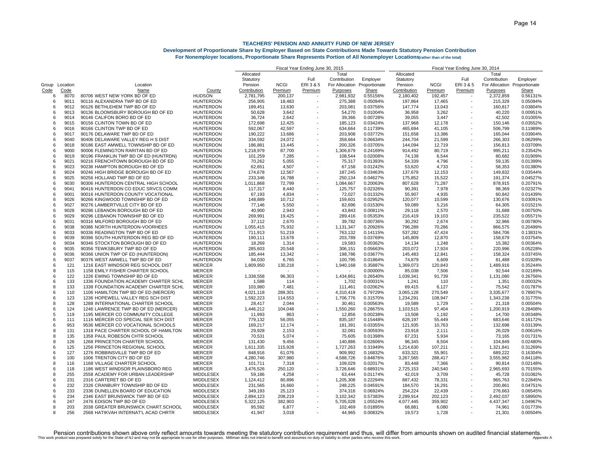|                |             |                                       | Fiscal Year Ending June 30, 2015<br>Fiscal Year Ending June 30, 2014 |              |             |                          |                              |              |              |             |                          |                              |              |
|----------------|-------------|---------------------------------------|----------------------------------------------------------------------|--------------|-------------|--------------------------|------------------------------|--------------|--------------|-------------|--------------------------|------------------------------|--------------|
|                |             |                                       |                                                                      | Allocated    |             |                          | Total                        |              | Allocated    |             |                          | Total                        |              |
|                |             |                                       |                                                                      | Statutory    |             | Full                     | Contribution                 | Employer     | Statutory    |             | Full                     | Contribution                 | Employer     |
| Group Location |             | Location                              |                                                                      | Pension      | <b>NCGI</b> | ERI3&5                   | For Allocation Proportionate |              | Pension      | <b>NCGI</b> | ERI 3 & 5                | For Allocation Proportionate |              |
| Code           | <u>Code</u> | Name                                  | County                                                               | Contribution | Premium     | Premium                  | Purposes                     | <b>Share</b> | Contribution | Premium     | Premium                  | Purposes                     | <b>Share</b> |
| 6              | 8070        | 80706 WEST NEW YORK BD OF ED          | <b>HUDSON</b>                                                        | 2,781,795    | 200,137     |                          | 2,981,932                    | 0.55156%     | 2,180,402    | 192,457     |                          | 2,372,859                    | 0.56131%     |
| 6              | 9011        | 90116 ALEXANDRIA TWP BD OF ED         | <b>HUNTERDON</b>                                                     | 256,905      | 18,483      |                          | 275,388                      | 0.05094%     | 197,864      | 17,465      | $\overline{\phantom{a}}$ | 215,329                      | 0.05094%     |
| 6              | 9012        | 90126 BETHLEHEM TWP BD OF ED          | <b>HUNTERDON</b>                                                     | 189,451      | 13,630      |                          | 203,081                      | 0.03756%     | 147,774      | 13,043      |                          | 160.817                      | 0.03804%     |
| 6              | 9013        | 90136 BLOOMSBURY BOROUGH BD OF ED     | <b>HUNTERDON</b>                                                     | 50,628       | 3,642       |                          | 54,270                       | 0.01004%     | 36,958       | 3,262       |                          | 40,220                       | 0.00951%     |
| 6              | 9014        | 90146 CALIFON BORO BD OF ED           | <b>HUNTERDON</b>                                                     | 36,724       | 2,642       |                          | 39,366                       | 0.00728%     | 39,055       | 3,447       |                          | 42,502                       | 0.01005%     |
| 6              | 9015        | 90156 CLINTON TOWN BD OF ED           | <b>HUNTERDON</b>                                                     | 172,698      | 12,425      |                          | 185,123                      | 0.03424%     | 137,968      | 12,178      |                          | 150,146                      | 0.03552%     |
| 6              | 9016        | 90166 CLINTON TWP BD OF ED            | <b>HUNTERDON</b>                                                     | 592.067      | 42,597      |                          | 634.664                      | 0.11739%     | 465,694      | 41.105      |                          | 506.799                      | 0.11989%     |
| 6              | 9017        | 90176 DELAWARE TWP BD OF ED           | <b>HUNTERDON</b>                                                     | 190,222      | 13,686      |                          | 203,908                      | 0.03772%     | 151,658      | 13,386      |                          | 165,044                      | 0.03904%     |
| 6              | 9040        | 90406 DELAWARE VALLEY REG H S DIST    | <b>HUNTERDON</b>                                                     | 334,592      | 24,072      |                          | 358,664                      | 0.06634%     | 244,704      | 21,599      |                          | 266,303                      | 0.06299%     |
| 6              | 9018        | 90186 EAST AMWELL TOWNSHIP BD OF ED   | <b>HUNTERDON</b>                                                     | 186,881      | 13,445      |                          | 200,326                      | 0.03705%     | 144,094      | 12,719      |                          | 156,813                      | 0.03709%     |
| 6              | 9000        | 90006 FLEMINGTON RARITAN BD OF ED     | <b>HUNTERDON</b>                                                     | 1,218,979    | 87,700      |                          | 1,306,679                    | 0.24169%     | 914,492      | 80,719      |                          | 995,211                      | 0.23542%     |
| 6              | 9019        | 90196 FRANKLIN TWP BD OF ED (HUNTRDN) | <b>HUNTERDON</b>                                                     | 101,259      | 7,285       |                          | 108,544                      | 0.02008%     | 74,138       | 6,544       |                          | 80,682                       | 0.01909%     |
| 6              | 9021        | 90216 FRENCHTOWN BOROUGH BD OF ED     | <b>HUNTERDON</b>                                                     | 70,262       | 5,055       |                          | 75,317                       | 0.01393%     | 54,339       | 4,796       |                          | 59,135                       | 0.01399%     |
| 6              | 9023        | 90236 HAMPTON BOROUGH BD OF ED        | <b>HUNTERDON</b>                                                     | 62,651       | 4,507       |                          | 67,158                       | 0.01242%     | 53,620       | 4,733       |                          | 58,353                       | 0.01380%     |
| 6              | 9024        | 90246 HIGH BRIDGE BOROUGH BD OF ED    | <b>HUNTERDON</b>                                                     | 174,678      | 12,567      |                          | 187,245                      | 0.03463%     | 137,679      | 12,153      |                          | 149,832                      | 0.03544%     |
| 6              | 9025        | 90256 HOLLAND TWP BD OF ED            | <b>HUNTERDON</b>                                                     | 233,346      | 16,788      |                          | 250,134                      | 0.04627%     | 175,852      | 15,522      |                          | 191,374                      | 0.04527%     |
| 6              | 9030        | 90306 HUNTERDON CENTRAL HIGH SCHOOL   | <b>HUNTERDON</b>                                                     | 1,011,868    | 72,799      |                          | 1,084,667                    | 0.20063%     | 807,628      | 71,287      |                          | 878,915                      | 0.20791%     |
| 6              | 9041        | 90416 HUNTERDON CO EDUC SRVCS COMM    | <b>HUNTERDON</b>                                                     | 117,317      | 8,440       |                          | 125,757                      | 0.02326%     | 90,391       | 7,978       |                          | 98,369                       | 0.02327%     |
| 6              | 9001        | 90016 HUNTERDON COUNTY VOCATIONAL     | <b>HUNTERDON</b>                                                     | 67,193       | 4,834       |                          | 72,027                       | 0.01332%     | 55,907       | 4,935       |                          | 60,842                       | 0.01439%     |
| 6              | 9026        | 90266 KINGWOOD TOWNSHIP BD OF ED      | <b>HUNTERDON</b>                                                     | 148,889      | 10,712      |                          | 159,601                      | 0.02952%     | 120,077      | 10,599      |                          | 130,676                      | 0.03091%     |
| 6              | 9027        | 90276 LAMBERTVILLE CITY BD OF ED      | <b>HUNTERDON</b>                                                     | 77,146       | 5,550       |                          | 82,696                       | 0.01530%     | 59,089       | 5,216       |                          | 64,305                       | 0.01521%     |
| 6              | 9028        | 90286 LEBANON BOROUGH BD OF ED        | <b>HUNTERDON</b>                                                     | 40,900       | 2,943       |                          | 43,843                       | 0.00811%     | 29,118       | 2,570       |                          | 31,688                       | 0.00750%     |
| 6              | 9029        | 90296 LEBANON TOWNSHIP BD OF ED       | <b>HUNTERDON</b>                                                     | 269.991      | 19.425      |                          | 289.416                      | 0.05353%     | 216,419      | 19.103      |                          | 235.522                      | 0.05571%     |
| 6              | 9031        | 90316 MILFORD BOROUGH BD OF ED        | <b>HUNTERDON</b>                                                     | 37,112       | 2,670       |                          | 39,782                       | 0.00736%     | 30,292       | 2,674       |                          | 32,966                       | 0.00780%     |
| 6              | 9038        | 90386 NORTH HUNTERDON-VOORHEES        | <b>HUNTERDON</b>                                                     | 1,055,415    | 75,932      |                          | 1,131,347                    | 0.20926%     | 796,289      | 70,286      |                          | 866,575                      | 0.20499%     |
| 6              | 9033        | 90336 READINGTON TWP BD OF ED         | <b>HUNTERDON</b>                                                     | 711,913      | 51,219      |                          | 763,132                      | 0.14115%     | 537,282      | 47,424      |                          | 584,706                      | 0.13831%     |
| 6              | 9039        | 90396 SOUTH HUNTERDON REG BD OF ED    | <b>HUNTERDON</b>                                                     | 190,111      | 13,678      |                          | 203,789                      | 0.03769%     | 145,809      | 12,870      |                          | 158,679                      | 0.03754%     |
| 6              | 9034        | 90346 STOCKTON BOROUGH BD OF ED       | <b>HUNTERDON</b>                                                     | 18,269       | 1,314       |                          | 19,583                       | 0.00362%     | 14,134       | 1,248       |                          | 15,382                       | 0.00364%     |
| 6              | 9035        | 90356 TEWKSBURY TWP BD OF ED          | <b>HUNTERDON</b>                                                     | 285,603      | 20,548      |                          | 306,151                      | 0.05663%     | 203,072      | 17,924      |                          | 220,996                      | 0.05228%     |
| 6              | 9036        | 90366 UNION TWP OF ED (HUNTERDON)     | <b>HUNTERDON</b>                                                     | 185,444      | 13,342      |                          | 198,786                      | 0.03677%     | 145,483      | 12,841      |                          | 158,324                      | 0.03745%     |
| 6              | 9037        | 90376 WEST AMWELL TWP BD OF ED        | <b>HUNTERDON</b>                                                     | 94,030       | 6,765       |                          | 100,795                      | 0.01864%     | 74,879       | 6,609       |                          | 81,488                       | 0.01928%     |
| 6              | 121         | 1216 EAST WINDSOR REG SCHOOL DIST     | MERCER                                                               | 1,809,950    | 130,218     |                          | 1,940,168                    | 0.35887%     | 1,369,073    | 120,843     |                          | 1,489,916                    | 0.35244%     |
| 8              | 115         | 1158 EMILY FISHER CHARTER SCHOOL      | <b>MERCER</b>                                                        |              |             |                          |                              | 0.00000%     | 85,038       | 7,506       |                          | 92,544                       | 0.02189%     |
| 6              | 122         | 1226 EWING TOWNSHIP BD OF ED          | <b>MERCER</b>                                                        | 1,338,558    | 96,303      |                          | 1,434,861                    | 0.26540%     | 1,039,341    | 91,739      |                          | 1,131,080                    | 0.26756%     |
| 6              | 133         | 1336 FOUNDATION ACADEMY CHARTER SCHL  | <b>MERCER</b>                                                        | 1,588        | 114         |                          | 1,702                        | 0.00031%     | 1,241        | 110         |                          | 1,351                        | 0.00032%     |
| 8              | 133         | 1338 FOUNDATION ACADEMY CHARTER SCHL  | <b>MERCER</b>                                                        | 103,980      | 7,481       |                          | 111,461                      | 0.02062%     | 69,415       | 6,127       |                          | 75.542                       | 0.01787%     |
| 6              | 110         | 1106 HAMILTON TWP BD OF ED (MERCER)   | <b>MERCER</b>                                                        | 4,021,118    | 289,301     |                          | 4,310,419                    | 0.79729%     | 3,065,128    | 270,549     | $\overline{a}$           | 3,335,677                    | 0.78907%     |
| 6              | 123         | 1236 HOPEWELL VALLEY REG SCH DIST     | <b>MERCER</b>                                                        | 1,592,223    | 114,553     |                          | 1,706,776                    | 0.31570%     | 1,234,291    | 108,947     |                          | 1,343,238                    | 0.31775%     |
| 8              | 128         | 1288 INTERNATIONAL CHARTER SCHOOL     | <b>MERCER</b>                                                        | 28,417       | 2,044       |                          | 30,461                       | 0.00563%     | 19,589       | 1,729       |                          | 21,318                       | 0.00504%     |
| 6              | 124         | 1246 LAWRENCE TWP BD OF ED (MERCER)   | <b>MERCER</b>                                                        | 1,446,212    | 104,048     |                          | 1,550,260                    | 0.28675%     | 1,103,515    | 97,404      |                          | 1,200,919                    | 0.28408%     |
| 5              | 119         | 1195 MERCER CO COMMUNITY COLLEGE      | <b>MERCER</b>                                                        | 11,993       | 863         |                          | 12,856                       | 0.00238%     | 13,508       | 1,192       |                          | 14,700                       | 0.00348%     |
| 6              | 111         | 1116 MERCER CO SPECIAL SER SCH DIST   | <b>MERCER</b>                                                        | 779,132      | 56,055      |                          | 835,187                      | 0.15448%     | 628,197      | 55,449      |                          | 683,646                      | 0.16172%     |
| 6              | 953         | 9536 MERCER CO VOCATIONAL SCHOOLS     | MERCER                                                               | 169,217      | 12,174      |                          | 181,391                      | 0.03355%     | 121,935      | 10,763      |                          | 132,698                      | 0.03139%     |
| 8              | 131         | 1318 PACE CHARTER SCHOOL OF HAMILTON  | <b>MERCER</b>                                                        | 29,928       | 2,153       |                          | 32,081                       | 0.00593%     | 23,918       | 2,111       |                          | 26,029                       | 0.00616%     |
| 8              | 135         | 1358 PAUL ROBESON CHTR SCHOOL         | <b>MERCER</b>                                                        | 70,531       | 5,074       |                          | 75,605                       | 0.01398%     | 67,231       | 5,934       |                          | 73,165                       | 0.01731%     |
| 8              | 126         | 1268 PRINCETON CHARTER SCHOOL         | <b>MERCER</b>                                                        | 131,430      | 9,456       |                          | 140,886                      | 0.02606%     | 96,345       | 8,504       |                          | 104,849                      | 0.02480%     |
| 6              | 125         | 1256 PRINCETON REGIONAL SCHOOL        | <b>MERCER</b>                                                        | 1,611,335    | 115,928     |                          | 1,727,263                    | 0.31949%     | 1,214,630    | 107,211     |                          | 1,321,841                    | 0.31269%     |
| 6              | 127         | 1276 ROBBINSVILLE TWP BD OF ED        | <b>MERCER</b>                                                        | 848,916      | 61,076      |                          | 909,992                      | 0.16832%     | 633,321      | 55,901      |                          | 689,222                      | 0.16304%     |
| 6              | 100         | 1006 TRENTON CITY BD OF ED            | <b>MERCER</b>                                                        | 4,280,746    | 307,980     |                          | 4,588,726                    | 0.84876%     | 3,267,565    | 288,417     |                          | 3,555,982                    | 0.84118%     |
| 8              | 116         | 1168 VILLAGE CHARTER SCHOOL           | <b>MERCER</b>                                                        | 101,711      | 7,318       | $\overline{\phantom{a}}$ | 109,029                      | 0.02017%     | 83,448       | 7,366       |                          | 90,814                       | 0.02148%     |
| 6              | 118         | 1186 WEST WINDSOR PLAINSBORO REG      | <b>MERCER</b>                                                        | 3,476,526    | 250,120     | $\overline{\phantom{a}}$ | 3,726,646                    | 0.68931%     | 2,725,153    | 240,540     |                          | 2,965,693                    | 0.70155%     |
| 8              | 255         | 2558 ACADEMY FOR URBAN LEADERSHIP     | <b>MIDDLESEX</b>                                                     | 59,186       | 4,258       |                          | 63,444                       | 0.01174%     | 42,019       | 3,709       |                          | 45,728                       | 0.01082%     |
| 6              | 231         | 2316 CARTERET BD OF ED                | <b>MIDDLESEX</b>                                                     | 1,124,412    | 80,896      |                          | 1,205,308                    | 0.22294%     | 887,432      | 78,331      |                          | 965,763                      | 0.22845%     |
| 6              | 232         | 2326 CRANBURY TOWNSHIP BD OF ED       | <b>MIDDLESEX</b>                                                     | 231,565      | 16,660      |                          | 248,225                      | 0.04591%     | 184,570      | 16,291      |                          | 200,861                      | 0.04751%     |
| 6              | 233         | 2336 DUNELLEN BOARD OF EDUCATION      | <b>MIDDLESEX</b>                                                     | 349,193      | 25,123      |                          | 374,316                      | 0.06924%     | 254,224      | 22,439      |                          | 276,663                      | 0.06545%     |
| 6              | 234         | 2346 EAST BRUNSWICK TWP BD OF ED      | MIDDLESEX                                                            | 2,894,123    | 208,219     |                          | 3,102,342                    | 0.57383%     | 2,289,914    | 202,123     |                          | 2,492,037                    | 0.58950%     |
| 6              | 247         | 2476 EDISON TWP BD OF ED              | <b>MIDDLESEX</b>                                                     | 5,322,125    | 382,903     |                          | 5,705,028                    | 1.05524%     | 4,077,445    | 359,902     |                          | 4,437,347                    | 1.04967%     |
| 8              | 203         | 2038 GREATER BRUNSWICK CHART.SCHOOL   | <b>MIDDLESEX</b>                                                     | 95,592       | 6,877       |                          | 102,469                      | 0.01895%     | 68,881       | 6,080       |                          | 74,961                       | 0.01773%     |
|                | 256         | 2568 HATIKVAH INTERNAT'L ACAD CHRTR   | <b>MIDDLESEX</b>                                                     | 41.947       | 3.018       |                          | 44.965                       | 0.00832%     | 19.573       | 1,728       |                          | 21.301                       | 0.00504%     |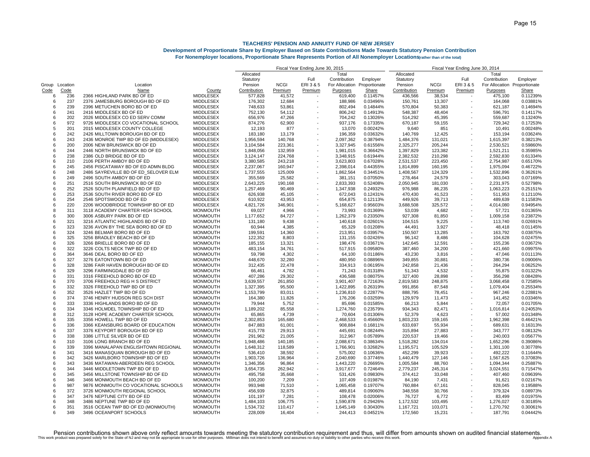#### **Development of Proportionate Share by Employer Based on State Contributions Made Towards Statutory Pension Contribution For Nonemployer locations, Proportionate Share Represents Portion of All Nonemployer Locations (rather than of the total)**

|                 |            |                                                                        |                                      | Fiscal Year Ending June 30, 2015 |                   |                          |                      |                      | Fiscal Year Ending June 30, 2014 |                   |                          |                              |                      |  |
|-----------------|------------|------------------------------------------------------------------------|--------------------------------------|----------------------------------|-------------------|--------------------------|----------------------|----------------------|----------------------------------|-------------------|--------------------------|------------------------------|----------------------|--|
|                 |            |                                                                        |                                      | Allocated                        |                   |                          | Total                |                      | Allocated                        |                   |                          | Total                        |                      |  |
|                 |            |                                                                        |                                      | Statutory                        |                   | Full                     | Contribution         | Employer             | Statutory                        |                   | Full                     | Contribution                 | Employer             |  |
| Group Location  |            | Location                                                               |                                      | Pension                          | <b>NCGI</b>       | ERI3&5                   | For Allocation       | Proportionate        | Pension                          | <b>NCGI</b>       | ERI 3 & 5                | For Allocation Proportionate |                      |  |
| Code            | Code       | Name<br>2366 HIGHLAND PARK BD OF ED                                    | County<br><b>MIDDLESEX</b>           | Contribution                     | Premium           | Premium                  | Purposes             | Share                | Contribution                     | Premium           | Premium                  | Purposes                     | Share                |  |
| 6<br>6          | 236<br>237 | 2376 JAMESBURG BOROUGH BD OF ED                                        | <b>MIDDLESEX</b>                     | 577,828<br>176,302               | 41,572<br>12,684  | $\overline{\phantom{a}}$ | 619,400<br>188,986   | 0.11457%<br>0.03496% | 436,566<br>150,761               | 38,534<br>13,307  | $\blacksquare$           | 475,100<br>164,068           | 0.11239%<br>0.03881% |  |
| $\epsilon$      | 239        | 2396 METUCHEN BORO BD OF ED                                            | <b>MIDDLESEX</b>                     | 748,633                          | 53.861            |                          | 802.494              | 0.14844%             | 570,804                          | 50.383            |                          | 621.187                      | 0.14694%             |  |
| 6               | 241        | 2416 MIDDLESEX BD OF ED                                                | <b>MIDDLESEX</b>                     | 752,130                          | 54,112            |                          | 806,242              | 0.14913%             | 548,387                          | 48,404            |                          | 596,791                      | 0.14117%             |  |
| 6               | 202        | 2026 MIDDLESEX CO ED SERV COMM                                         | <b>MIDDLESEX</b>                     | 656,976                          | 47,266            |                          | 704,242              | 0.13026%             | 514,292                          | 45,395            |                          | 559,687                      | 0.13240%             |  |
| 6               | 972        | 9726 MIDDLESEX CO VOCATIONAL SCHOOL                                    | <b>MIDDLESEX</b>                     | 874,276                          | 62,900            |                          | 937,176              | 0.17335%             | 670,187                          | 59,155            |                          | 729,342                      | 0.17253%             |  |
|                 | 201        | 2015 MIDDLESEX COUNTY COLLEGE                                          | <b>MIDDLESEX</b>                     | 12,193                           | 877               |                          | 13,070               | 0.00242%             | 9,640                            | 851               |                          | 10,491                       | 0.00248%             |  |
| 6               | 242        | 2426 MILLTOWN BOROUGH BD OF ED                                         | MIDDLESEX                            | 183,180                          | 13,179            |                          | 196,359              | 0.03632%             | 140,769                          | 12,425            |                          | 153,194                      | 0.03624%             |  |
| 6               | 243        | 2436 MONROE TWP BD OF ED (MIDDLESEX)                                   | <b>MIDDLESEX</b>                     | 1,956,594                        | 140,768           |                          | 2,097,362            | 0.38794%             | 1,484,376                        | 131,021           |                          | 1,615,397                    | 0.38213%             |  |
| 6               | 200        | 2006 NEW BRUNSWICK BD OF ED                                            | MIDDLESEX                            | 3,104,584                        | 223,361           | $\sim$                   | 3,327,945            | 0.61556%             | 2,325,277                        | 205,244           | $\overline{a}$           | 2,530,521                    | 0.59860%             |  |
| 6               | 244        | 2446 NORTH BRUNSWICK BD OF ED                                          | <b>MIDDLESEX</b>                     | 1,848,056                        | 132,959           | $\overline{\phantom{a}}$ | 1,981,015            | 0.36642%             | 1,397,829                        | 123,382           | ÷                        | 1,521,211                    | 0.35985%             |  |
| 6               | 238        | 2386 OLD BRIDGE BD OF ED                                               | <b>MIDDLESEX</b>                     | 3,124,147                        | 224,768           |                          | 3,348,915            | 0.61944%             | 2,382,532                        | 210,298           |                          | 2,592,830                    | 0.61334%             |  |
| 6               | 210        | 2106 PERTH AMBOY BD OF ED                                              | <b>MIDDLESEX</b>                     | 3,380,585                        | 243,218           |                          | 3,623,803            | 0.67028%             | 2,531,537                        | 223,450           |                          | 2,754,987                    | 0.65170%             |  |
| 6               | 245        | 2456 PISCATAWAY BD OF ED ADMN BLDG                                     | <b>MIDDLESEX</b>                     | 2,237,067                        | 160,947           |                          | 2,398,014            | 0.44355%             | 1,814,899                        | 160,195           |                          | 1,975,094                    | 0.46722%             |  |
| 6               | 248        | 2486 SAYREVILLE BD OF ED SELOVER ELM                                   | <b>MIDDLESEX</b>                     | 1,737,555                        | 125,009           |                          | 1,862,564            | 0.34451%             | 1,408,567                        | 124,329           |                          | 1,532,896                    | 0.36261%             |  |
| 6<br>6          | 249        | 2496 SOUTH AMBOY BD OF ED                                              | <b>MIDDLESEX</b>                     | 355,569                          | 25,582            |                          | 381,151              | 0.07050%             | 278,464                          | 24,579            |                          | 303,043                      | 0.07169%             |  |
| 6               | 251<br>252 | 2516 SOUTH BRUNSWICK BD OF ED                                          | <b>MIDDLESEX</b>                     | 2,643,225                        | 190,168           |                          | 2,833,393            | 0.52408%             | 2,050,945                        | 181,030           | $\overline{\phantom{a}}$ | 2,231,975                    | 0.52798%             |  |
| $\epsilon$      | 253        | 2526 SOUTH PLAINFIELD BD OF ED<br>2536 SOUTH RIVER BORO BD OF ED       | <b>MIDDLESEX</b><br><b>MIDDLESEX</b> | 1,257,469<br>626.938             | 90,469<br>45.105  |                          | 1,347,938<br>672,043 | 0.24932%<br>0.12431% | 976,988<br>470,430               | 86,235<br>41.523  |                          | 1,063,223<br>511.953         | 0.25151%<br>0.12110% |  |
| 6               | 254        | 2546 SPOTSWOOD BD OF ED                                                | <b>MIDDLESEX</b>                     | 610,922                          | 43,953            |                          | 654,875              | 0.12113%             | 449,926                          | 39,713            |                          | 489,639                      | 0.11583%             |  |
| 6               | 220        | 2206 WOODBRIDGE TOWNSHIP BD OF ED                                      | <b>MIDDLESEX</b>                     | 4,821,726                        | 346,901           |                          | 5,168,627            | 0.95603%             | 3,688,508                        | 325,572           |                          | 4,014,080                    | 0.94954%             |  |
| 8               | 311        | 3118 ACADEMY CHARTER HIGH SCHOOL                                       | <b>MONMOUTH</b>                      | 69,027                           | 4,966             |                          | 73,993               | 0.01369%             | 53,039                           | 4,682             |                          | 57,721                       | 0.01365%             |  |
| 6               | 300        | 3006 ASBURY PARK BD OF ED                                              | <b>MONMOUTH</b>                      | 1,177,652                        | 84,727            |                          | 1,262,379            | 0.23350%             | 927,308                          | 81,850            | ÷                        | 1,009,158                    | 0.23872%             |  |
| 6               | 321        | 3216 ATLANTIC HIGHLANDS BD OF ED                                       | <b>MONMOUTH</b>                      | 131,180                          | 9,438             |                          | 140,618              | 0.02601%             | 104,515                          | 9,225             |                          | 113,740                      | 0.02691%             |  |
| 6               | 323        | 3236 AVON BY THE SEA BORO BD OF ED                                     | <b>MONMOUTH</b>                      | 60,944                           | 4,385             |                          | 65,329               | 0.01208%             | 44,491                           | 3,927             |                          | 48,418                       | 0.01145%             |  |
| 6               | 324        | 3246 BELMAR BORO BD OF ED                                              | <b>MONMOUTH</b>                      | 199,591                          | 14,360            |                          | 213,951              | 0.03957%             | 150,507                          | 13,285            |                          | 163,792                      | 0.03875%             |  |
| 6               | 325        | 3256 BRADLEY BEACH BD OF ED                                            | <b>MONMOUTH</b>                      | 122,352                          | 8,803             |                          | 131,155              | 0.02426%             | 96,142                           | 8,486             |                          | 104,628                      | 0.02475%             |  |
| $\epsilon$      | 326        | 3266 BRIELLE BORO BD OF ED                                             | <b>MONMOUTH</b>                      | 185,155                          | 13,321            |                          | 198,476              | 0.03671%             | 142,645                          | 12,591            |                          | 155,236                      | 0.03672%             |  |
| 6               | 322        | 3226 COLTS NECK TWP BD OF ED                                           | <b>MONMOUTH</b>                      | 483,154                          | 34,761            |                          | 517,915              | 0.09580%             | 387,460                          | 34,200            |                          | 421,660                      | 0.09975%             |  |
| 6               | 364        | 3646 DEAL BORO BD OF ED                                                | <b>MONMOUTH</b>                      | 59,798                           | 4,302             |                          | 64,100               | 0.01186%             | 43,230                           | 3,816             |                          | 47,046                       | 0.01113%             |  |
| $\epsilon$      | 327        | 3276 EATONTOWN BD OF ED                                                | <b>MONMOUTH</b>                      | 448,670                          | 32,280            |                          | 480,950              | 0.08896%             | 349,855                          | 30,881            |                          | 380,736                      | 0.09006%             |  |
| 6               | 328        | 3286 FAIR HAVEN BOROUGH BD OF ED                                       | <b>MONMOUTH</b>                      | 312,435                          | 22,478            |                          | 334,913              | 0.06195%             | 242,858                          | 21,436            |                          | 264,294                      | 0.06252%             |  |
| 6               | 329        | 3296 FARMINGDALE BD OF ED                                              | <b>MONMOUTH</b>                      | 66,461                           | 4,782             |                          | 71,243               | 0.01318%             | 51,343                           | 4,532             |                          | 55,875                       | 0.01322%             |  |
| 6               | 331        | 3316 FREEHOLD BORO BD OF ED                                            | <b>MONMOUTH</b>                      | 407,286                          | 29,302            |                          | 436,588              | 0.08075%             | 327,400                          | 28,898            |                          | 356,298                      | 0.08428%             |  |
| $\epsilon$      | 370        | 3706 FREEHOLD REG H S DISTRICT                                         | <b>MONMOUTH</b>                      | 3,639,557                        | 261.850           |                          | 3,901,407            | 0.72163%             | 2,819,583                        | 248,875           |                          | 3,068,458                    | 0.72585%             |  |
| -6              | 332        | 3326 FREEHOLD TWP BD OF ED                                             | <b>MONMOUTH</b>                      | 1,327,395                        | 95,500            |                          | 1,422,895            | 0.26319%             | 991,856                          | 87,548            |                          | 1,079,404                    | 0.25534%             |  |
| 6               | 352        | 3526 HAZLET TWP BD OF ED                                               | <b>MONMOUTH</b>                      | 1,153,799                        | 83,011            |                          | 1,236,810            | 0.22877%             | 888,795                          | 78,451            |                          | 967,246                      | 0.22881%             |  |
| 6               | 374        | 3746 HENRY HUDSON REG SCH DIST                                         | <b>MONMOUTH</b>                      | 164,380                          | 11,826            |                          | 176,206              | 0.03259%             | 129,979                          | 11,473            |                          | 141,452                      | 0.03346%             |  |
| 6               | 333        | 3336 HIGHLANDS BORO BD OF ED                                           | <b>MONMOUTH</b>                      | 79,944                           | 5,752             |                          | 85,696               | 0.01585%             | 66,213                           | 5,844             | $\overline{\phantom{a}}$ | 72,057                       | 0.01705%             |  |
| 6               | 334        | 3346 HOLMDEL TOWNSHIP BD OF ED                                         | <b>MONMOUTH</b>                      | 1,189,202                        | 85,558            |                          | 1,274,760            | 0.23579%             | 934,343                          | 82,471            | ÷                        | 1,016,814                    | 0.24053%             |  |
| 8               | 312        | 3128 HOPE ACADEMY CHARTER SCHOOL                                       | <b>MONMOUTH</b>                      | 65,865                           | 4,739             |                          | 70,604               | 0.01306%             | 52,379                           | 4,623             |                          | 57,002                       | 0.01348%             |  |
| 6               | 335        | 3356 HOWELL TWP BD OF ED                                               | <b>MONMOUTH</b>                      | 2,302,853                        | 165,680           |                          | 2,468,533            | 0.45660%             | 1,803,233                        | 159,165           |                          | 1,962,398                    | 0.46421%             |  |
| 6               | 336        | 3366 KEANSBURG BOARD OF EDUCATION                                      | <b>MONMOUTH</b>                      | 847,883                          | 61,001            |                          | 908,884              | 0.16811%             | 633,697                          | 55,934            |                          | 689,631                      | 0.16313%             |  |
| 6               | 337        | 3376 KEYPORT BOROUGH BD OF ED                                          | <b>MONMOUTH</b>                      | 415,778                          | 29,913            |                          | 445,691              | 0.08244%             | 315,894                          | 27,883            |                          | 343,777                      | 0.08132%             |  |
| 6               | 338        | 3386 LITTLE SILVER BD OF ED                                            | <b>MONMOUTH</b>                      | 291,962                          | 21,005            |                          | 312,967              | 0.05789%             | 220,537                          | 19,466            |                          | 240,003                      | 0.05677%             |  |
| 6<br>$\epsilon$ | 310<br>339 | 3106 LONG BRANCH BD OF ED                                              | <b>MONMOUTH</b>                      | 1,948,486                        | 140,185           |                          | 2,088,671            | 0.38634%             | 1,518,282                        | 134,014           | $\overline{\phantom{a}}$ | 1,652,296                    | 0.39086%<br>0.30778% |  |
| $\epsilon$      | 341        | 3396 MANALAPAN ENGLISHTOWN REGIONAL<br>3416 MANASQUAN BOROUGH BD OF ED | <b>MONMOUTH</b><br><b>MONMOUTH</b>   | 1,648,312                        | 118,589           |                          | 1,766,901            | 0.32682%             | 1,195,571                        | 105,529           |                          | 1,301,100<br>492.222         |                      |  |
| 6               | 342        | 3426 MARLBORO TOWNSHIP BD OF ED                                        | <b>MONMOUTH</b>                      | 536,410<br>1,903,726             | 38,592<br>136,964 |                          | 575,002<br>2,040,690 | 0.10636%<br>0.37746% | 452,299<br>1,440,479             | 39,923<br>127,146 | $\overline{\phantom{a}}$ | 1,567,625                    | 0.11644%<br>0.37083% |  |
| 6               | 343        | 3436 MATAWAN-ABERDEEN REG SCHOOL                                       | <b>MONMOUTH</b>                      | 1,346,356                        | 96,864            |                          | 1,443,220            | 0.26695%             | 1,005,584                        | 88,760            |                          | 1,094,344                    | 0.25887%             |  |
| 6               | 344        | 3446 MIDDLETOWN TWP BD OF ED                                           | <b>MONMOUTH</b>                      | 3,654,735                        | 262.942           |                          | 3,917,677            | 0.72464%             | 2,779,237                        | 245,314           |                          | 3,024,551                    | 0.71547%             |  |
| 6               | 345        | 3456 MILLSTONE TOWNSHIP BD OF ED                                       | <b>MONMOUTH</b>                      | 495,758                          | 35,668            |                          | 531,426              | 0.09830%             | 374,412                          | 33,048            |                          | 407,460                      | 0.09639%             |  |
| 6               | 346        | 3466 MONMOUTH BEACH BD OF ED                                           | <b>MONMOUTH</b>                      | 100,200                          | 7,209             |                          | 107,409              | 0.01987%             | 84,190                           | 7,431             |                          | 91,621                       | 0.02167%             |  |
| 6               | 987        | 9876 MONMOUTH CO VOCATIONAL SCHOOLS                                    | <b>MONMOUTH</b>                      | 993,948                          | 71,510            |                          | 1,065,458            | 0.19707%             | 760,884                          | 67,161            |                          | 828,045                      | 0.19588%             |  |
| $\epsilon$      | 372        | 3726 MONMOUTH REGIONAL SCHOOL                                          | <b>MONMOUTH</b>                      | 456,939                          | 32.875            |                          | 489.814              | 0.09060%             | 348.558                          | 30,766            |                          | 379.324                      | 0.08973%             |  |
| 6               | 347        | 3476 NEPTUNE CITY BD OF ED                                             | <b>MONMOUTH</b>                      | 101,197                          | 7,281             |                          | 108,478              | 0.02006%             | 76,727                           | 6,772             |                          | 83,499                       | 0.01975%             |  |
| 6               | 348        | 3486 NEPTUNE TWP BD OF ED                                              | <b>MONMOUTH</b>                      | 1,484,103                        | 106,775           |                          | 1,590,878            | 0.29426%             | 1,172,532                        | 103,495           |                          | 1,276,027                    | 0.30185%             |  |
| 6               | 351        | 3516 OCEAN TWP BD OF ED (MONMOUTH)                                     | <b>MONMOUTH</b>                      | 1,534,732                        | 110,417           |                          | 1,645,149            | 0.30430%             | 1,167,721                        | 103,071           |                          | 1,270,792                    | 0.30061%             |  |
| ี               | 349        | 3496 OCEANPORT SCHOOLS                                                 | <b>MONMOUTH</b>                      | 228.009                          | 16,404            |                          | 244,413              | 0.04521%             | 172,560                          | 15,231            |                          | 187,791                      | 0.04442%             |  |

Pension contributions shown above only reflect amounts towards meeting the statutory contribution requirement and thus, will differ from amounts shown on audited financial statements.<br>This work product was prepared solely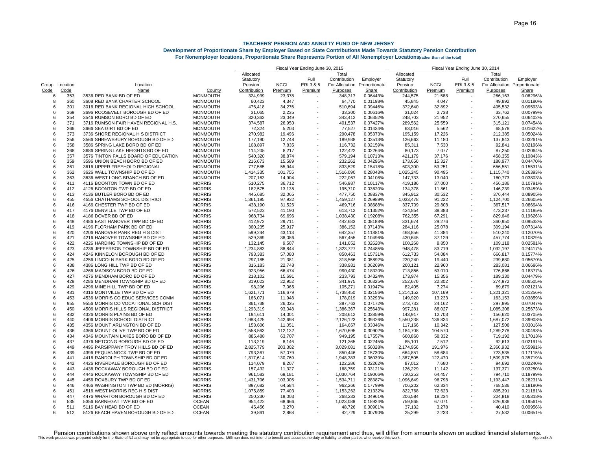|                |             |                                      |                 | Fiscal Year Ending June 30, 2015 |             |                          |                |               | Fiscal Year Ending June 30, 2014 |             |                          |                              |              |  |
|----------------|-------------|--------------------------------------|-----------------|----------------------------------|-------------|--------------------------|----------------|---------------|----------------------------------|-------------|--------------------------|------------------------------|--------------|--|
|                |             |                                      |                 | Allocated                        |             |                          | Total          |               | Allocated                        |             |                          | Total                        |              |  |
|                |             |                                      |                 | Statutory                        |             | Full                     | Contribution   | Employer      | Statutory                        |             | Full                     | Contribution                 | Employer     |  |
| Group Location |             | Location                             |                 | Pension                          | <b>NCGI</b> | ERI 3 & 5                | For Allocation | Proportionate | Pension                          | <b>NCGI</b> | ERI 3 & 5                | For Allocation Proportionate |              |  |
| Code           | <u>Code</u> | Name                                 | County          | Contribution                     | Premium     | <b>Premium</b>           | Purposes       | <b>Share</b>  | Contribution                     | Premium     | Premium                  | Purposes                     | <u>Share</u> |  |
| 6              | 353         | 3536 RED BANK BD OF ED               | <b>MONMOUTH</b> | 324,939                          | 23,378      |                          | 348,317        | 0.06443%      | 244,575                          | 21,588      |                          | 266,163                      | 0.06296%     |  |
| 8              | 360         | 3608 RED BANK CHARTER SCHOOL         | <b>MONMOUTH</b> | 60,423                           | 4,347       |                          | 64,770         | 0.01198%      | 45,845                           | 4,047       | $\overline{\phantom{a}}$ | 49,892                       | 0.01180%     |  |
| 6              | 301         | 3016 RED BANK REGIONAL HIGH SCHOOL   | <b>MONMOUTH</b> | 476,418                          | 34,276      |                          | 510,694        | 0.09446%      | 372,640                          | 32,892      |                          | 405,532                      | 0.09593%     |  |
| 6              | 369         | 3696 ROOSEVELT BOROUGH BD OF ED      | <b>MONMOUTH</b> | 31,065                           | 2,235       |                          | 33,300         | 0.00616%      | 31,024                           | 2,738       |                          | 33,762                       | 0.00799%     |  |
| 6              | 354         | 3546 RUMSON BORO BD OF ED            | <b>MONMOUTH</b> | 320,363                          | 23,049      |                          | 343,412        | 0.06352%      | 248,703                          | 21,952      |                          | 270,655                      | 0.06402%     |  |
| 6              | 371         | 3716 RUMSON FAIR HAVEN REGIONAL H.S. | <b>MONMOUTH</b> | 374,587                          | 26,950      |                          | 401,537        | 0.07427%      | 289,562                          | 25,559      |                          | 315,121                      | 0.07454%     |  |
| ĥ              | 366         | 3666 SEA GIRT BD OF ED               | <b>MONMOUTH</b> | 72,324                           | 5,203       |                          | 77,527         | 0.01434%      | 63,016                           | 5,562       |                          | 68,578                       | 0.01622%     |  |
| 6              | 373         | 3736 SHORE REGIONAL H S DISTRICT     | <b>MONMOUTH</b> | 270,982                          | 19,496      |                          | 290,478        | 0.05373%      | 195,159                          | 17,226      |                          | 212,385                      | 0.05024%     |  |
| 6              | 356         | 3566 SHREWSBURY BOROUGH BD OF ED     | <b>MONMOUTH</b> | 177,190                          | 12,748      |                          | 189,938        | 0.03513%      | 126,663                          | 11,180      |                          | 137,843                      | 0.03261%     |  |
| 6              | 358         | 3586 SPRING LAKE BORO BD OF ED       | <b>MONMOUTH</b> | 108,897                          | 7,835       |                          | 116,732        | 0.02159%      | 85,311                           | 7,530       |                          | 92,841                       | 0.02196%     |  |
| 6              | 368         | 3686 SPRING LAKE HEIGHTS BD OF ED    | <b>MONMOUTH</b> | 114,205                          | 8,217       |                          | 122,422        | 0.02264%      | 80,173                           | 7,077       |                          | 87,250                       | 0.02064%     |  |
| 6              | 357         | 3576 TINTON FALLS BOARD OF EDUCATION | <b>MONMOUTH</b> | 540,320                          | 38,874      |                          | 579,194        | 0.10713%      | 421,179                          | 37,176      |                          | 458,355                      | 0.10843%     |  |
| 6              | 359         | 3596 UNION BEACH BORO BD OF ED       | MONMOUTH        | 216,673                          | 15,589      |                          | 232,262        | 0.04296%      | 173,650                          | 15,327      |                          | 188.977                      | 0.04470%     |  |
| 6              | 361         | 3616 UPPER FREEHOLD REGIONAL         | <b>MONMOUTH</b> | 777,585                          | 55,944      |                          | 833,529        | 0.15418%      | 603,300                          | 53,251      |                          | 656,551                      | 0.15531%     |  |
| 6              | 362         | 3626 WALL TOWNSHIP BD OF ED          | <b>MONMOUTH</b> | 1,414,335                        | 101,755     |                          | 1,516,090      | 0.28043%      | 1,025,245                        | 90,495      |                          | 1,115,740                    | 0.26393%     |  |
| 6              | 363         | 3636 WEST LONG BRANCH BD OF ED       | MONMOUTH        | 207,163                          | 14,904      |                          | 222,067        | 0.04108%      | 147,733                          | 13,040      |                          | 160,773                      | 0.03803%     |  |
| 6              | 411         | 4116 BOONTON TOWN BD OF ED           | <b>MORRIS</b>   | 510,275                          | 36,712      |                          | 546,987        | 0.10117%      | 419,186                          | 37,000      |                          | 456,186                      | 0.10791%     |  |
| 6              | 412         | 4126 BOONTON TWP BD OF ED            | <b>MORRIS</b>   | 182,575                          | 13,135      |                          | 195,710        | 0.03620%      | 134,378                          | 11,861      |                          | 146,239                      | 0.03459%     |  |
| 6              | 413         | 4136 BUTLER BORO BD OF ED            | <b>MORRIS</b>   | 445,685                          | 32,065      |                          | 477,750        | 0.08837%      | 345,912                          | 30,532      |                          | 376,444                      | 0.08905%     |  |
| 6              | 455         | 4556 CHATHAMS SCHOOL DISTRICT        | <b>MORRIS</b>   | 1,361,195                        | 97,932      |                          | 1,459,127      | 0.26989%      | 1,033,478                        | 91,222      |                          | 1,124,700                    | 0.26605%     |  |
| 6              | 416         | 4166 CHESTER TWP BD OF ED            | <b>MORRIS</b>   | 438,190                          | 31,526      |                          | 469,716        | 0.08688%      | 337,709                          | 29,808      |                          | 367,517                      | 0.08694%     |  |
| 6              | 417         | 4176 DENVILLE TWP BD OF ED           | <b>MORRIS</b>   | 572,522                          | 41,190      |                          | 613,712        | 0.11352%      | 434,854                          | 38,383      |                          | 473,237                      | 0.11195%     |  |
| 6              | 418         | 4186 DOVER BD OF ED                  | <b>MORRIS</b>   | 968,734                          | 69,696      |                          | 1,038,430      | 0.19208%      | 762,355                          | 67,291      |                          | 829,646                      | 0.19626%     |  |
| 6              | 448         | 4486 EAST HANOVER TWP BD OF ED       | <b>MORRIS</b>   | 412,972                          | 29,711      |                          | 442,683        | 0.08188%      | 331,674                          | 29,276      |                          | 360,950                      | 0.08538%     |  |
| 6              | 419         | 4196 FLORHAM PARK BD OF ED           | <b>MORRIS</b>   | 360,235                          | 25,917      |                          | 386,152        | 0.07143%      | 284,116                          | 25,078      |                          | 309.194                      | 0.07314%     |  |
| 6              | 420         | 4206 HANOVER PARK REG H S DIST       | <b>MORRIS</b>   | 599,244                          | 43,113      |                          | 642,357        | 0.11881%      | 468,856                          | 41,384      |                          | 510,240                      | 0.12070%     |  |
| 6              | 421         | 4216 HANOVER TOWNSHIP BD OF ED       | <b>MORRIS</b>   | 529,369                          | 38,086      |                          | 567,455        | 0.10496%      | 420,645                          | 37,129      |                          | 457,774                      | 0.10829%     |  |
| 6              | 422         | 4226 HARDING TOWNSHIP BD OF ED       | <b>MORRIS</b>   | 132,145                          | 9,507       |                          | 141,652        | 0.02620%      | 100,268                          | 8,850       |                          | 109,118                      | 0.02581%     |  |
| 6              | 423         | 4236 JEFFERSON TOWNSHIP BD OF ED     | <b>MORRIS</b>   | 1,234,883                        | 88,844      |                          | 1,323,727      | 0.24485%      | 948,478                          | 83,719      |                          | 1,032,197                    | 0.24417%     |  |
| 6              | 424         | 4246 KINNELON BOROUGH BD OF ED       | <b>MORRIS</b>   | 793,383                          | 57,080      |                          | 850,463        | 0.15731%      | 612,733                          | 54,084      |                          | 666,817                      | 0.15774%     |  |
| 6              | 425         | 4256 LINCOLN PARK BORO BD OF ED      | <b>MORRIS</b>   | 297,185                          | 21,381      |                          | 318,566        | 0.05892%      | 220,240                          | 19,440      |                          | 239,680                      | 0.05670%     |  |
| 6              | 438         | 4386 LONG HILL TWP BD OF ED          | <b>MORRIS</b>   | 316,183                          | 22,748      |                          | 338,931        | 0.06269%      | 260,121                          | 22,960      |                          | 283,081                      | 0.06696%     |  |
| 6              | 426         | 4266 MADISON BORO BD OF ED           | <b>MORRIS</b>   | 923,956                          | 66,474      |                          | 990,430        | 0.18320%      | 713,856                          | 63,010      |                          | 776,866                      | 0.18377%     |  |
| 6              | 427         | 4276 MENDHAM BORO BD OF ED           | <b>MORRIS</b>   | 218,102                          | 15,691      |                          | 233,793        | 0.04324%      | 173,974                          | 15,356      |                          | 189,330                      | 0.04479%     |  |
| 6              | 428         | 4286 MENDHAM TOWNSHIP BD OF ED       | <b>MORRIS</b>   | 319,023                          | 22,952      |                          | 341,975        | 0.06325%      | 252,670                          | 22,302      |                          | 274,972                      | 0.06505%     |  |
| 6              | 429         | 4296 MINE HILL TWP BD OF ED          | <b>MORRIS</b>   | 98,206                           | 7,065       |                          | 105,271        | 0.01947%      | 82,405                           | 7,274       |                          | 89,679                       | 0.02121%     |  |
| 6              | 431         | 4316 MONTVILLE TWP BD OF ED          | <b>MORRIS</b>   | 1,621,771                        | 116,679     |                          | 1,738,450      | 0.32156%      | 1,214,152                        | 107,169     |                          | 1,321,321                    | 0.31256%     |  |
| 6              | 453         | 4536 MORRIS CO EDUC SERVICES COMM    | <b>MORRIS</b>   | 166,071                          | 11,948      |                          | 178,019        | 0.03293%      | 149,920                          | 13,233      |                          | 163,153                      | 0.03859%     |  |
| 6              | 955         | 9556 MORRIS CO VOCATIONAL SCH DIST   | <b>MORRIS</b>   | 361,738                          | 26,025      |                          | 387,763        | 0.07172%      | 273,733                          | 24,162      |                          | 297,895                      | 0.07047%     |  |
| 6              | 450         | 4506 MORRIS HILLS REGIONAL DISTRICT  | <b>MORRIS</b>   | 1,293,319                        | 93,048      |                          | 1,386,367      | 0.25643%      | 997,281                          | 88,027      | $\overline{\phantom{a}}$ | 1,085,308                    | 0.25673%     |  |
| 6              | 432         | 4326 MORRIS PLAINS BD OF ED          | <b>MORRIS</b>   | 194,611                          | 14,001      |                          | 208,612        | 0.03859%      | 143,917                          | 12,703      |                          | 156,620                      | 0.03705%     |  |
| 6              | 440         | 4406 MORRIS SCHOOL DISTRICT          | <b>MORRIS</b>   | 1.983.425                        | 142.698     |                          | 2,126,123      | 0.39326%      | 1,550,238                        | 136.834     |                          | 1.687.072                    | 0.39908%     |  |
| 6              | 435         | 4356 MOUNT ARLINGTON BD OF ED        | <b>MORRIS</b>   | 153,606                          | 11,051      |                          | 164,657        | 0.03046%      | 117,166                          | 10,342      |                          | 127,508                      | 0.03016%     |  |
| 6              | 436         | 4366 MOUNT OLIVE TWP BD OF ED        | <b>MORRIS</b>   | 1,558,563                        | 112,132     |                          | 1,670,695      | 0.30902%      | 1,184,708                        | 104,570     |                          | 1,289,278                    | 0.30498%     |  |
| 6              | 434         | 4346 MOUNTAIN LAKES BORO BD OF ED    | <b>MORRIS</b>   | 885,488                          | 63,707      |                          | 949,195        | 0.17557%      | 660,860                          | 58,332      |                          | 719,192                      | 0.17013%     |  |
| 6              | 437         | 4376 NETCONG BOROUGH BD OF ED        | <b>MORRIS</b>   | 113,219                          | 8,146       |                          | 121,365        | 0.02245%      | 85,101                           | 7,512       |                          | 92,613                       | 0.02191%     |  |
| 6              | 449         | 4496 PARSIPPANY TROY HILLS BD OF ED  | <b>MORRIS</b>   | 2,825,779                        | 203,302     |                          | 3,029,081      | 0.56028%      | 2,174,956                        | 191,976     |                          | 2,366,932                    | 0.55991%     |  |
| 6              | 439         | 4396 PEQUANNOCK TWP BD OF ED         | <b>MORRIS</b>   | 793,367                          | 57,079      |                          | 850,446        | 0.15730%      | 664,851                          | 58,684      |                          | 723,535                      | 0.17115%     |  |
| 6              | 441         | 4416 RANDOLPH TOWNSHIP BD OF ED      | <b>MORRIS</b>   | 1,817,614                        | 130,769     |                          | 1,948,383      | 0.36039%      | 1,387,505                        | 122,470     |                          | 1,509,975                    | 0.35719%     |  |
| 6              | 442         | 4426 RIVERDALE BOROUGH BD OF ED      | <b>MORRIS</b>   | 114,079                          | 8,207       |                          | 122,286        | 0.02262%      | 87,012                           | 7,680       |                          | 94,692                       | 0.02240%     |  |
| 6              | 443         | 4436 ROCKAWAY BOROUGH BD OF ED       | <b>MORRIS</b>   | 157,432                          | 11,327      |                          | 168,759        | 0.03121%      | 126,229                          | 11,142      |                          | 137,371                      | 0.03250%     |  |
| 6              | 444         | 4446 ROCKAWAY TOWNSHIP BD OF ED      | <b>MORRIS</b>   | 961,583                          | 69,181      |                          | 1,030,764      | 0.19066%      | 730,253                          | 64,457      |                          | 794,710                      | 0.18799%     |  |
| 6              | 445         | 4456 ROXBURY TWP BD OF ED            | <b>MORRIS</b>   | 1,431,706                        | 103,005     | $\overline{\phantom{a}}$ | 1,534,711      | 0.28387%      | 1,096,649                        | 96,798      |                          | 1,193,447                    | 0.28231%     |  |
| 6              | 446         | 4466 WASHINGTON TWP BD ED (MORRIS)   | <b>MORRIS</b>   | 897,682                          | 64,584      |                          | 962,266        | 0.17799%      | 706,202                          | 62,334      |                          | 768,536                      | 0.18180%     |  |
| 6              | 451         | 4516 WEST MORRIS REG H S DIST        | <b>MORRIS</b>   | 1,075,859                        | 77,403      |                          | 1,153,262      | 0.21332%      | 822,768                          | 72,623      |                          | 895,391                      | 0.21181%     |  |
| 6              | 447         | 4476 WHARTON BOROUGH BD OF ED        | <b>MORRIS</b>   | 250,230                          | 18,003      |                          | 268,233        | 0.04961%      | 206,584                          | 18,234      |                          | 224,818                      | 0.05318%     |  |
| 6              | 535         | 5356 BARNEGAT TWP BD OF ED           | <b>OCEAN</b>    | 954,422                          | 68,666      |                          | 1,023,088      | 0.18924%      | 759,865                          | 67,071      |                          | 826,936                      | 0.19561%     |  |
| 6              | 511         | 5116 BAY HEAD BD OF ED               | <b>OCEAN</b>    | 45,456                           | 3,270       |                          | 48,726         | 0.00901%      | 37,132                           | 3,278       |                          | 40,410                       | 0.00956%     |  |
| ĥ              | 512         | 5126 BEACH HAVEN BOROUGH BD OF ED    | <b>OCEAN</b>    | 39.861                           | 2.868       |                          | 42.729         | 0.00790%      | 25.299                           | 2.233       |                          | 27.532                       | 0.00651%     |  |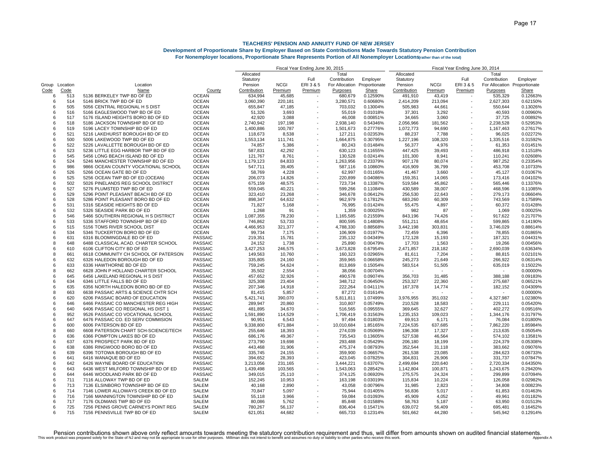|                |             |                                      |                                  |                   | Fiscal Year Ending June 30, 2015 |                          |                |                      |              | Fiscal Year Ending June 30, 2014 |                          |                              |          |  |  |
|----------------|-------------|--------------------------------------|----------------------------------|-------------------|----------------------------------|--------------------------|----------------|----------------------|--------------|----------------------------------|--------------------------|------------------------------|----------|--|--|
|                |             |                                      |                                  | Allocated         |                                  |                          | Total          |                      | Allocated    |                                  |                          | Total                        |          |  |  |
|                |             |                                      |                                  | Statutory         |                                  | Full                     | Contribution   | Employer             | Statutory    |                                  | Full                     | Contribution                 | Employer |  |  |
| Group Location |             | Location                             |                                  | Pension           | <b>NCGI</b>                      | ERI3&5                   | For Allocation | Proportionate        | Pension      | <b>NCGI</b>                      | ERI 3 & 5                | For Allocation Proportionate |          |  |  |
| Code           | <u>Code</u> | Name                                 | County                           | Contribution      | Premium                          | Premium                  | Purposes       | <b>Share</b>         | Contribution | Premium                          | Premium                  | Purposes                     | Share    |  |  |
| 6              | 513         | 5136 BERKELEY TWP BD OF ED           | <b>OCEAN</b>                     | 634,994           | 45,685                           |                          | 680,679        | 0.12590%             | 491,910      | 43,419                           |                          | 535,329                      | 0.12663% |  |  |
| 6              | 514         | 5146 BRICK TWP BD OF ED              | <b>OCEAN</b>                     | 3,060,390         | 220,181                          | $\overline{\phantom{a}}$ | 3,280,571      | 0.60680%             | 2,414,209    | 213,094                          | $\overline{\phantom{a}}$ | 2,627,303                    | 0.62150% |  |  |
| 6              | 505         | 5056 CENTRAL REGIONAL H S DIST       | <b>OCEAN</b>                     | 655,847           | 47,185                           |                          | 703,032        | 0.13004%             | 505,983      | 44,661                           |                          | 550,644                      | 0.13026% |  |  |
| 6              | 516         | 5166 EAGLESWOOD TWP BD OF ED         | <b>OCEAN</b>                     | 51,326            | 3,693                            |                          | 55,019         | 0.01018%             | 37,301       | 3,292                            |                          | 40,593                       | 0.00960% |  |  |
| 6              | 517         | 5176 ISLAND HEIGHTS BORO BD OF ED    | <b>OCEAN</b>                     | 42,920            | 3,088                            |                          | 46,008         | 0.00851%             | 34,665       | 3,060                            |                          | 37,725                       | 0.00892% |  |  |
| 6              | 518         | 5186 JACKSON TOWNSHIP BD OF ED       | <b>OCEAN</b>                     | 2,740,942         | 197,198                          |                          | 2,938,140      | 0.54346%             | 2,056,966    | 181,562                          |                          | 2,238,528                    | 0.52953% |  |  |
| ĥ              | 519         | 5196 LACEY TOWNSHIP BD OF ED         | <b>OCEAN</b>                     | 1,400,886         | 100,787                          |                          | 1,501,673      | 0.27776%             | 1,072,773    | 94,690                           |                          | 1,167,463                    | 0.27617% |  |  |
| 6              | 521         | 5216 LAKEHURST BOROUGH BD OF ED      | <b>OCEAN</b>                     | 118,673           | 8,538                            |                          | 127,211        | 0.02353%             | 88,237       | 7,788                            | ÷                        | 96,025                       | 0.02272% |  |  |
| 6              | 500         | 5006 LAKEWOOD TWP BD OF ED           | <b>OCEAN</b>                     | 1,553,134         | 111,741                          |                          | 1,664,875      | 0.30795%             | 1,227,196    | 108,320                          |                          | 1,335,516                    | 0.31592% |  |  |
| 6              | 522         | 5226 LAVALLETTE BOROUGH BD OF ED     | <b>OCEAN</b>                     | 74,857            | 5,386                            |                          | 80,243         | 0.01484%             | 56,377       | 4,976                            |                          | 61,353                       | 0.01451% |  |  |
| 6              | 523         | 5236 LITTLE EGG HARBOR TWP BD OF ED  | <b>OCEAN</b>                     | 587,831           | 42,292                           |                          | 630,123        | 0.11655%             | 447,425      | 39,493                           |                          | 486,918                      | 0.11518% |  |  |
| 6              | 545         | 5456 LONG BEACH ISLAND BD OF ED      | <b>OCEAN</b>                     | 121,767           | 8,761                            |                          | 130,528        | 0.02414%             | 101,300      | 8,941                            |                          | 110,241                      | 0.02608% |  |  |
| 6              | 524         | 5246 MANCHESTER TOWNSHIP BD OF ED    | <b>OCEAN</b>                     | 1,179,123         | 84,833                           |                          | 1,263,956      | 0.23379%             | 907,178      | 80.074                           |                          | 987.252                      | 0.23354% |  |  |
| 6              | 986         | 9866 OCEAN COUNTY VOCATIONAL SCHOOL  | <b>OCEAN</b>                     | 547,711           | 39,405                           |                          | 587,116        | 0.10860%             | 416,909      | 36,799                           |                          | 453,708                      | 0.10733% |  |  |
| 6              | 526         | 5266 OCEAN GATE BD OF ED             | <b>OCEAN</b>                     | 58,769            | 4,228                            |                          | 62,997         | 0.01165%             | 41,467       | 3,660                            |                          | 45,127                       | 0.01067% |  |  |
| 6              | 525         | 5256 OCEAN TWP BD OF ED (OCEAN)      | <b>OCEAN</b>                     | 206,073           | 14,826                           |                          | 220,899        | 0.04086%             | 159,351      | 14,065                           |                          | 173.416                      | 0.04102% |  |  |
| 6              | 502         | 5026 PINELANDS REG SCHOOL DISTRICT   | <b>OCEAN</b>                     | 675,159           | 48,575                           |                          | 723,734        | 0.13387%             | 519,584      | 45,862                           |                          | 565,446                      | 0.13376% |  |  |
| 6              | 527         | 5276 PLUMSTED TWP BD OF ED           | <b>OCEAN</b>                     | 559,045           | 40,221                           |                          | 599,266        | 0.11084%             | 430,589      | 38,007                           |                          | 468,596                      | 0.11085% |  |  |
| 6              | 529         | 5296 POINT PLEASANT BEACH BD OF ED   | <b>OCEAN</b>                     | 323,410           | 23,268                           |                          | 346,678        | 0.06412%             | 256,530      | 22,643                           |                          | 279,173                      | 0.06604% |  |  |
| 6              | 528         | 5286 POINT PLEASANT BORO BD OF ED    | <b>OCEAN</b>                     | 898,347           | 64,632                           |                          | 962,979        | 0.17812%             | 683,260      | 60,309                           |                          | 743,569                      | 0.17589% |  |  |
| 6              | 531         | 5316 SEASIDE HEIGHTS BD OF ED        | <b>OCEAN</b>                     | 71,827            | 5,168                            |                          | 76,995         | 0.01424%             | 55,475       | 4,897                            |                          | 60,372                       | 0.01428% |  |  |
| 6              | 532         | 5326 SEASIDE PARK BD OF ED           | <b>OCEAN</b>                     | 1,268             | 91                               |                          | 1,359          | 0.00025%             | 982          | 87                               |                          | 1,069                        | 0.00025% |  |  |
| 6              | 546         | 5466 SOUTHERN REGIONAL H S DISTRICT  | <b>OCEAN</b>                     | 1,087,355         | 78,230                           |                          | 1,165,585      | 0.21559%             | 843,196      | 74,426                           |                          | 917,622                      | 0.21707% |  |  |
| 6              | 533         | 5336 STAFFORD TOWNSHIP BD OF ED      | <b>OCEAN</b>                     | 746,862           | 53,733                           |                          | 800,595        | 0.14808%             | 551,211      | 48,654                           |                          | 599,865                      | 0.14190% |  |  |
| 6              | 515         | 5156 TOMS RIVER SCHOOL DIST          | <b>OCEAN</b>                     | 4,466,953         | 321,377                          |                          | 4,788,330      | 0.88568%             | 3,442,198    | 303,831                          |                          | 3,746,029                    | 0.88614% |  |  |
| 6              | 534         | 5346 TUCKERTON BORO BD OF ED         | <b>OCEAN</b>                     | 99,734            | 7,175                            |                          | 106,909        | 0.01977%             | 72,459       | 6,396                            |                          | 78,855                       | 0.01865% |  |  |
| 6              | 631         | 6316 BLOOMINGDALE BD OF ED           | <b>PASSAIC</b>                   | 219,351           | 15,781                           | $\overline{a}$           | 235,132        | 0.04349%             | 172,128      | 15,193                           |                          | 187,321                      | 0.04431% |  |  |
| 8              | 648         | 6488 CLASSICAL ACAD. CHARTER SCHOOL  | <b>PASSAIC</b>                   | 24,152            | 1,738                            |                          | 25,890         | 0.00479%             | 17,703       | 1,563                            |                          | 19,266                       | 0.00456% |  |  |
| 6              | 610         | 6106 CLIFTON CITY BD OF ED           | PASSAIC                          | 3,427,253         | 246,575                          |                          | 3,673,828      | 0.67954%             | 2,471,857    | 218,182                          |                          | 2,690,039                    | 0.63634% |  |  |
| 8              | 661         | 6618 COMMUNITY CH SCHOOL OF PATERSON | <b>PASSAIC</b>                   | 149,563           | 10,760                           |                          | 160,323        | 0.02965%             | 81,611       |                                  |                          | 88,815                       | 0.02101% |  |  |
| 6              | 632         | 6326 HALEDON BOROUGH BD OF ED        | <b>PASSAIC</b>                   | 335,805           | 24,160                           |                          | 359,965        | 0.06658%             | 245,273      | 7,204<br>21,649                  |                          | 266,922                      | 0.06314% |  |  |
| 6              | 633         | 6336 HAWTHORNE BD OF ED              | <b>PASSAIC</b>                   |                   | 54,624                           |                          | 813,869        |                      |              |                                  |                          | 635,019                      | 0.15022% |  |  |
| 8              | 662         | 6628 JOHN P HOLLAND CHARTER SCHOOL   | <b>PASSAIC</b>                   | 759,245<br>35,502 | 2,554                            |                          | 38,056         | 0.15054%<br>0.00704% | 583,514      | 51,505                           |                          |                              | 0.00000% |  |  |
| 6              | 645         | 6456 LAKELAND REGIONAL H S DIST      | <b>PASSAIC</b>                   | 457,652           | 32,926                           |                          | 490,578        | 0.09074%             | 356,703      | 31,485                           |                          | 388,188                      | 0.09183% |  |  |
| 6              | 634         | 6346 LITTLE FALLS BD OF ED           | <b>PASSAIC</b>                   | 325,308           | 23,404                           |                          | 348,712        | 0.06450%             | 253,327      | 22,360                           |                          | 275,687                      | 0.06521% |  |  |
| 6              | 635         | 6356 NORTH HALEDON BORO BD OF ED     | <b>PASSAIC</b>                   | 207,346           | 14,918                           |                          | 222,264        | 0.04111%             |              |                                  |                          |                              | 0.04309% |  |  |
| 8              | 663         | 6638 PASSAIC ARTS & SCIENCE CHTR SCH | <b>PASSAIC</b>                   | 81,415            | 5,857                            |                          | 87,272         | 0.01614%             | 167,378      | 14,774                           |                          | 182,152<br>$\sim$            | 0.00000% |  |  |
| 6              | 620         | 6206 PASSAIC BOARD OF EDUCATION      | <b>PASSAIC</b>                   | 5,421,741         | 390,070                          |                          | 5,811,811      | 1.07499%             | 3,976,955    | 351,032                          |                          | 4,327,987                    | 1.02380% |  |  |
| 6              | 646         | 6466 PASSAIC CO MANCHESTER REG HIGH  | <b>PASSAIC</b>                   | 289,947           | 20,860                           |                          | 310,807        | 0.05749%             | 210,528      | 18,583                           |                          | 229,111                      | 0.05420% |  |  |
| 6              | 640         | 6406 PASSAIC CO REGIONAL HS DIST 1   | <b>PASSAIC</b>                   | 481,895           | 34,670                           |                          | 516,565        | 0.09555%             | 369,645      | 32,627                           |                          | 402,272                      | 0.09516% |  |  |
| 6              | 952         | 9526 PASSAIC CO VOCATIONAL SCHOOL    | <b>PASSAIC</b>                   | 1,591,890         | 114,529                          |                          | 1,706,419      | 0.31563%             | 1,235,153    | 109,023                          |                          | 1,344,176                    | 0.31797% |  |  |
| 6              | 647         | 6476 PASSAIC CO. ED SERV COMMISION   | <b>PASSAIC</b>                   | 90.951            | 6.543                            |                          | 97.494         | 0.01803%             | 69,913       | 6.171                            |                          | 76.084                       | 0.01800% |  |  |
| 6              | 600         | 6006 PATERSON BD OF ED               | <b>PASSAIC</b>                   | 9,338,800         | 671,884                          | $\overline{\phantom{a}}$ | 10,010,684     | 1.85165%             | 7,224,535    | 637,685                          | ÷                        | 7,862,220                    | 1.85984% |  |  |
| 8              | 660         | 6608 PATERSON CHART SCH-SCIENCE/TECH | <b>PASSAIC</b>                   | 255,646           | 18,393                           |                          | 274,039        | 0.05069%             | 196,308      | 17,327                           |                          | 213,635                      | 0.05054% |  |  |
| 6              | 636         | 6366 POMPTON LAKES BD OF ED          | <b>PASSAIC</b>                   | 686,176           | 49,367                           |                          | 735,543        | 0.13605%             | 527,538      | 46,564                           |                          | 574,102                      | 0.135819 |  |  |
| 6              | 637         | 6376 PROSPECT PARK BD OF ED          | <b>PASSAIC</b>                   | 273,790           | 19,698                           |                          | 293,488        | 0.05429%             | 206,180      | 18,199                           |                          | 224,379                      | 0.05308% |  |  |
| 6              | 638         | 6386 RINGWOOD BORO BD OF ED          | <b>PASSAIC</b>                   | 443,468           |                                  |                          | 475,374        | 0.08793%             | 352,544      | 31,118                           |                          | 383,662                      | 0.09076% |  |  |
| 6              | 639         | 6396 TOTOWA BOROUGH BD OF ED         | <b>PASSAIC</b>                   | 335,745           | 31,906<br>24,155                 |                          | 359,900        | 0.06657%             | 261,538      | 23,085                           |                          | 284,623                      | 0.06733% |  |  |
| 6              | 641         | 6416 WANAQUE BD OF ED                |                                  |                   |                                  |                          | 423,045        |                      |              |                                  |                          |                              | 0.07847% |  |  |
|                | 642         |                                      | PASSAIC                          | 394,652           | 28,393                           | ٠                        |                | 0.07825%             | 304,831      | 26,906                           |                          | 331,737                      |          |  |  |
| 6<br>6         | 643         | 6426 WAYNE BOARD OF EDUCATION        | <b>PASSAIC</b><br><b>PASSAIC</b> | 3,213,056         | 231,165                          |                          | 3,444,221      | 0.63707%             | 2,499,694    | 220,640                          |                          | 2,720,334                    | 0.64350% |  |  |
|                |             | 6436 WEST MILFORD TOWNSHIP BD OF ED  |                                  | 1,439,498         | 103,565                          |                          | 1,543,063      | 0.28542%             | 1,142,804    | 100,871                          |                          | 1,243,675                    | 0.29420% |  |  |
| 6              | 644         | 6446 WOODLAND PARK BD OF ED          | <b>PASSAIC</b>                   | 349,015           | 25,110                           |                          | 374,125        | 0.06920%             | 275,575      | 24,324                           |                          | 299,899                      | 0.07094% |  |  |
| 6<br>6         | 711         | 7116 ALLOWAY TWP BD OF ED            | SALEM                            | 152,245           | 10,953                           |                          | 163,198        | 0.03019%             | 115,834      | 10,224                           |                          | 126,058                      | 0.02982% |  |  |
|                | 713         | 7136 ELSINBORO TOWNSHIP BD OF ED     | SALEM                            | 40,168            | 2,890                            |                          | 43,058         | 0.00796%             | 31,985       | 2,823                            |                          | 34,808                       | 0.00823% |  |  |
| 6              | 714         | 7146 LOWER ALLOWAYS CREEK BD OF ED   | <b>SALEM</b>                     | 70,847            | 5,097                            |                          | 75,944         | 0.01405%             | 56,836       | 5.017                            |                          | 61.853                       | 0.01463% |  |  |
| 6              | 716         | 7166 MANNINGTON TOWNSHIP BD OF ED    | SALEM                            | 55,118            | 3,966                            |                          | 59,084         | 0.01093%             | 45,909       | 4,052                            |                          | 49,961                       | 0.01182% |  |  |
| 6              | 717         | 7176 OLDMANS TWP BD OF ED            | <b>SALEM</b>                     | 80,086            | 5,762                            |                          | 85,848         | 0.01588%             | 58,763       | 5,187                            |                          | 63,950                       | 0.01513% |  |  |
| 6              | 725         | 7256 PENNS GROVE CARNEYS POINT REG   | SALEM                            | 780,267           | 56,137                           |                          | 836,404        | 0.15471%             | 639,072      | 56,409                           |                          | 695,481                      | 0.16452% |  |  |
| ĥ              | 715         | 7156 PENNSVILLE TWP BD OF ED         | SALEM                            | 621.051           | 44,682                           |                          | 665,733        | 0.12314%             | 501,662      | 44.280                           |                          | 545.942                      | 0.12914% |  |  |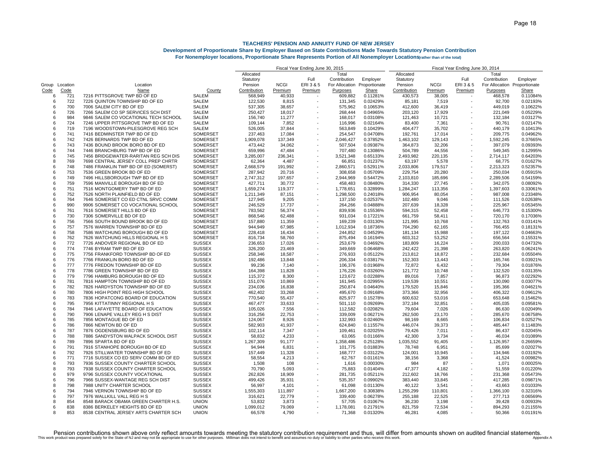|                |      |                                      |                 | Fiscal Year Ending June 30, 2015 |             |                          |                |               | Fiscal Year Ending June 30, 2014 |             |                          |                              |          |  |
|----------------|------|--------------------------------------|-----------------|----------------------------------|-------------|--------------------------|----------------|---------------|----------------------------------|-------------|--------------------------|------------------------------|----------|--|
|                |      |                                      |                 | Allocated                        |             |                          | Total          |               | Allocated                        |             |                          | Total                        |          |  |
|                |      |                                      |                 | Statutory                        |             | Full                     | Contribution   | Employer      | Statutory                        |             | Full                     | Contribution                 | Employer |  |
| Group Location |      | Location                             |                 | Pension                          | <b>NCGI</b> | ERI3&5                   | For Allocation | Proportionate | Pension                          | <b>NCGI</b> | ERI3&5                   | For Allocation Proportionate |          |  |
| Code           | Code | Name                                 | County          | Contribution                     | Premium     | Premium                  | Purposes       | Share         | Contribution                     | Premium     | Premium                  | Purposes                     | Share    |  |
| 6              | 721  | 7216 PITTSGROVE TWP BD OF ED         | SALEM           | 568,949                          | 40,933      |                          | 609,882        | 0.11281%      | 430,573                          | 38,005      |                          | 468,578                      | 0.11084% |  |
| 6              | 722  | 7226 QUINTON TOWNSHIP BD OF ED       | <b>SALEM</b>    | 122,530                          | 8,815       | $\overline{\phantom{a}}$ | 131,345        | 0.02429%      | 85,181                           | 7,519       | $\overline{\phantom{a}}$ | 92,700                       | 0.02193% |  |
| 6              | 700  | 7006 SALEM CITY BD OF ED             | <b>SALEM</b>    | 537,305                          | 38.657      |                          | 575,962        | 0.10653%      | 412.600                          | 36.419      |                          | 449.019                      | 0.10622% |  |
| 6              | 726  | 7266 SALEM CO SP SERVICES SCH DIST   | SALEM           | 250,427                          | 18,017      |                          | 268,444        | 0.04965%      | 203,120                          | 17,929      |                          | 221,049                      | 0.05229% |  |
| 6              | 984  | 9846 SALEM CO VOCATIONAL TECH SCHOOL | <b>SALEM</b>    | 156,740                          | 11,277      |                          | 168,017        | 0.03108%      | 121,463                          | 10,721      |                          | 132,184                      | 0.03127% |  |
| 6              | 724  | 7246 UPPER PITTSGROVE TWP BD OF ED   | SALEM           | 109,144                          | 7,852       |                          | 116,996        | 0.02164%      | 83,400                           | 7,361       |                          | 90,761                       | 0.02147% |  |
| 6              | 719  | 7196 WOODSTOWN-PILESGROVE REG SCH    | SALEM           | 526,005                          | 37,844      |                          | 563,849        | 0.10429%      | 404,477                          | 35,702      |                          | 440,179                      | 0.10413% |  |
| 6              | 741  | 7416 BEDMINSTER TWP BD OF ED         | SOMERSET        | 237,463                          | 17,084      |                          | 254,547        | 0.04708%      | 192,761                          | 17,014      |                          | 209,775                      | 0.04962% |  |
| 6              | 742  | 7426 BERNARDS TWP BD OF ED           | SOMERSET        | 1,909,078                        | 137,349     |                          | 2,046,427      | 0.37852%      | 1,463,102                        | 129,143     |                          | 1,592,245                    | 0.37665% |  |
| 6              | 743  | 7436 BOUND BROOK BORO BD OF ED       | SOMERSET        | 473,442                          | 34,062      | $\overline{\phantom{a}}$ | 507,504        | 0.09387%      | 364,873                          | 32,206      | $\overline{a}$           | 397,079                      | 0.09393% |  |
| 6              | 744  | 7446 BRANCHBURG TWP BD OF ED         | SOMERSET        | 659,996                          | 47,484      |                          | 707,480        | 0.13086%      | 504,789                          | 44,556      | $\overline{\phantom{a}}$ | 549,345                      | 0.12995% |  |
| 6              | 745  | 7456 BRIDGEWATER-RARITAN REG SCH DIS | <b>SOMERSET</b> | 3,285,007                        | 236.341     |                          | 3,521,348      | 0.65133%      | 2,493,982                        | 220,135     |                          | 2,714,117                    | 0.64203% |  |
| 8              | 769  | 7698 CENTRAL JERSEY COLL PREP CHRTR  | SOMERSET        | 62,364                           | 4,487       |                          | 66,851         | 0.01237%      | 63,197                           | 5,578       |                          | 68,775                       | 0.01627% |  |
| 6              | 748  | 7486 FRANKLIN TWP BD OF ED (SOMERST) | SOMERSET        | 2,668,579                        | 191,992     |                          | 2,860,571      | 0.52911%      | 2,033,806                        | 179,517     |                          | 2,213,323                    | 0.52357% |  |
| 6              | 753  | 7536 GREEN BROOK BD OF ED            | SOMERSET        | 287,942                          | 20,716      |                          | 308,658        | 0.05709%      | 229,754                          | 20,280      |                          | 250,034                      | 0.05915% |  |
| 6              | 749  | 7496 HILLSBOROUGH TWP BD OF ED       | SOMERSET        | 2,747,312                        | 197,657     |                          | 2,944,969      | 0.54472%      | 2,103,810                        | 185,696     |                          | 2,289,506                    | 0.54159% |  |
| 6              | 759  | 7596 MANVILLE BOROUGH BD OF ED       | SOMERSET        | 427,711                          | 30,772      |                          | 458,483        | 0.08480%      | 314,330                          | 27,745      | ٠                        | 342,075                      | 0.08092% |  |
| 6              | 751  | 7516 MONTGOMERY TWP BD OF ED         | SOMERSET        | 1,659,274                        | 119,377     |                          | 1,778,651      | 0.32899%      | 1,284,247                        | 113,356     |                          | 1,397,603                    | 0.33061% |  |
| 6              | 752  | 7526 NORTH PLAINFIELD BD OF ED       | SOMERSET        | 1,211,349                        | 87,151      |                          | 1,298,500      | 0.24018%      | 906,954                          | 80,054      |                          | 987,008                      | 0.23348% |  |
| 6              | 764  | 7646 SOMERSET CO ED CTNL SRVC COMM   | SOMERSET        | 127,945                          | 9,205       |                          | 137,150        | 0.02537%      | 102,480                          | 9,046       |                          | 111,526                      | 0.02638% |  |
| 6              | 990  | 9906 SOMERSET CO VOCATIONAL SCHOOL   | SOMERSET        | 246,529                          | 17,737      |                          | 264,266        | 0.04888%      | 207,639                          | 18,328      |                          | 225,967                      | 0.05345% |  |
| 6              | 761  | 7616 SOMERSET HILLS BD OF ED         | SOMERSET        | 783,562                          | 56,374      |                          | 839,936        | 0.15536%      | 594,315                          | 52,458      |                          | 646,773                      | 0.15300% |  |
| 6              | 730  | 7306 SOMERVILLE BD OF ED             | SOMERSET        | 868,546                          | 62,488      |                          | 931,034        | 0.17221%      | 661,759                          | 58,411      |                          | 720,170                      | 0.17036% |  |
| 6              | 756  | 7566 SOUTH BOUND BROOK BD OF ED      | SOMERSET        | 157,880                          | 11,359      |                          | 169,239        | 0.03130%      | 121,995                          | 10,768      |                          | 132,763                      | 0.03141% |  |
| 6              | 757  | 7576 WARREN TOWNSHIP BD OF ED        | <b>SOMERSET</b> | 944.949                          | 67,985      |                          | 1,012,934      | 0.18736%      | 704,290                          | 62.165      |                          | 766.455                      | 0.18131% |  |
| 6              | 758  | 7586 WATCHUNG BOROUGH BD OF ED       | SOMERSET        | 228,418                          | 16,434      |                          | 244,852        | 0.04529%      | 181,134                          | 15,988      |                          | 197,122                      | 0.04663% |  |
| 6              | 762  | 7626 WATCHUNG HILLS REGIONAL H S     | SOMERSET        | 816,734                          | 58,760      |                          | 875,494        | 0.16194%      | 603,312                          | 53,252      |                          | 656,564                      | 0.15531% |  |
| 6              | 772  | 7726 ANDOVER REGIONAL BD OF ED       | <b>SUSSEX</b>   | 236,653                          | 17,026      |                          | 253,679        | 0.04692%      | 183,809                          | 16,224      |                          | 200,033                      | 0.04732% |  |
| 6              | 774  | 7746 BYRAM TWP BD OF ED              | <b>SUSSEX</b>   | 326,200                          | 23,469      |                          | 349,669        | 0.06468%      | 242,422                          | 21,398      |                          | 263,820                      | 0.06241% |  |
| 6              | 775  | 7756 FRANKFORD TOWNSHIP BD OF ED     | <b>SUSSEX</b>   | 258,346                          | 18,587      |                          | 276,933        | 0.05122%      | 213,812                          | 18,872      |                          | 232,684                      | 0.05504% |  |
| 6              | 776  | 7766 FRANKLIN BORO BD OF ED          | <b>SUSSEX</b>   | 192,486                          | 13,848      |                          | 206,334        | 0.03817%      | 152,303                          | 13,443      |                          | 165,746                      | 0.03921% |  |
| 6              | 777  | 7776 FREDON TOWNSHIP BD OF ED        | <b>SUSSEX</b>   | 99,236                           | 7,140       |                          | 106,376        | 0.01968%      | 72,872                           | 6,432       |                          | 79,304                       | 0.01876% |  |
| 6              | 778  | 7786 GREEN TOWNSHIP BD OF ED         | <b>SUSSEX</b>   | 164,398                          | 11,828      | ٠                        | 176,226        | 0.03260%      | 121,772                          | 10,748      |                          | 132,520                      | 0.03135% |  |
| 6              | 779  | 7796 HAMBURG BOROUGH BD OF ED        | <b>SUSSEX</b>   | 115,372                          | 8,300       |                          | 123,672        | 0.02288%      | 89,016                           | 7,857       |                          | 96,873                       | 0.02292% |  |
| 6              | 781  | 7816 HAMPTON TOWNSHIP BD OF ED       | <b>SUSSEX</b>   | 151,076                          | 10,869      |                          | 161,945        | 0.02995%      | 119,539                          | 10,551      |                          | 130,090                      | 0.03077% |  |
| 6              | 782  | 7826 HARDYSTON TOWNSHIP BD OF ED     | <b>SUSSEX</b>   | 234,036                          | 16,838      |                          | 250,874        | 0.04640%      | 179,520                          | 15,846      |                          | 195,366                      | 0.04621% |  |
| 6              | 780  | 7806 HIGH POINT REG HIGH SCHOOL      | <b>SUSSEX</b>   | 462,402                          | 33,268      |                          | 495,670        | 0.09168%      | 373,366                          | 32,956      |                          | 406,322                      | 0.09612% |  |
| 6              | 783  | 7836 HOPATCONG BOARD OF EDUCATION    | <b>SUSSEX</b>   | 770,540                          | 55,437      |                          | 825,977        | 0.15278%      | 600,632                          | 53,016      |                          | 653,648                      | 0.15462% |  |
| 6              | 795  | 7956 KITTATINNY REGIONAL H S         | <b>SUSSEX</b>   | 467,477                          | 33,633      |                          | 501,110        | 0.09269%      | 372,184                          | 32,851      |                          | 405,035                      | 0.09581% |  |
| 6              | 784  | 7846 LAFAYETTE BOARD OF EDUCATION    | <b>SUSSEX</b>   | 105,026                          | 7,556       |                          | 112,582        | 0.02082%      | 79,604                           | 7,026       |                          | 86,630                       | 0.02049% |  |
| 6              | 790  | 7906 LENAPE VALLEY REG H S DIST      | <b>SUSSEX</b>   | 316,256                          | 22,753      |                          | 339,009        | 0.06271%      | 262,500                          | 23,170      |                          | 285,670                      | 0.06758% |  |
| 6              | 785  | 7856 MONTAGUE BD OF ED               | <b>SUSSEX</b>   | 124,067                          | 8,926       |                          | 132,993        | 0.02460%      | 98,169                           | 8,665       |                          | 106,834                      | 0.02527% |  |
| 6              | 786  | 7866 NEWTON BD OF ED                 | <b>SUSSEX</b>   | 582,903                          | 41,937      |                          | 624,840        | 0.11557%      | 446,074                          | 39,373      |                          | 485,447                      | 0.11483% |  |
| 6              | 787  | 7876 OGDENSBURG BD OF ED             | <b>SUSSEX</b>   | 102,114                          | 7,347       |                          | 109,461        | 0.02025%      | 79,426                           | 7,011       |                          | 86,437                       | 0.02045% |  |
| 6              | 788  | 7886 SANDYSTON WALPACK SCHOOL DIST   | <b>SUSSEX</b>   | 58,832                           | 4,233       | ٠                        | 63,065         | 0.01166%      | 42,300                           | 3,734       | $\overline{a}$           | 46,034                       | 0.01089% |  |
| 6              | 789  | 7896 SPARTA BD OF ED                 | <b>SUSSEX</b>   | 1,267,309                        | 91,177      |                          | 1,358,486      | 0.25128%      | 1,035,552                        | 91,405      | ÷                        | 1,126,957                    | 0.26659% |  |
| 6              | 791  | 7916 STANHOPE BOROUGH BD OF ED       | <b>SUSSEX</b>   | 94,944                           | 6,831       |                          | 101,775        | 0.01883%      | 78,748                           | 6,951       |                          | 85,699                       | 0.02027% |  |
| 6              | 792  | 7926 STILLWATER TOWNSHIP BD OF ED    | <b>SUSSEX</b>   | 157,449                          | 11,328      |                          | 168,777        | 0.03122%      | 124,001                          | 10,945      |                          | 134,946                      | 0.03192% |  |
| 6              | 771  | 7716 SUSSEX CO ED SERV COMM BD OF ED | <b>SUSSEX</b>   | 58,554                           | 4,213       |                          | 62,767         | 0.01161%      | 38,156                           | 3,368       |                          | 41,524                       | 0.00982% |  |
| 6              | 793  | 7936 SUSSEX COUNTY CHARTER SCHOOL    | <b>SUSSEX</b>   | 1,508                            | 108         |                          | 1,616          | 0.00030%      | 984                              | 87          |                          | 1.071                        | 0.00025% |  |
| 8              | 793  | 7938 SUSSEX COUNTY CHARTER SCHOOL    | <b>SUSSEX</b>   | 70,790                           | 5,093       |                          | 75,883         | 0.01404%      | 47,377                           | 4,182       |                          | 51,559                       | 0.01220% |  |
| 6              | 979  | 9796 SUSSEX COUNTY VOCATIONAL        | <b>SUSSEX</b>   | 262,826                          | 18,909      |                          | 281,735        | 0.05211%      | 212,602                          | 18,766      |                          | 231,368                      | 0.05473% |  |
| 6              | 796  | 7966 SUSSEX-WANTAGE REG SCH DIST     | <b>SUSSEX</b>   | 499,426                          | 35,931      |                          | 535,357        | 0.09902%      | 383,440                          | 33,845      |                          | 417,285                      | 0.09871% |  |
| 8              | 798  | 7988 UNITY CHARTER SCHOOL            | <b>SUSSEX</b>   | 56,997                           | 4.101       |                          | 61,098         | 0.01130%      | 40,122                           | 3,541       |                          | 43.663                       | 0.01033% |  |
| 6              | 794  | 7946 VERNON TOWNSHIP BD OF ED        | <b>SUSSEX</b>   | 1,555,303                        | 111,897     |                          | 1,667,200      | 0.30838%      | 1,255,299                        | 110,801     |                          | 1,366,100                    | 0.32316% |  |
| 6              | 797  | 7976 WALLKILL VALL REG H S           | <b>SUSSEX</b>   | 316,621                          | 22,779      |                          | 339,400        | 0.06278%      | 255,188                          | 22,525      |                          | 277,713                      | 0.06569% |  |
| 8              | 854  | 8548 BARACK OBAMA GREEN CHARTER H.S. | <b>UNION</b>    | 53,832                           | 3,873       |                          | 57,705         | 0.01067%      | 36,230                           | 3,198       |                          | 39,428                       | 0.00933% |  |
| 6              | 838  | 8386 BERKELEY HEIGHTS BD OF ED       | <b>UNION</b>    | 1,099,012                        | 79,069      |                          | 1,178,081      | 0.21791%      | 821,759                          | 72,534      |                          | 894,293                      | 0.21155% |  |
| 8              | 853  | 8538 CENTRAL JERSEY ARTS CHARTER SCH | <b>UNION</b>    | 66,578                           | 4,790       |                          | 71,368         | 0.01320%      | 46,281                           | 4,085       |                          | 50,366                       | 0.01191% |  |